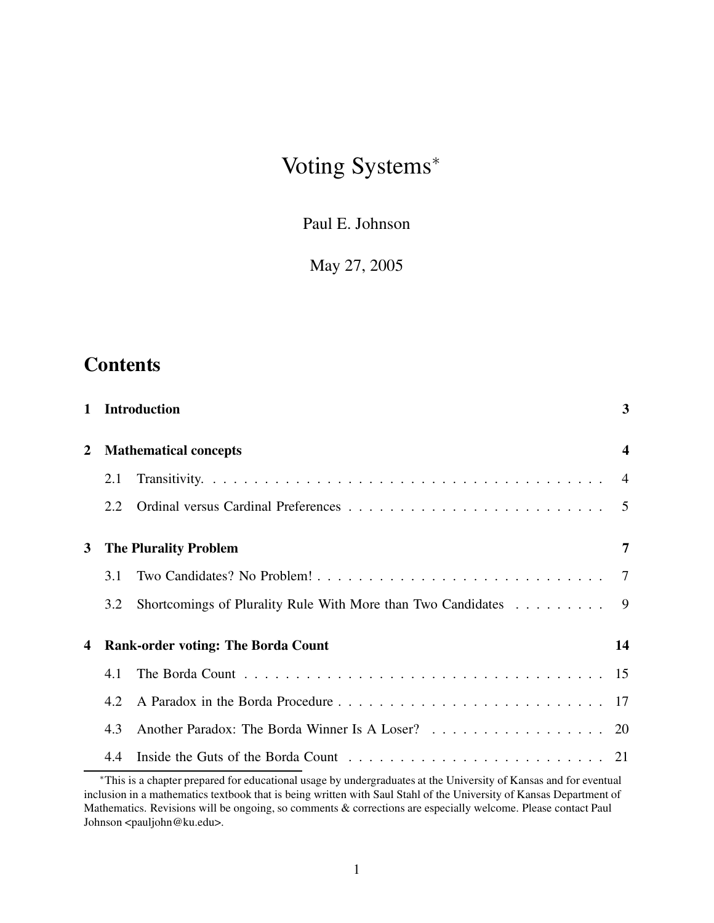# Voting Systems<sup>∗</sup>

Paul E. Johnson

May 27, 2005

# **Contents**

| $\mathbf{1}$ |     | <b>Introduction</b>                                                                                                                                                                                                                     | 3                       |
|--------------|-----|-----------------------------------------------------------------------------------------------------------------------------------------------------------------------------------------------------------------------------------------|-------------------------|
| 2            |     | <b>Mathematical concepts</b>                                                                                                                                                                                                            | $\overline{\mathbf{4}}$ |
|              | 2.1 |                                                                                                                                                                                                                                         | $\overline{4}$          |
|              | 2.2 |                                                                                                                                                                                                                                         | 5                       |
| 3            |     | <b>The Plurality Problem</b>                                                                                                                                                                                                            | 7                       |
|              | 3.1 |                                                                                                                                                                                                                                         |                         |
|              | 3.2 | Shortcomings of Plurality Rule With More than Two Candidates                                                                                                                                                                            | 9                       |
| 4            |     | <b>Rank-order voting: The Borda Count</b>                                                                                                                                                                                               | 14                      |
|              | 4.1 |                                                                                                                                                                                                                                         |                         |
|              | 4.2 |                                                                                                                                                                                                                                         |                         |
|              | 4.3 | Another Paradox: The Borda Winner Is A Loser? 20                                                                                                                                                                                        |                         |
|              | 4.4 |                                                                                                                                                                                                                                         |                         |
|              |     | *This is a chapter prepared for educational usage by undergraduates at the University of Kansas and for eventual<br>inclusion in a mathematics textbook that is being written with Saul Stahl of the University of Kansas Department of |                         |

inclusion in a mathematics textbook that is being written with Saul Stahl of the University of Kansas Department of Mathematics. Revisions will be ongoing, so comments & corrections are especially welcome. Please contact Paul Johnson <pauljohn@ku.edu>.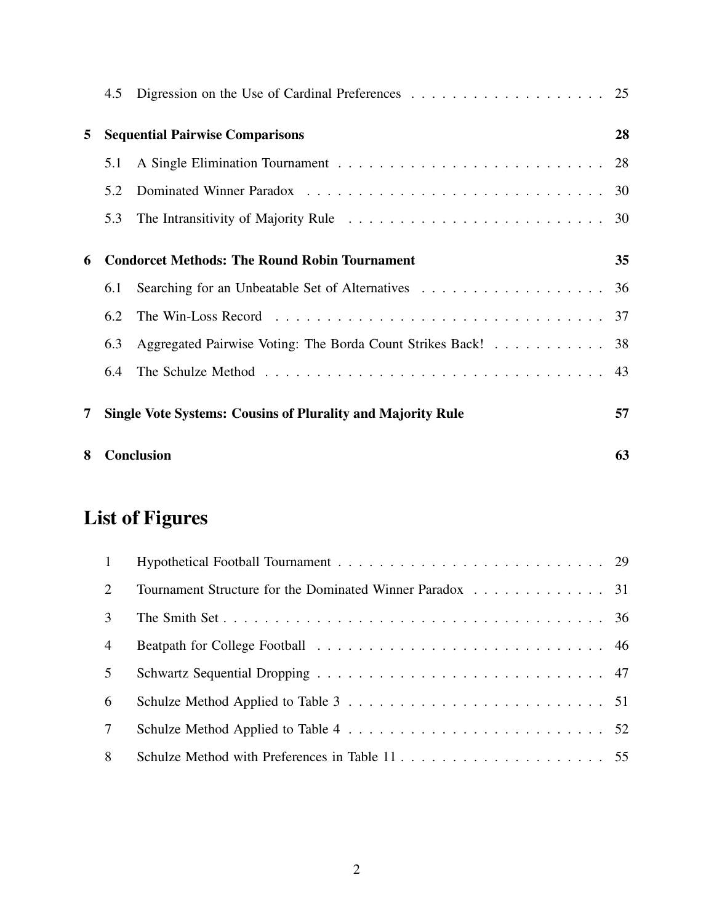|     |                                                           | 63                                                                                                                                                                                        |
|-----|-----------------------------------------------------------|-------------------------------------------------------------------------------------------------------------------------------------------------------------------------------------------|
|     |                                                           | 57                                                                                                                                                                                        |
| 6.4 |                                                           | 43                                                                                                                                                                                        |
| 6.3 | Aggregated Pairwise Voting: The Borda Count Strikes Back! | 38                                                                                                                                                                                        |
| 6.2 |                                                           | 37                                                                                                                                                                                        |
| 6.1 |                                                           | 36                                                                                                                                                                                        |
|     |                                                           | 35                                                                                                                                                                                        |
| 5.3 |                                                           | 30                                                                                                                                                                                        |
| 5.2 |                                                           | 30                                                                                                                                                                                        |
| 5.1 |                                                           | 28                                                                                                                                                                                        |
|     |                                                           | 28                                                                                                                                                                                        |
| 4.5 |                                                           |                                                                                                                                                                                           |
|     |                                                           | <b>Sequential Pairwise Comparisons</b><br><b>Condorcet Methods: The Round Robin Tournament</b><br><b>Single Vote Systems: Cousins of Plurality and Majority Rule</b><br><b>Conclusion</b> |

# **List of Figures**

| $\mathbf{1}$   |                                                          |  |
|----------------|----------------------------------------------------------|--|
| 2              | Tournament Structure for the Dominated Winner Paradox 31 |  |
| 3              |                                                          |  |
| $\overline{4}$ |                                                          |  |
| 5              |                                                          |  |
| 6              |                                                          |  |
| $\tau$         |                                                          |  |
| 8              |                                                          |  |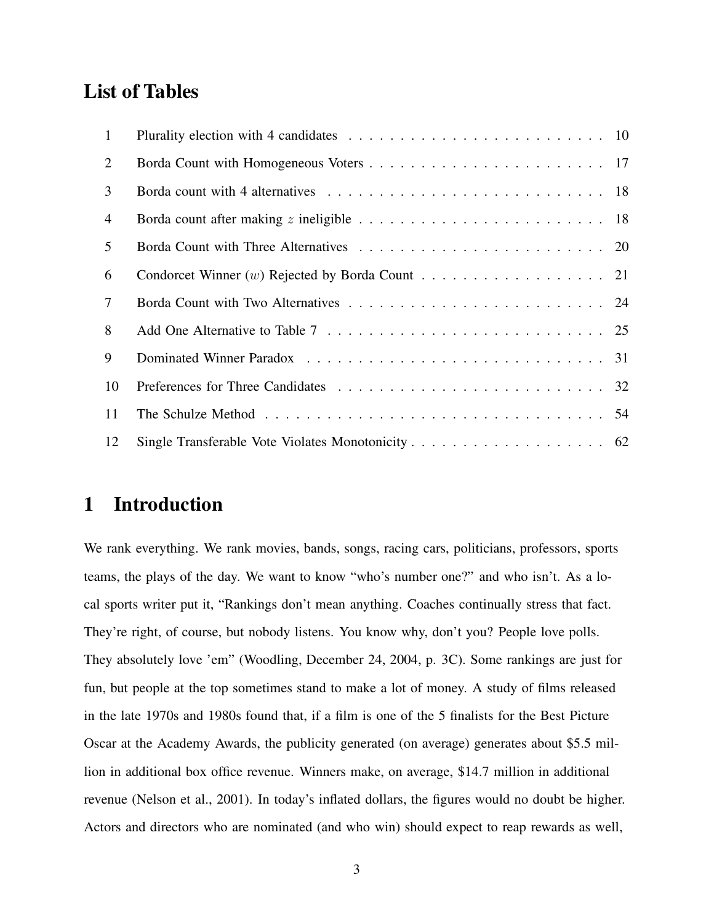# **List of Tables**

| $\overline{1}$ |                                                 |  |
|----------------|-------------------------------------------------|--|
| 2              |                                                 |  |
| 3              |                                                 |  |
| $\overline{4}$ |                                                 |  |
| 5              |                                                 |  |
| 6              | Condorcet Winner (w) Rejected by Borda Count 21 |  |
| $\tau$         |                                                 |  |
| 8              |                                                 |  |
| 9              |                                                 |  |
| 10             |                                                 |  |
| 11             |                                                 |  |
| 12             |                                                 |  |

# **1 Introduction**

We rank everything. We rank movies, bands, songs, racing cars, politicians, professors, sports teams, the plays of the day. We want to know "who's number one?" and who isn't. As a local sports writer put it, "Rankings don't mean anything. Coaches continually stress that fact. They're right, of course, but nobody listens. You know why, don't you? People love polls. They absolutely love 'em" (Woodling, December 24, 2004, p. 3C). Some rankings are just for fun, but people at the top sometimes stand to make a lot of money. A study of films released in the late 1970s and 1980s found that, if a film is one of the 5 finalists for the Best Picture Oscar at the Academy Awards, the publicity generated (on average) generates about \$5.5 million in additional box office revenue. Winners make, on average, \$14.7 million in additional revenue (Nelson et al., 2001). In today's inflated dollars, the figures would no doubt be higher. Actors and directors who are nominated (and who win) should expect to reap rewards as well,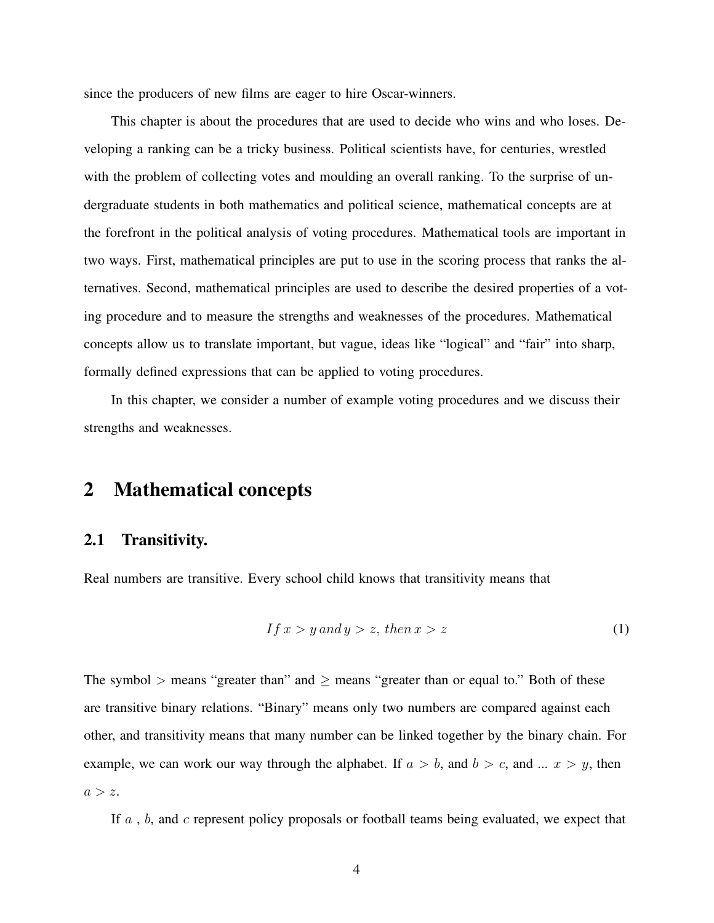since the producers of new films are eager to hire Oscar-winners.

This chapter is about the procedures that are used to decide who wins and who loses. Developing a ranking can be a tricky business. Political scientists have, for centuries, wrestled with the problem of collecting votes and moulding an overall ranking. To the surprise of undergraduate students in both mathematics and political science, mathematical concepts are at the forefront in the political analysis of voting procedures. Mathematical tools are important in two ways. First, mathematical principles are put to use in the scoring process that ranks the alternatives. Second, mathematical principles are used to describe the desired properties of a voting procedure and to measure the strengths and weaknesses of the procedures. Mathematical concepts allow us to translate important, but vague, ideas like "logical" and "fair" into sharp, formally defined expressions that can be applied to voting procedures.

In this chapter, we consider a number of example voting procedures and we discuss their strengths and weaknesses.

## **2 Mathematical concepts**

#### **2.1 Transitivity.**

Real numbers are transitive. Every school child knows that transitivity means that

$$
If x > y \text{ and } y > z, then x > z \tag{1}
$$

The symbol > means "greater than" and  $\geq$  means "greater than or equal to." Both of these are transitive binary relations. "Binary" means only two numbers are compared against each other, and transitivity means that many number can be linked together by the binary chain. For example, we can work our way through the alphabet. If  $a > b$ , and  $b > c$ , and ...  $x > y$ , then  $a > z$ .

If  $a$ ,  $b$ , and  $c$  represent policy proposals or football teams being evaluated, we expect that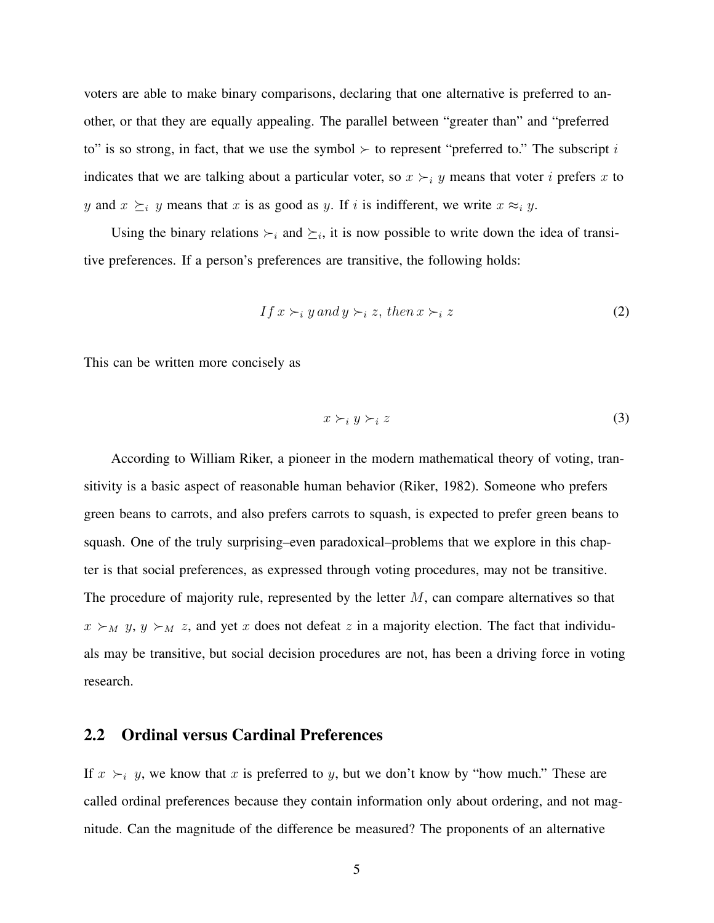voters are able to make binary comparisons, declaring that one alternative is preferred to another, or that they are equally appealing. The parallel between "greater than" and "preferred to" is so strong, in fact, that we use the symbol  $\succ$  to represent "preferred to." The subscript i indicates that we are talking about a particular voter, so  $x \succ_i y$  means that voter i prefers x to y and  $x \succeq_i y$  means that x is as good as y. If i is indifferent, we write  $x \approx_i y$ .

Using the binary relations  $\succ_i$  and  $\succeq_i$ , it is now possible to write down the idea of transitive preferences. If a person's preferences are transitive, the following holds:

$$
If x \succ_i y \text{ and } y \succ_i z, \text{ then } x \succ_i z \tag{2}
$$

This can be written more concisely as

$$
x \succ_i y \succ_i z \tag{3}
$$

According to William Riker, a pioneer in the modern mathematical theory of voting, transitivity is a basic aspect of reasonable human behavior (Riker, 1982). Someone who prefers green beans to carrots, and also prefers carrots to squash, is expected to prefer green beans to squash. One of the truly surprising–even paradoxical–problems that we explore in this chapter is that social preferences, as expressed through voting procedures, may not be transitive. The procedure of majority rule, represented by the letter  $M$ , can compare alternatives so that  $x \succ_M y$ ,  $y \succ_M z$ , and yet x does not defeat z in a majority election. The fact that individuals may be transitive, but social decision procedures are not, has been a driving force in voting research.

#### **2.2 Ordinal versus Cardinal Preferences**

If  $x \succ_i y$ , we know that x is preferred to y, but we don't know by "how much." These are called ordinal preferences because they contain information only about ordering, and not magnitude. Can the magnitude of the difference be measured? The proponents of an alternative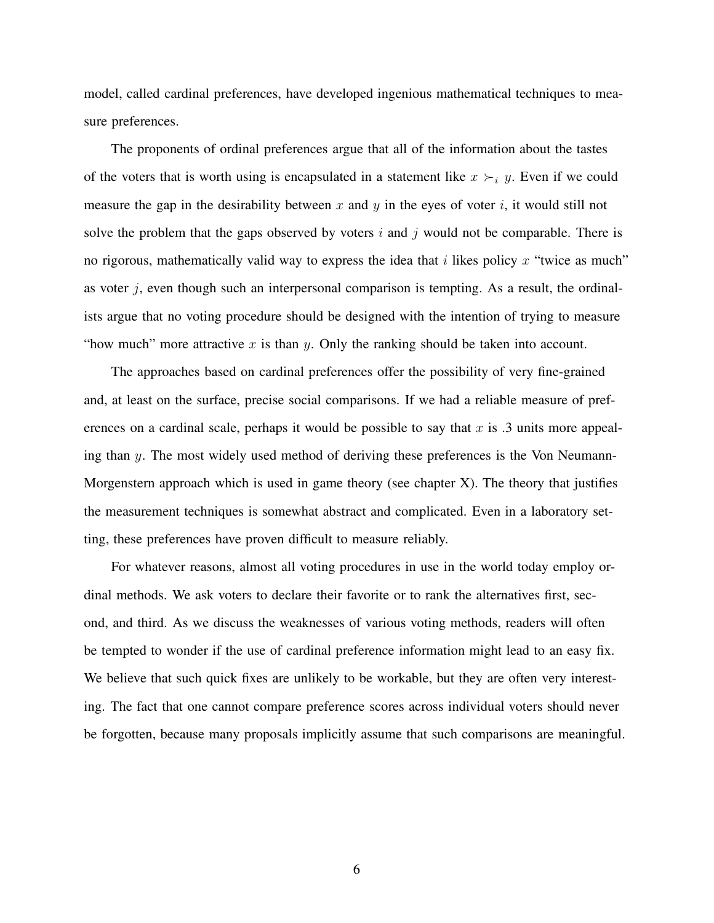model, called cardinal preferences, have developed ingenious mathematical techniques to measure preferences.

The proponents of ordinal preferences argue that all of the information about the tastes of the voters that is worth using is encapsulated in a statement like  $x \succ_i y$ . Even if we could measure the gap in the desirability between  $x$  and  $y$  in the eyes of voter  $i$ , it would still not solve the problem that the gaps observed by voters  $i$  and  $j$  would not be comparable. There is no rigorous, mathematically valid way to express the idea that i likes policy x "twice as much" as voter  $j$ , even though such an interpersonal comparison is tempting. As a result, the ordinalists argue that no voting procedure should be designed with the intention of trying to measure "how much" more attractive  $x$  is than  $y$ . Only the ranking should be taken into account.

The approaches based on cardinal preferences offer the possibility of very fine-grained and, at least on the surface, precise social comparisons. If we had a reliable measure of preferences on a cardinal scale, perhaps it would be possible to say that x is  $\alpha$  units more appealing than  $y$ . The most widely used method of deriving these preferences is the Von Neumann-Morgenstern approach which is used in game theory (see chapter X). The theory that justifies the measurement techniques is somewhat abstract and complicated. Even in a laboratory setting, these preferences have proven difficult to measure reliably.

For whatever reasons, almost all voting procedures in use in the world today employ ordinal methods. We ask voters to declare their favorite or to rank the alternatives first, second, and third. As we discuss the weaknesses of various voting methods, readers will often be tempted to wonder if the use of cardinal preference information might lead to an easy fix. We believe that such quick fixes are unlikely to be workable, but they are often very interesting. The fact that one cannot compare preference scores across individual voters should never be forgotten, because many proposals implicitly assume that such comparisons are meaningful.

6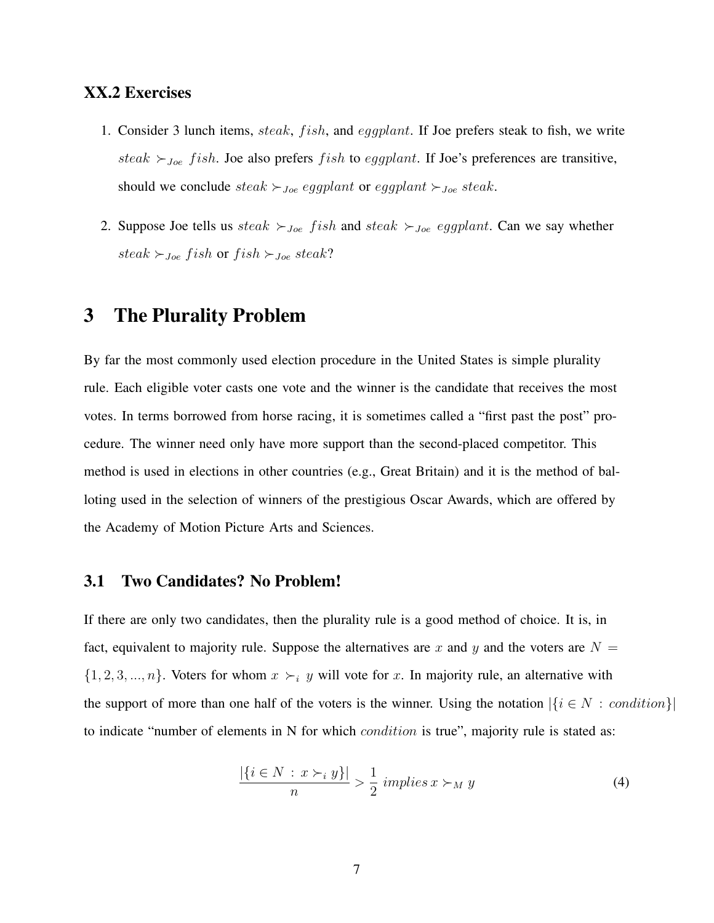## **XX.2 Exercises**

- 1. Consider 3 lunch items, steak, fish, and eggplant. If Joe prefers steak to fish, we write steak  $\succ_{Joe}$  fish. Joe also prefers fish to eggplant. If Joe's preferences are transitive, should we conclude  $steak \succ_{Joe} eggplant$  or eggplant  $\succ_{Joe} steak$ .
- 2. Suppose Joe tells us steak  $\succ_{Joe}$  fish and steak  $\succ_{Joe}$  eggplant. Can we say whether steak  $\succ_{\textit{Joe}}$  fish or fish  $\succ_{\textit{Joe}}$  steak?

## **3 The Plurality Problem**

By far the most commonly used election procedure in the United States is simple plurality rule. Each eligible voter casts one vote and the winner is the candidate that receives the most votes. In terms borrowed from horse racing, it is sometimes called a "first past the post" procedure. The winner need only have more support than the second-placed competitor. This method is used in elections in other countries (e.g., Great Britain) and it is the method of balloting used in the selection of winners of the prestigious Oscar Awards, which are offered by the Academy of Motion Picture Arts and Sciences.

#### **3.1 Two Candidates? No Problem!**

If there are only two candidates, then the plurality rule is a good method of choice. It is, in fact, equivalent to majority rule. Suppose the alternatives are x and y and the voters are  $N =$  $\{1, 2, 3, \ldots, n\}$ . Voters for whom  $x \succ_i y$  will vote for x. In majority rule, an alternative with the support of more than one half of the voters is the winner. Using the notation  $|\{i \in N : condition\}|$ to indicate "number of elements in N for which *condition* is true", majority rule is stated as:

$$
\frac{|\{i \in N : x \succ_i y\}|}{n} > \frac{1}{2} \implies x \succ_M y \tag{4}
$$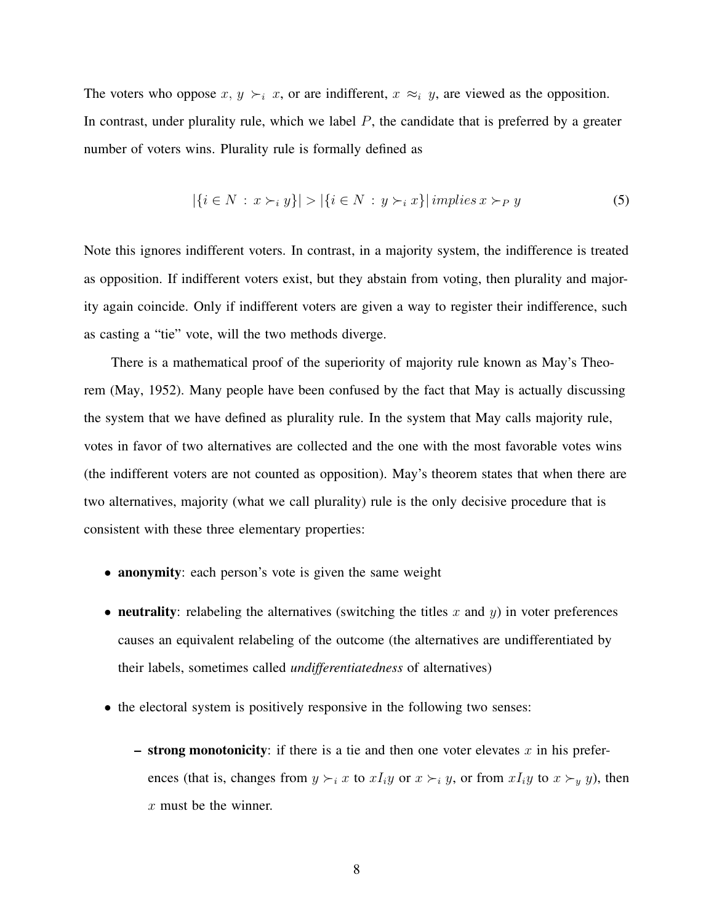The voters who oppose  $x, y \succ_i x$ , or are indifferent,  $x \approx_i y$ , are viewed as the opposition. In contrast, under plurality rule, which we label  $P$ , the candidate that is preferred by a greater number of voters wins. Plurality rule is formally defined as

$$
|\{i \in N : x \succ_i y\}| > |\{i \in N : y \succ_i x\}| \text{ implies } x \succ_P y \tag{5}
$$

Note this ignores indifferent voters. In contrast, in a majority system, the indifference is treated as opposition. If indifferent voters exist, but they abstain from voting, then plurality and majority again coincide. Only if indifferent voters are given a way to register their indifference, such as casting a "tie" vote, will the two methods diverge.

There is a mathematical proof of the superiority of majority rule known as May's Theorem (May, 1952). Many people have been confused by the fact that May is actually discussing the system that we have defined as plurality rule. In the system that May calls majority rule, votes in favor of two alternatives are collected and the one with the most favorable votes wins (the indifferent voters are not counted as opposition). May's theorem states that when there are two alternatives, majority (what we call plurality) rule is the only decisive procedure that is consistent with these three elementary properties:

- **anonymity**: each person's vote is given the same weight
- **neutrality**: relabeling the alternatives (switching the titles x and  $y$ ) in voter preferences causes an equivalent relabeling of the outcome (the alternatives are undifferentiated by their labels, sometimes called *undifferentiatedness* of alternatives)
- the electoral system is positively responsive in the following two senses:
	- $\blacksquare$   **strong monotonicity**: if there is a tie and then one voter elevates x in his preferences (that is, changes from  $y \succ_i x$  to  $xI_iy$  or  $x \succ_i y$ , or from  $xI_iy$  to  $x \succ_y y$ ), then x must be the winner.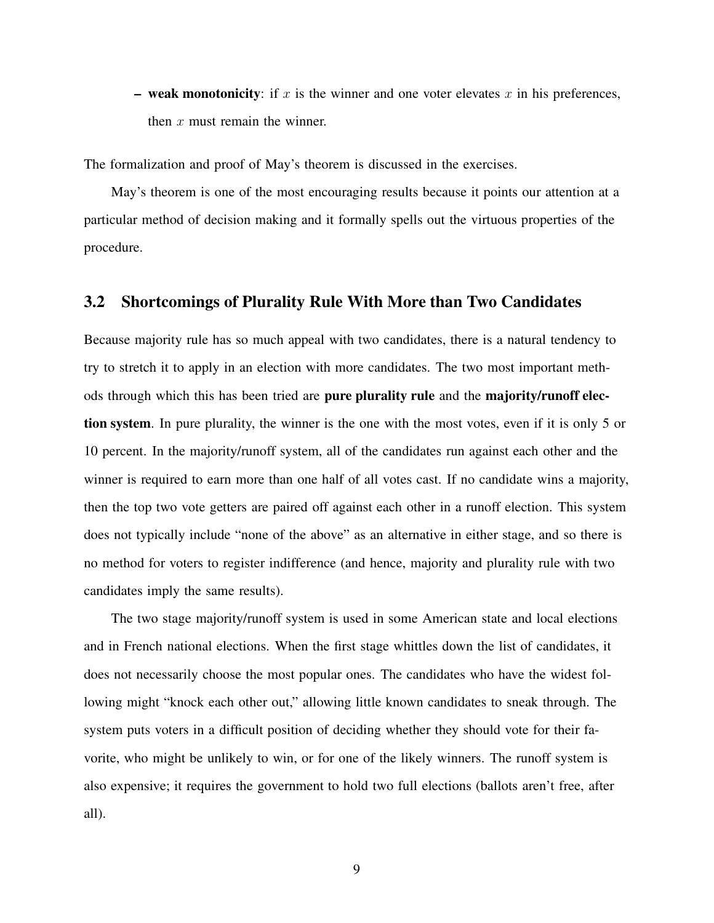**– weak monotonicity**: if x is the winner and one voter elevates x in his preferences, then  $x$  must remain the winner.

The formalization and proof of May's theorem is discussed in the exercises.

May's theorem is one of the most encouraging results because it points our attention at a particular method of decision making and it formally spells out the virtuous properties of the procedure.

## **3.2 Shortcomings of Plurality Rule With More than Two Candidates**

Because majority rule has so much appeal with two candidates, there is a natural tendency to try to stretch it to apply in an election with more candidates. The two most important methods through which this has been tried are **pure plurality rule** and the **majority/runoff election system**. In pure plurality, the winner is the one with the most votes, even if it is only 5 or 10 percent. In the majority/runoff system, all of the candidates run against each other and the winner is required to earn more than one half of all votes cast. If no candidate wins a majority, then the top two vote getters are paired off against each other in a runoff election. This system does not typically include "none of the above" as an alternative in either stage, and so there is no method for voters to register indifference (and hence, majority and plurality rule with two candidates imply the same results).

The two stage majority/runoff system is used in some American state and local elections and in French national elections. When the first stage whittles down the list of candidates, it does not necessarily choose the most popular ones. The candidates who have the widest following might "knock each other out," allowing little known candidates to sneak through. The system puts voters in a difficult position of deciding whether they should vote for their favorite, who might be unlikely to win, or for one of the likely winners. The runoff system is also expensive; it requires the government to hold two full elections (ballots aren't free, after all).

9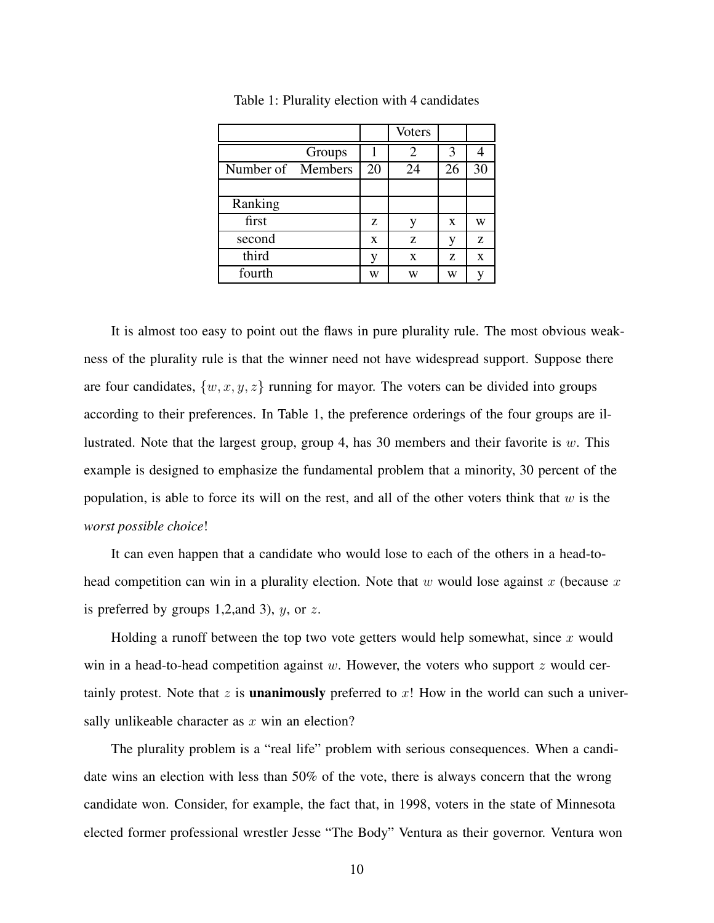|                   |        |    | <b>Voters</b> |    |    |
|-------------------|--------|----|---------------|----|----|
|                   | Groups |    | 2             |    |    |
| Number of Members |        | 20 | 24            | 26 | 30 |
|                   |        |    |               |    |    |
| Ranking           |        |    |               |    |    |
| first             |        | Z  |               | X  | w  |
| second            |        | X  | Z             |    | Z  |
| third             |        | V  | X             | Z  | X  |
| fourth            |        | w  | w             | W  |    |

Table 1: Plurality election with 4 candidates

It is almost too easy to point out the flaws in pure plurality rule. The most obvious weakness of the plurality rule is that the winner need not have widespread support. Suppose there are four candidates,  $\{w, x, y, z\}$  running for mayor. The voters can be divided into groups according to their preferences. In Table 1, the preference orderings of the four groups are illustrated. Note that the largest group, group 4, has 30 members and their favorite is  $w$ . This example is designed to emphasize the fundamental problem that a minority, 30 percent of the population, is able to force its will on the rest, and all of the other voters think that  $w$  is the *worst possible choice*!

It can even happen that a candidate who would lose to each of the others in a head-tohead competition can win in a plurality election. Note that w would lose against x (because x is preferred by groups 1,2, and 3),  $y$ , or  $z$ .

Holding a runoff between the top two vote getters would help somewhat, since  $x$  would win in a head-to-head competition against w. However, the voters who support  $z$  would certainly protest. Note that  $z$  is **unanimously** preferred to  $x$ ! How in the world can such a universally unlikeable character as  $x$  win an election?

The plurality problem is a "real life" problem with serious consequences. When a candidate wins an election with less than 50% of the vote, there is always concern that the wrong candidate won. Consider, for example, the fact that, in 1998, voters in the state of Minnesota elected former professional wrestler Jesse "The Body" Ventura as their governor. Ventura won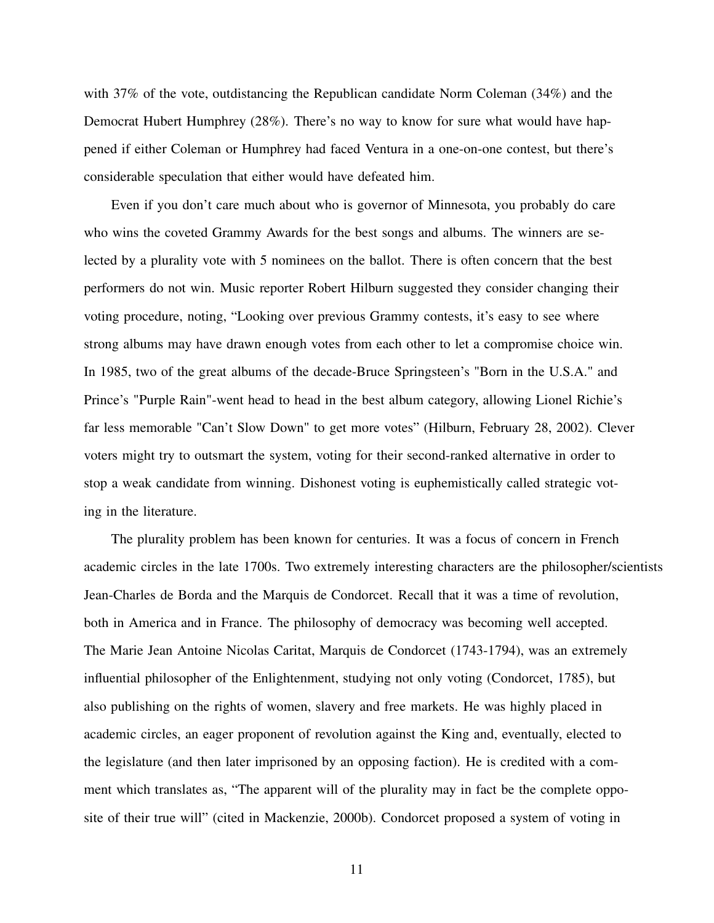with 37% of the vote, outdistancing the Republican candidate Norm Coleman (34%) and the Democrat Hubert Humphrey (28%). There's no way to know for sure what would have happened if either Coleman or Humphrey had faced Ventura in a one-on-one contest, but there's considerable speculation that either would have defeated him.

Even if you don't care much about who is governor of Minnesota, you probably do care who wins the coveted Grammy Awards for the best songs and albums. The winners are selected by a plurality vote with 5 nominees on the ballot. There is often concern that the best performers do not win. Music reporter Robert Hilburn suggested they consider changing their voting procedure, noting, "Looking over previous Grammy contests, it's easy to see where strong albums may have drawn enough votes from each other to let a compromise choice win. In 1985, two of the great albums of the decade-Bruce Springsteen's "Born in the U.S.A." and Prince's "Purple Rain"-went head to head in the best album category, allowing Lionel Richie's far less memorable "Can't Slow Down" to get more votes" (Hilburn, February 28, 2002). Clever voters might try to outsmart the system, voting for their second-ranked alternative in order to stop a weak candidate from winning. Dishonest voting is euphemistically called strategic voting in the literature.

The plurality problem has been known for centuries. It was a focus of concern in French academic circles in the late 1700s. Two extremely interesting characters are the philosopher/scientists Jean-Charles de Borda and the Marquis de Condorcet. Recall that it was a time of revolution, both in America and in France. The philosophy of democracy was becoming well accepted. The Marie Jean Antoine Nicolas Caritat, Marquis de Condorcet (1743-1794), was an extremely influential philosopher of the Enlightenment, studying not only voting (Condorcet, 1785), but also publishing on the rights of women, slavery and free markets. He was highly placed in academic circles, an eager proponent of revolution against the King and, eventually, elected to the legislature (and then later imprisoned by an opposing faction). He is credited with a comment which translates as, "The apparent will of the plurality may in fact be the complete opposite of their true will" (cited in Mackenzie, 2000b). Condorcet proposed a system of voting in

11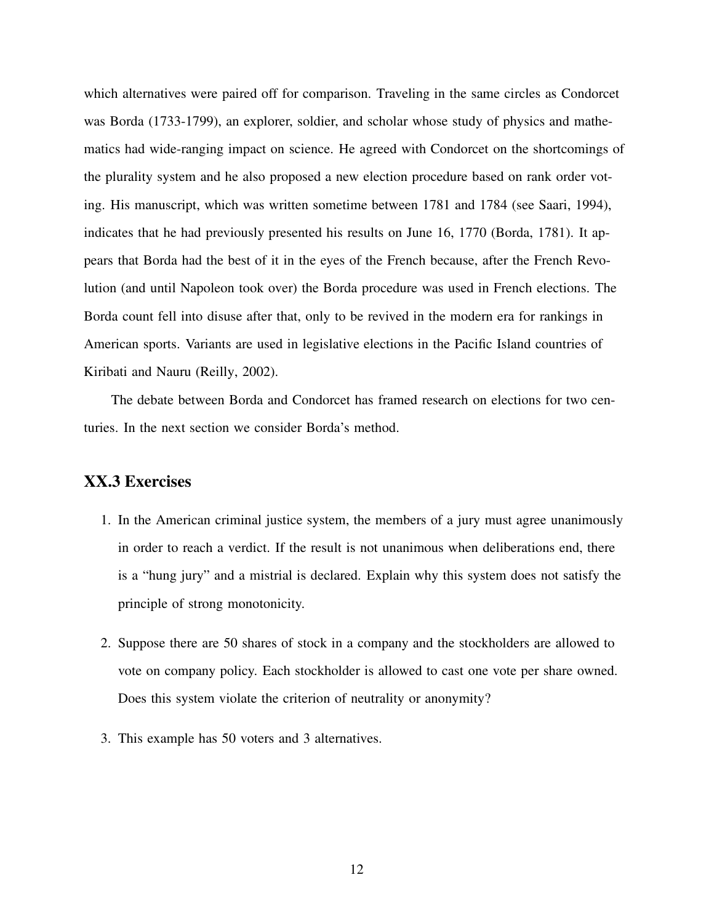which alternatives were paired off for comparison. Traveling in the same circles as Condorcet was Borda (1733-1799), an explorer, soldier, and scholar whose study of physics and mathematics had wide-ranging impact on science. He agreed with Condorcet on the shortcomings of the plurality system and he also proposed a new election procedure based on rank order voting. His manuscript, which was written sometime between 1781 and 1784 (see Saari, 1994), indicates that he had previously presented his results on June 16, 1770 (Borda, 1781). It appears that Borda had the best of it in the eyes of the French because, after the French Revolution (and until Napoleon took over) the Borda procedure was used in French elections. The Borda count fell into disuse after that, only to be revived in the modern era for rankings in American sports. Variants are used in legislative elections in the Pacific Island countries of Kiribati and Nauru (Reilly, 2002).

The debate between Borda and Condorcet has framed research on elections for two centuries. In the next section we consider Borda's method.

## **XX.3 Exercises**

- 1. In the American criminal justice system, the members of a jury must agree unanimously in order to reach a verdict. If the result is not unanimous when deliberations end, there is a "hung jury" and a mistrial is declared. Explain why this system does not satisfy the principle of strong monotonicity.
- 2. Suppose there are 50 shares of stock in a company and the stockholders are allowed to vote on company policy. Each stockholder is allowed to cast one vote per share owned. Does this system violate the criterion of neutrality or anonymity?
- 3. This example has 50 voters and 3 alternatives.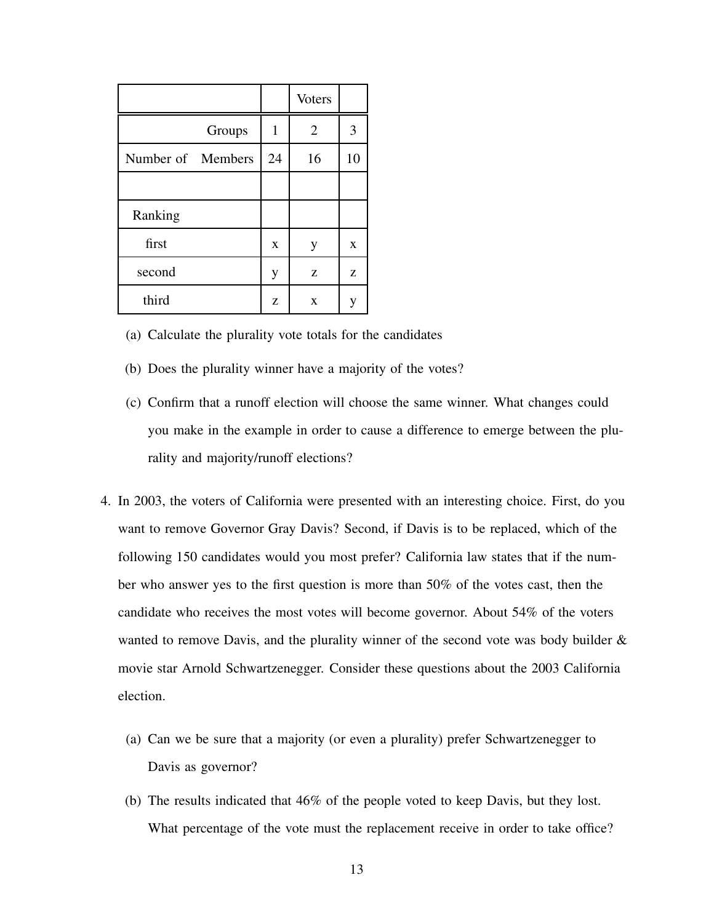|                   |              | <b>Voters</b>  |              |
|-------------------|--------------|----------------|--------------|
| Groups            | $\mathbf{1}$ | $\overline{2}$ | 3            |
| Number of Members | 24           | 16             | 10           |
|                   |              |                |              |
| Ranking           |              |                |              |
| first             | $\mathbf{x}$ | у              | $\mathbf{x}$ |
| second            | y            | Z              | z            |
| third             | Z            | X              |              |

- (a) Calculate the plurality vote totals for the candidates
- (b) Does the plurality winner have a majority of the votes?
- (c) Confirm that a runoff election will choose the same winner. What changes could you make in the example in order to cause a difference to emerge between the plurality and majority/runoff elections?
- 4. In 2003, the voters of California were presented with an interesting choice. First, do you want to remove Governor Gray Davis? Second, if Davis is to be replaced, which of the following 150 candidates would you most prefer? California law states that if the number who answer yes to the first question is more than 50% of the votes cast, then the candidate who receives the most votes will become governor. About 54% of the voters wanted to remove Davis, and the plurality winner of the second vote was body builder & movie star Arnold Schwartzenegger. Consider these questions about the 2003 California election.
	- (a) Can we be sure that a majority (or even a plurality) prefer Schwartzenegger to Davis as governor?
	- (b) The results indicated that 46% of the people voted to keep Davis, but they lost. What percentage of the vote must the replacement receive in order to take office?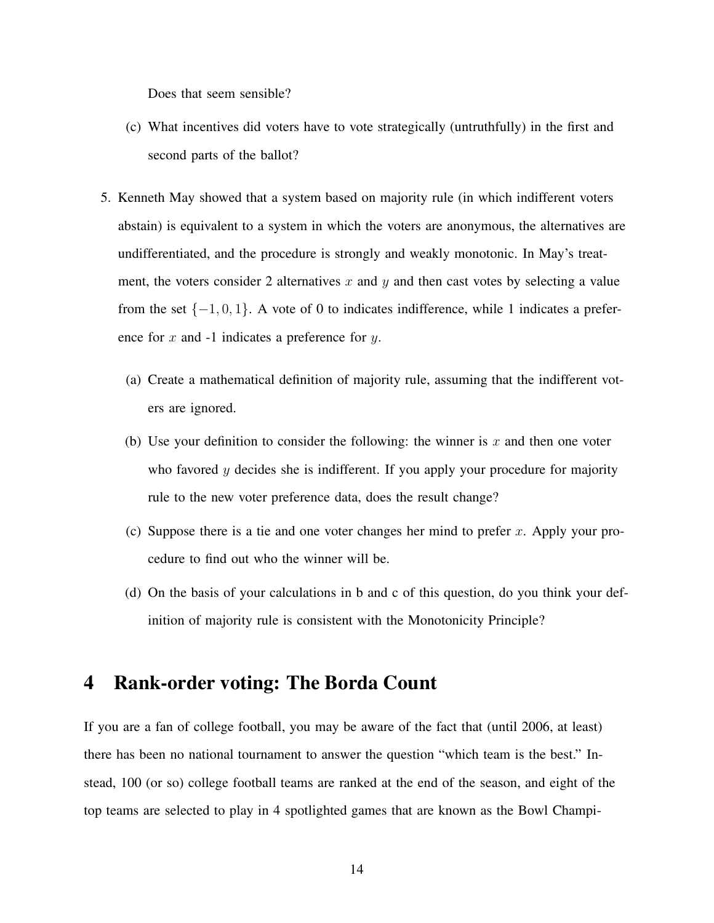Does that seem sensible?

- (c) What incentives did voters have to vote strategically (untruthfully) in the first and second parts of the ballot?
- 5. Kenneth May showed that a system based on majority rule (in which indifferent voters abstain) is equivalent to a system in which the voters are anonymous, the alternatives are undifferentiated, and the procedure is strongly and weakly monotonic. In May's treatment, the voters consider 2 alternatives x and y and then cast votes by selecting a value from the set  $\{-1, 0, 1\}$ . A vote of 0 to indicates indifference, while 1 indicates a preference for  $x$  and  $-1$  indicates a preference for  $y$ .
	- (a) Create a mathematical definition of majority rule, assuming that the indifferent voters are ignored.
	- (b) Use your definition to consider the following: the winner is  $x$  and then one voter who favored  $y$  decides she is indifferent. If you apply your procedure for majority rule to the new voter preference data, does the result change?
	- (c) Suppose there is a tie and one voter changes her mind to prefer x. Apply your procedure to find out who the winner will be.
	- (d) On the basis of your calculations in b and c of this question, do you think your definition of majority rule is consistent with the Monotonicity Principle?

# **4 Rank-order voting: The Borda Count**

If you are a fan of college football, you may be aware of the fact that (until 2006, at least) there has been no national tournament to answer the question "which team is the best." Instead, 100 (or so) college football teams are ranked at the end of the season, and eight of the top teams are selected to play in 4 spotlighted games that are known as the Bowl Champi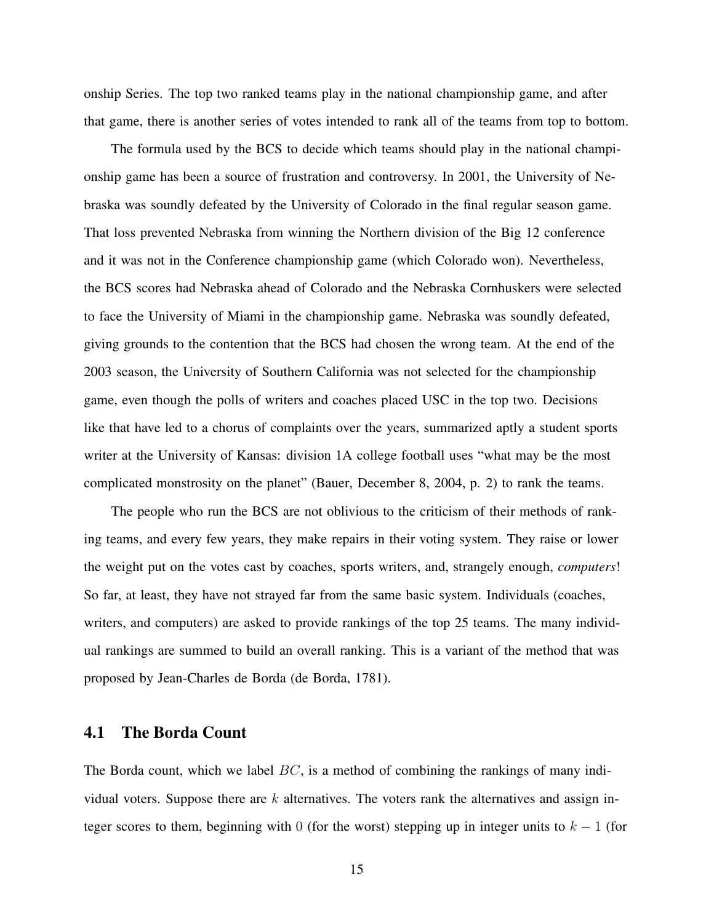onship Series. The top two ranked teams play in the national championship game, and after that game, there is another series of votes intended to rank all of the teams from top to bottom.

The formula used by the BCS to decide which teams should play in the national championship game has been a source of frustration and controversy. In 2001, the University of Nebraska was soundly defeated by the University of Colorado in the final regular season game. That loss prevented Nebraska from winning the Northern division of the Big 12 conference and it was not in the Conference championship game (which Colorado won). Nevertheless, the BCS scores had Nebraska ahead of Colorado and the Nebraska Cornhuskers were selected to face the University of Miami in the championship game. Nebraska was soundly defeated, giving grounds to the contention that the BCS had chosen the wrong team. At the end of the 2003 season, the University of Southern California was not selected for the championship game, even though the polls of writers and coaches placed USC in the top two. Decisions like that have led to a chorus of complaints over the years, summarized aptly a student sports writer at the University of Kansas: division 1A college football uses "what may be the most complicated monstrosity on the planet" (Bauer, December 8, 2004, p. 2) to rank the teams.

The people who run the BCS are not oblivious to the criticism of their methods of ranking teams, and every few years, they make repairs in their voting system. They raise or lower the weight put on the votes cast by coaches, sports writers, and, strangely enough, *computers*! So far, at least, they have not strayed far from the same basic system. Individuals (coaches, writers, and computers) are asked to provide rankings of the top 25 teams. The many individual rankings are summed to build an overall ranking. This is a variant of the method that was proposed by Jean-Charles de Borda (de Borda, 1781).

#### **4.1 The Borda Count**

The Borda count, which we label  $BC$ , is a method of combining the rankings of many individual voters. Suppose there are  $k$  alternatives. The voters rank the alternatives and assign integer scores to them, beginning with 0 (for the worst) stepping up in integer units to  $k - 1$  (for

15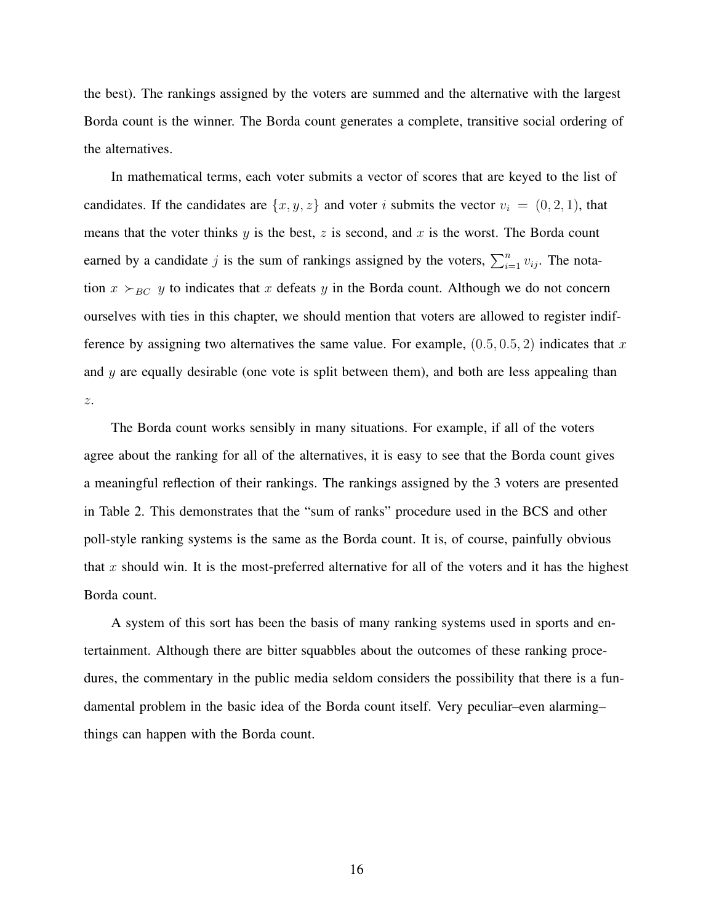the best). The rankings assigned by the voters are summed and the alternative with the largest Borda count is the winner. The Borda count generates a complete, transitive social ordering of the alternatives.

In mathematical terms, each voter submits a vector of scores that are keyed to the list of candidates. If the candidates are  $\{x, y, z\}$  and voter i submits the vector  $v_i = (0, 2, 1)$ , that means that the voter thinks y is the best, z is second, and x is the worst. The Borda count earned by a candidate j is the sum of rankings assigned by the voters,  $\sum_{i=1}^{n} v_{ij}$ . The notation  $x \succ_{BC} y$  to indicates that x defeats y in the Borda count. Although we do not concern ourselves with ties in this chapter, we should mention that voters are allowed to register indifference by assigning two alternatives the same value. For example,  $(0.5, 0.5, 2)$  indicates that x and  $y$  are equally desirable (one vote is split between them), and both are less appealing than z.

The Borda count works sensibly in many situations. For example, if all of the voters agree about the ranking for all of the alternatives, it is easy to see that the Borda count gives a meaningful reflection of their rankings. The rankings assigned by the 3 voters are presented in Table 2. This demonstrates that the "sum of ranks" procedure used in the BCS and other poll-style ranking systems is the same as the Borda count. It is, of course, painfully obvious that x should win. It is the most-preferred alternative for all of the voters and it has the highest Borda count.

A system of this sort has been the basis of many ranking systems used in sports and entertainment. Although there are bitter squabbles about the outcomes of these ranking procedures, the commentary in the public media seldom considers the possibility that there is a fundamental problem in the basic idea of the Borda count itself. Very peculiar–even alarming– things can happen with the Borda count.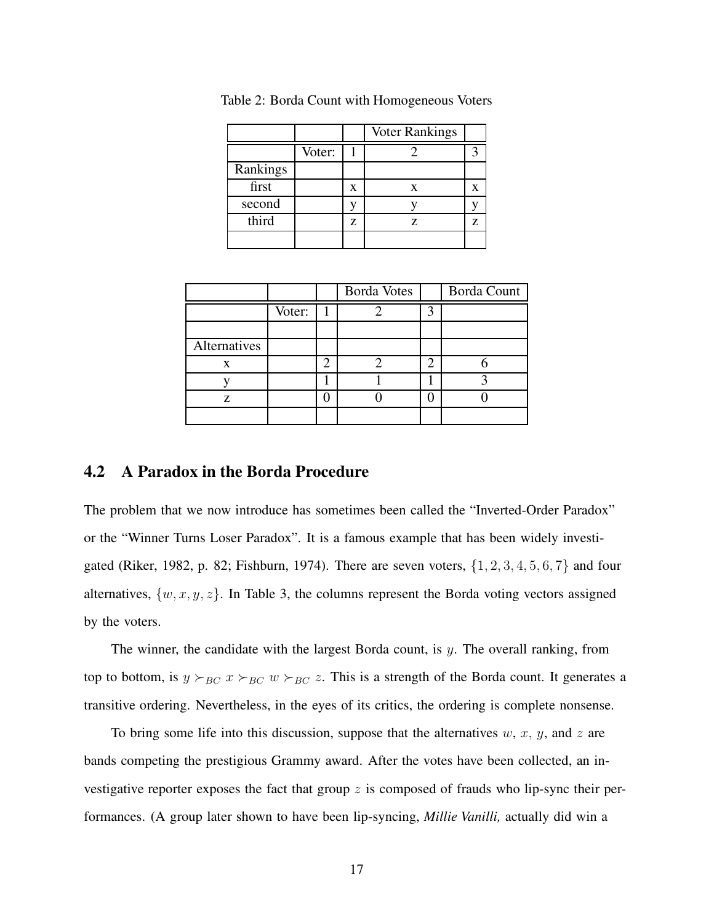|          |        |   | <b>Voter Rankings</b> |   |
|----------|--------|---|-----------------------|---|
|          | Voter: |   |                       |   |
| Rankings |        |   |                       |   |
| first    |        | x | x                     | X |
| second   |        |   |                       |   |
| third    |        | Z | Z                     | 7 |
|          |        |   |                       |   |

Table 2: Borda Count with Homogeneous Voters

|              |        |   | <b>Borda Votes</b> |   | <b>Borda Count</b> |
|--------------|--------|---|--------------------|---|--------------------|
|              | Voter: |   |                    | о |                    |
|              |        |   |                    |   |                    |
| Alternatives |        |   |                    |   |                    |
| x            |        | ◠ |                    | 2 |                    |
|              |        |   |                    |   |                    |
| Z            |        |   |                    |   |                    |
|              |        |   |                    |   |                    |

### **4.2 A Paradox in the Borda Procedure**

The problem that we now introduce has sometimes been called the "Inverted-Order Paradox" or the "Winner Turns Loser Paradox". It is a famous example that has been widely investigated (Riker, 1982, p. 82; Fishburn, 1974). There are seven voters,  $\{1, 2, 3, 4, 5, 6, 7\}$  and four alternatives,  $\{w, x, y, z\}$ . In Table 3, the columns represent the Borda voting vectors assigned by the voters.

The winner, the candidate with the largest Borda count, is  $y$ . The overall ranking, from top to bottom, is  $y \succ_{BC} x \succ_{BC} w \succ_{BC} z$ . This is a strength of the Borda count. It generates a transitive ordering. Nevertheless, in the eyes of its critics, the ordering is complete nonsense.

To bring some life into this discussion, suppose that the alternatives  $w, x, y$ , and z are bands competing the prestigious Grammy award. After the votes have been collected, an investigative reporter exposes the fact that group  $z$  is composed of frauds who lip-sync their performances. (A group later shown to have been lip-syncing, *Millie Vanilli,* actually did win a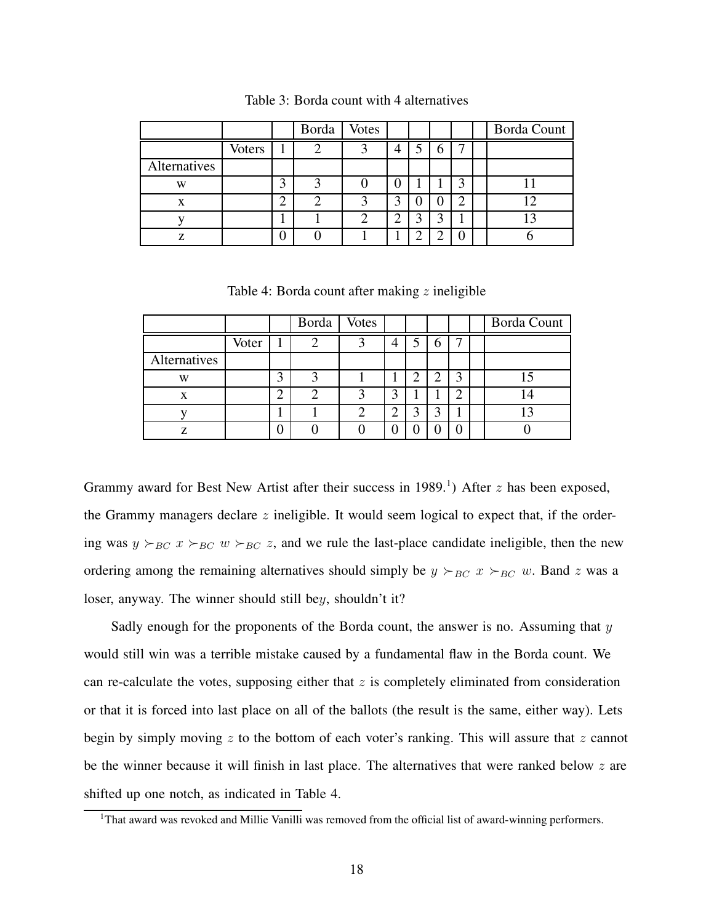|              |               |   | Borda | <b>Votes</b> |          |   |   |  | <b>Borda Count</b> |
|--------------|---------------|---|-------|--------------|----------|---|---|--|--------------------|
|              | <b>Voters</b> |   |       |              | 4        |   | n |  |                    |
| Alternatives |               |   |       |              |          |   |   |  |                    |
| W            |               | ر |       |              | $\theta$ |   |   |  |                    |
| X            |               | ∠ |       |              | 3        | U | 0 |  |                    |
|              |               |   |       |              | ി        |   |   |  |                    |
| ⇁            |               |   |       |              |          | ⌒ | ◠ |  |                    |

Table 3: Borda count with 4 alternatives

Table 4: Borda count after making  $z$  ineligible

|              |       |   | Borda | <b>Votes</b> |        |   |   |  | Borda Count |
|--------------|-------|---|-------|--------------|--------|---|---|--|-------------|
|              | Voter |   |       |              |        |   | n |  |             |
| Alternatives |       |   |       |              |        |   |   |  |             |
| W            |       | 3 |       |              |        |   |   |  |             |
| X            |       | ◠ |       |              | 3      |   |   |  |             |
|              |       |   |       | 2            | ◠<br>∠ | 2 |   |  |             |
| Z            |       |   |       |              |        |   |   |  |             |

Grammy award for Best New Artist after their success in 1989.<sup>1</sup>) After  $z$  has been exposed, the Grammy managers declare  $z$  ineligible. It would seem logical to expect that, if the ordering was  $y \succ_{BC} x \succ_{BC} w \succ_{BC} z$ , and we rule the last-place candidate ineligible, then the new ordering among the remaining alternatives should simply be  $y \succ_{BC} x \succ_{BC} w$ . Band z was a loser, anyway. The winner should still bey, shouldn't it?

Sadly enough for the proponents of the Borda count, the answer is no. Assuming that  $y$ would still win was a terrible mistake caused by a fundamental flaw in the Borda count. We can re-calculate the votes, supposing either that  $z$  is completely eliminated from consideration or that it is forced into last place on all of the ballots (the result is the same, either way). Lets begin by simply moving z to the bottom of each voter's ranking. This will assure that z cannot be the winner because it will finish in last place. The alternatives that were ranked below  $z$  are shifted up one notch, as indicated in Table 4.

<sup>&</sup>lt;sup>1</sup>That award was revoked and Millie Vanilli was removed from the official list of award-winning performers.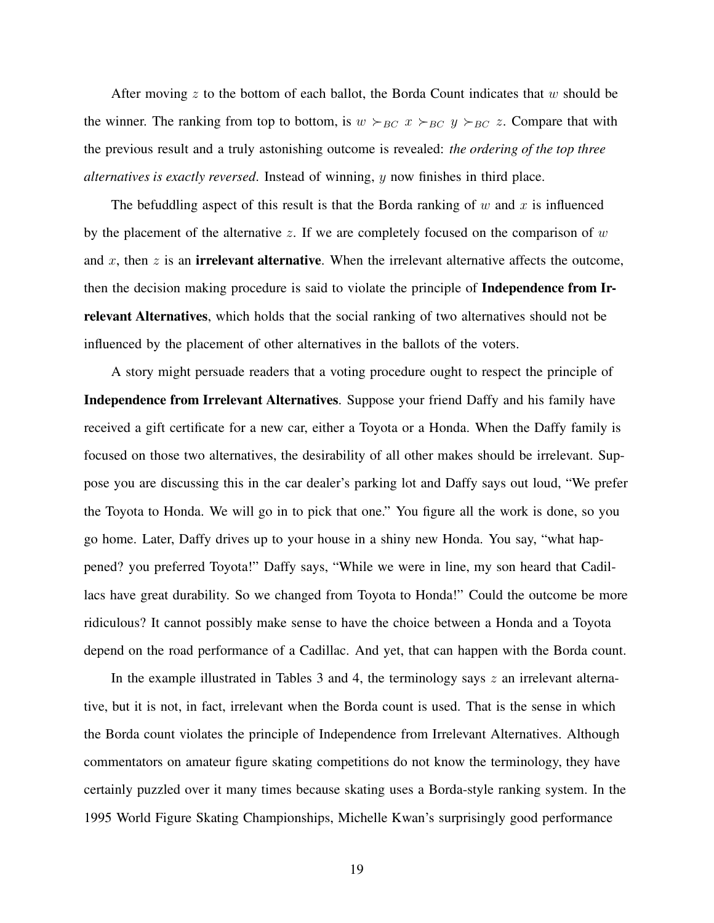After moving z to the bottom of each ballot, the Borda Count indicates that w should be the winner. The ranking from top to bottom, is  $w \succ_{BC} x \succ_{BC} y \succ_{BC} z$ . Compare that with the previous result and a truly astonishing outcome is revealed: *the ordering of the top three alternatives is exactly reversed*. Instead of winning, y now finishes in third place.

The befuddling aspect of this result is that the Borda ranking of  $w$  and  $x$  is influenced by the placement of the alternative  $z$ . If we are completely focused on the comparison of  $w$ and  $x$ , then  $z$  is an **irrelevant alternative**. When the irrelevant alternative affects the outcome, then the decision making procedure is said to violate the principle of **Independence from Irrelevant Alternatives**, which holds that the social ranking of two alternatives should not be influenced by the placement of other alternatives in the ballots of the voters.

A story might persuade readers that a voting procedure ought to respect the principle of **Independence from Irrelevant Alternatives**. Suppose your friend Daffy and his family have received a gift certificate for a new car, either a Toyota or a Honda. When the Daffy family is focused on those two alternatives, the desirability of all other makes should be irrelevant. Suppose you are discussing this in the car dealer's parking lot and Daffy says out loud, "We prefer the Toyota to Honda. We will go in to pick that one." You figure all the work is done, so you go home. Later, Daffy drives up to your house in a shiny new Honda. You say, "what happened? you preferred Toyota!" Daffy says, "While we were in line, my son heard that Cadillacs have great durability. So we changed from Toyota to Honda!" Could the outcome be more ridiculous? It cannot possibly make sense to have the choice between a Honda and a Toyota depend on the road performance of a Cadillac. And yet, that can happen with the Borda count.

In the example illustrated in Tables 3 and 4, the terminology says  $z$  an irrelevant alternative, but it is not, in fact, irrelevant when the Borda count is used. That is the sense in which the Borda count violates the principle of Independence from Irrelevant Alternatives. Although commentators on amateur figure skating competitions do not know the terminology, they have certainly puzzled over it many times because skating uses a Borda-style ranking system. In the 1995 World Figure Skating Championships, Michelle Kwan's surprisingly good performance

19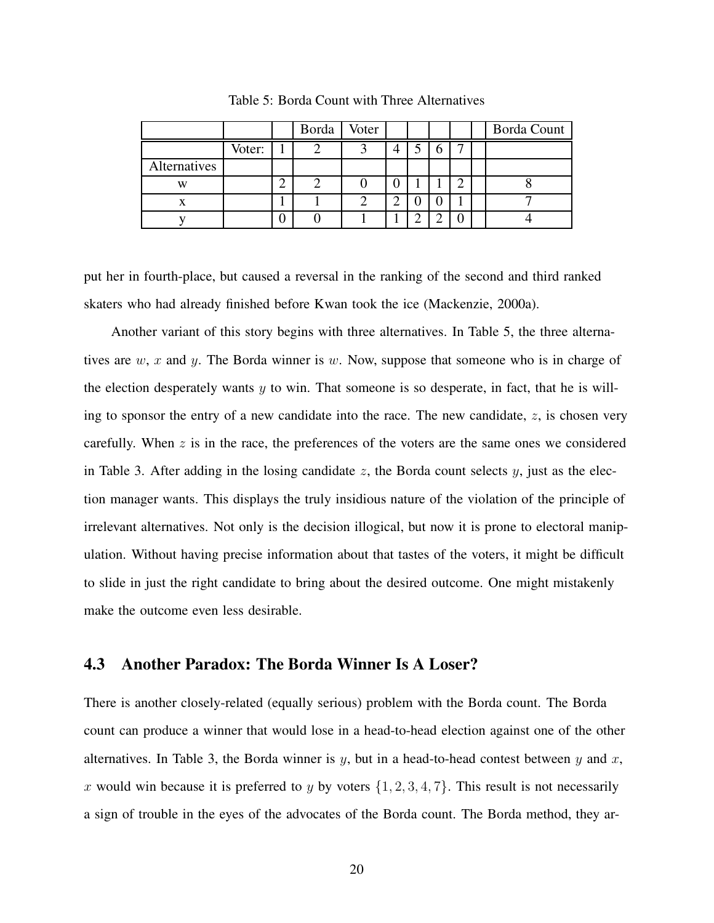|              |        |   | Borda | Voter |   |  |  | <b>Borda Count</b> |
|--------------|--------|---|-------|-------|---|--|--|--------------------|
|              | Voter: |   |       |       |   |  |  |                    |
| Alternatives |        |   |       |       |   |  |  |                    |
| W            |        | ◠ |       |       | U |  |  |                    |
| л            |        |   |       | n     | ⌒ |  |  |                    |
|              |        | U |       |       |   |  |  |                    |

Table 5: Borda Count with Three Alternatives

put her in fourth-place, but caused a reversal in the ranking of the second and third ranked skaters who had already finished before Kwan took the ice (Mackenzie, 2000a).

Another variant of this story begins with three alternatives. In Table 5, the three alternatives are w, x and y. The Borda winner is w. Now, suppose that someone who is in charge of the election desperately wants  $y$  to win. That someone is so desperate, in fact, that he is willing to sponsor the entry of a new candidate into the race. The new candidate,  $z$ , is chosen very carefully. When  $z$  is in the race, the preferences of the voters are the same ones we considered in Table 3. After adding in the losing candidate  $z$ , the Borda count selects  $y$ , just as the election manager wants. This displays the truly insidious nature of the violation of the principle of irrelevant alternatives. Not only is the decision illogical, but now it is prone to electoral manipulation. Without having precise information about that tastes of the voters, it might be difficult to slide in just the right candidate to bring about the desired outcome. One might mistakenly make the outcome even less desirable.

## **4.3 Another Paradox: The Borda Winner Is A Loser?**

There is another closely-related (equally serious) problem with the Borda count. The Borda count can produce a winner that would lose in a head-to-head election against one of the other alternatives. In Table 3, the Borda winner is  $y$ , but in a head-to-head contest between  $y$  and  $x$ , x would win because it is preferred to y by voters  $\{1, 2, 3, 4, 7\}$ . This result is not necessarily a sign of trouble in the eyes of the advocates of the Borda count. The Borda method, they ar-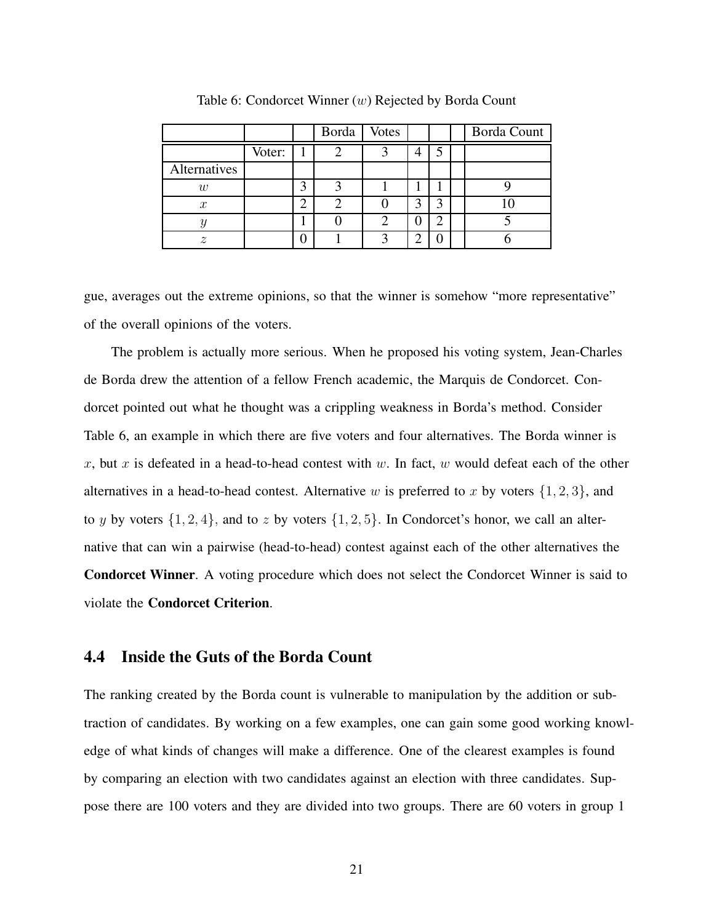|                  |        | Borda | <b>Votes</b> |   | <b>Borda Count</b> |
|------------------|--------|-------|--------------|---|--------------------|
|                  | Voter: |       |              |   |                    |
| Alternatives     |        |       |              |   |                    |
| w                |        |       |              |   |                    |
| $\boldsymbol{x}$ |        |       |              | 3 |                    |
|                  |        |       |              |   |                    |
| $\overline{z}$   |        |       |              |   |                    |

Table 6: Condorcet Winner  $(w)$  Rejected by Borda Count

gue, averages out the extreme opinions, so that the winner is somehow "more representative" of the overall opinions of the voters.

The problem is actually more serious. When he proposed his voting system, Jean-Charles de Borda drew the attention of a fellow French academic, the Marquis de Condorcet. Condorcet pointed out what he thought was a crippling weakness in Borda's method. Consider Table 6, an example in which there are five voters and four alternatives. The Borda winner is x, but x is defeated in a head-to-head contest with w. In fact, w would defeat each of the other alternatives in a head-to-head contest. Alternative w is preferred to x by voters  $\{1, 2, 3\}$ , and to y by voters  $\{1, 2, 4\}$ , and to z by voters  $\{1, 2, 5\}$ . In Condorcet's honor, we call an alternative that can win a pairwise (head-to-head) contest against each of the other alternatives the **Condorcet Winner**. A voting procedure which does not select the Condorcet Winner is said to violate the **Condorcet Criterion**.

#### **4.4 Inside the Guts of the Borda Count**

The ranking created by the Borda count is vulnerable to manipulation by the addition or subtraction of candidates. By working on a few examples, one can gain some good working knowledge of what kinds of changes will make a difference. One of the clearest examples is found by comparing an election with two candidates against an election with three candidates. Suppose there are 100 voters and they are divided into two groups. There are 60 voters in group 1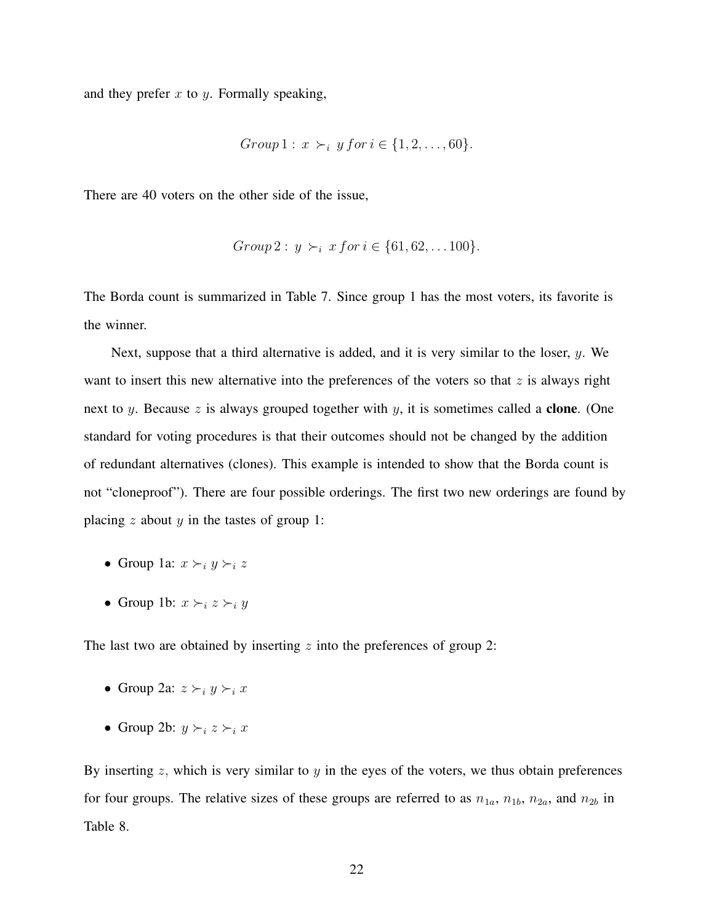and they prefer  $x$  to  $y$ . Formally speaking,

$$
Group 1: x \succ_i y for i \in \{1, 2, \ldots, 60\}.
$$

There are 40 voters on the other side of the issue,

$$
Group\,2:\,y \succ_i x \,for\, i \in \{61, 62, \dots 100\}.
$$

The Borda count is summarized in Table 7. Since group 1 has the most voters, its favorite is the winner.

Next, suppose that a third alternative is added, and it is very similar to the loser,  $\psi$ . We want to insert this new alternative into the preferences of the voters so that z is always right next to y. Because z is always grouped together with y, it is sometimes called a **clone**. (One standard for voting procedures is that their outcomes should not be changed by the addition of redundant alternatives (clones). This example is intended to show that the Borda count is not "cloneproof"). There are four possible orderings. The first two new orderings are found by placing z about  $y$  in the tastes of group 1:

- Group 1a:  $x \succ_i y \succ_i z$
- Group 1b:  $x \succ_i z \succ_i y$

The last two are obtained by inserting  $z$  into the preferences of group 2:

- Group 2a:  $z \succ_i y \succ_i x$
- Group 2b:  $y \succ_i z \succ_i x$

By inserting  $z$ , which is very similar to  $y$  in the eyes of the voters, we thus obtain preferences for four groups. The relative sizes of these groups are referred to as  $n_{1a}$ ,  $n_{1b}$ ,  $n_{2a}$ , and  $n_{2b}$  in Table 8.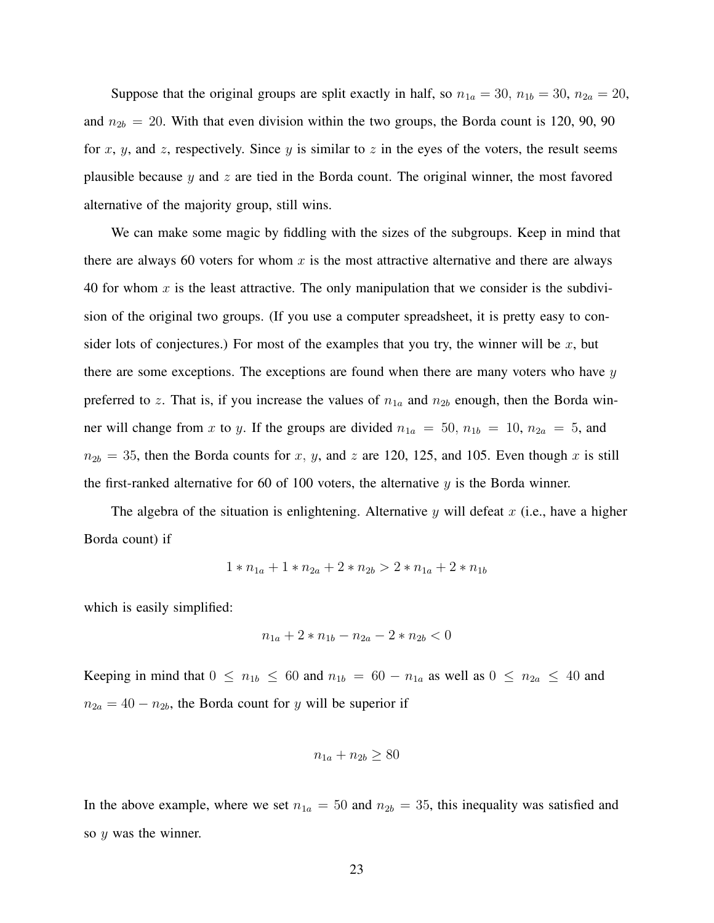Suppose that the original groups are split exactly in half, so  $n_{1a} = 30$ ,  $n_{1b} = 30$ ,  $n_{2a} = 20$ , and  $n_{2b} = 20$ . With that even division within the two groups, the Borda count is 120, 90, 90 for x, y, and z, respectively. Since y is similar to z in the eyes of the voters, the result seems plausible because y and z are tied in the Borda count. The original winner, the most favored alternative of the majority group, still wins.

We can make some magic by fiddling with the sizes of the subgroups. Keep in mind that there are always 60 voters for whom x is the most attractive alternative and there are always 40 for whom x is the least attractive. The only manipulation that we consider is the subdivision of the original two groups. (If you use a computer spreadsheet, it is pretty easy to consider lots of conjectures.) For most of the examples that you try, the winner will be  $x$ , but there are some exceptions. The exceptions are found when there are many voters who have  $y$ preferred to z. That is, if you increase the values of  $n_{1a}$  and  $n_{2b}$  enough, then the Borda winner will change from x to y. If the groups are divided  $n_{1a} = 50$ ,  $n_{1b} = 10$ ,  $n_{2a} = 5$ , and  $n_{2b} = 35$ , then the Borda counts for x, y, and z are 120, 125, and 105. Even though x is still the first-ranked alternative for 60 of 100 voters, the alternative  $y$  is the Borda winner.

The algebra of the situation is enlightening. Alternative y will defeat x (i.e., have a higher Borda count) if

$$
1 * n_{1a} + 1 * n_{2a} + 2 * n_{2b} > 2 * n_{1a} + 2 * n_{1b}
$$

which is easily simplified:

$$
n_{1a} + 2 * n_{1b} - n_{2a} - 2 * n_{2b} < 0
$$

Keeping in mind that  $0 \le n_{1b} \le 60$  and  $n_{1b} = 60 - n_{1a}$  as well as  $0 \le n_{2a} \le 40$  and  $n_{2a} = 40 - n_{2b}$ , the Borda count for y will be superior if

$$
n_{1a} + n_{2b} \ge 80
$$

In the above example, where we set  $n_{1a} = 50$  and  $n_{2b} = 35$ , this inequality was satisfied and so y was the winner.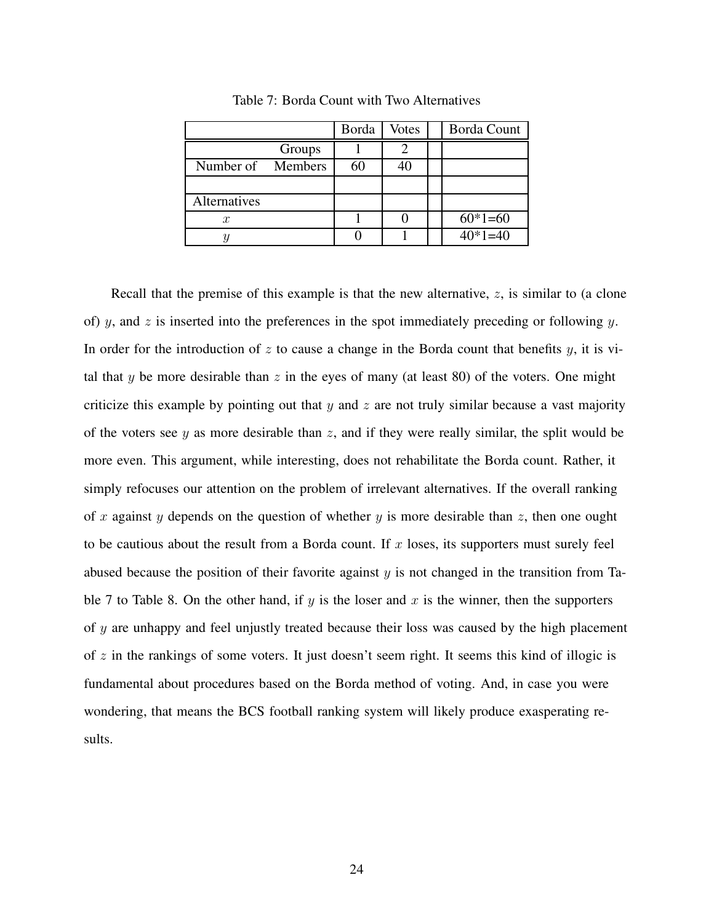|                   |        | Borda | <b>Votes</b> | <b>Borda Count</b> |
|-------------------|--------|-------|--------------|--------------------|
|                   | Groups |       |              |                    |
| Number of Members |        | 60    | 40           |                    |
|                   |        |       |              |                    |
| Alternatives      |        |       |              |                    |
| $\boldsymbol{x}$  |        |       |              | $60*1=60$          |
|                   |        |       |              | $40*1=40$          |

Table 7: Borda Count with Two Alternatives

Recall that the premise of this example is that the new alternative,  $z$ , is similar to (a clone of) y, and z is inserted into the preferences in the spot immediately preceding or following y. In order for the introduction of z to cause a change in the Borda count that benefits  $y$ , it is vital that y be more desirable than  $z$  in the eyes of many (at least 80) of the voters. One might criticize this example by pointing out that  $y$  and  $z$  are not truly similar because a vast majority of the voters see  $y$  as more desirable than z, and if they were really similar, the split would be more even. This argument, while interesting, does not rehabilitate the Borda count. Rather, it simply refocuses our attention on the problem of irrelevant alternatives. If the overall ranking of x against y depends on the question of whether y is more desirable than z, then one ought to be cautious about the result from a Borda count. If  $x$  loses, its supporters must surely feel abused because the position of their favorite against  $y$  is not changed in the transition from Table 7 to Table 8. On the other hand, if  $y$  is the loser and  $x$  is the winner, then the supporters of  $y$  are unhappy and feel unjustly treated because their loss was caused by the high placement of  $z$  in the rankings of some voters. It just doesn't seem right. It seems this kind of illogic is fundamental about procedures based on the Borda method of voting. And, in case you were wondering, that means the BCS football ranking system will likely produce exasperating results.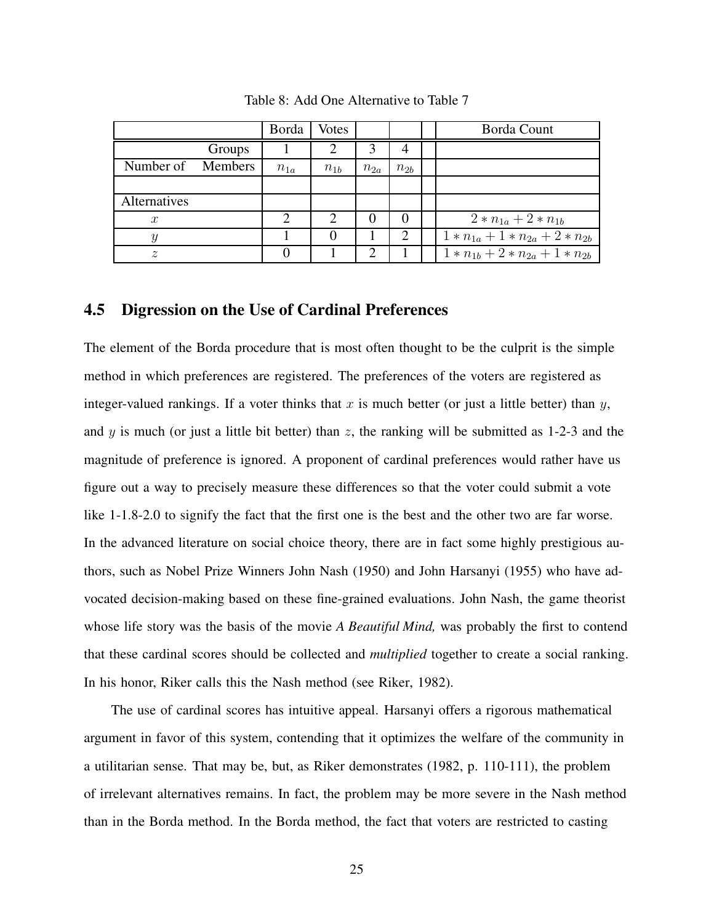|                           |        | Borda    | <b>Votes</b>                |                             |          | <b>Borda Count</b>                     |
|---------------------------|--------|----------|-----------------------------|-----------------------------|----------|----------------------------------------|
|                           | Groups |          |                             | 3                           |          |                                        |
| Number of Members         |        | $n_{1a}$ | $n_{1b}$                    | $n_{2a}$                    | $n_{2b}$ |                                        |
|                           |        |          |                             |                             |          |                                        |
| Alternatives              |        |          |                             |                             |          |                                        |
| $\boldsymbol{x}$          |        | ာ        | $\mathcal{D}_{\mathcal{L}}$ | 0                           | O        | $2 * n_{1a} + 2 * n_{1b}$              |
| Y                         |        |          |                             |                             |          | $1 * n_{1a} + 1 * n_{2a} + 2 * n_{2b}$ |
| $\widetilde{\mathcal{Z}}$ |        |          |                             | $\mathcal{D}_{\mathcal{L}}$ |          | $1 * n_{1b} + 2 * n_{2a} + 1 * n_{2b}$ |

Table 8: Add One Alternative to Table 7

## **4.5 Digression on the Use of Cardinal Preferences**

The element of the Borda procedure that is most often thought to be the culprit is the simple method in which preferences are registered. The preferences of the voters are registered as integer-valued rankings. If a voter thinks that x is much better (or just a little better) than y, and  $y$  is much (or just a little bit better) than z, the ranking will be submitted as 1-2-3 and the magnitude of preference is ignored. A proponent of cardinal preferences would rather have us figure out a way to precisely measure these differences so that the voter could submit a vote like 1-1.8-2.0 to signify the fact that the first one is the best and the other two are far worse. In the advanced literature on social choice theory, there are in fact some highly prestigious authors, such as Nobel Prize Winners John Nash (1950) and John Harsanyi (1955) who have advocated decision-making based on these fine-grained evaluations. John Nash, the game theorist whose life story was the basis of the movie *A Beautiful Mind,* was probably the first to contend that these cardinal scores should be collected and *multiplied* together to create a social ranking. In his honor, Riker calls this the Nash method (see Riker, 1982).

The use of cardinal scores has intuitive appeal. Harsanyi offers a rigorous mathematical argument in favor of this system, contending that it optimizes the welfare of the community in a utilitarian sense. That may be, but, as Riker demonstrates (1982, p. 110-111), the problem of irrelevant alternatives remains. In fact, the problem may be more severe in the Nash method than in the Borda method. In the Borda method, the fact that voters are restricted to casting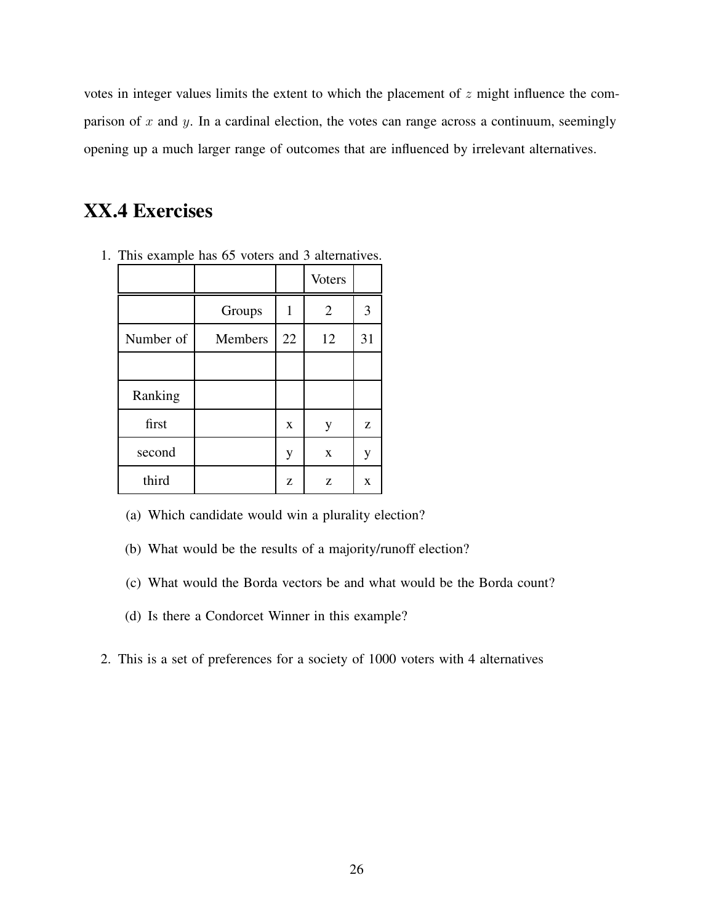votes in integer values limits the extent to which the placement of  $z$  might influence the comparison of  $x$  and  $y$ . In a cardinal election, the votes can range across a continuum, seemingly opening up a much larger range of outcomes that are influenced by irrelevant alternatives.

# **XX.4 Exercises**

|           |         |    | <b>Voters</b> |    |
|-----------|---------|----|---------------|----|
|           | Groups  | 1  | 2             | 3  |
| Number of | Members | 22 | 12            | 31 |
|           |         |    |               |    |
| Ranking   |         |    |               |    |
| first     |         | X  | y             | Z  |
| second    |         | y  | X             | у  |
| third     |         | Z  | Z             | X  |

1. This example has 65 voters and 3 alternatives.

- (a) Which candidate would win a plurality election?
- (b) What would be the results of a majority/runoff election?
- (c) What would the Borda vectors be and what would be the Borda count?
- (d) Is there a Condorcet Winner in this example?
- 2. This is a set of preferences for a society of 1000 voters with 4 alternatives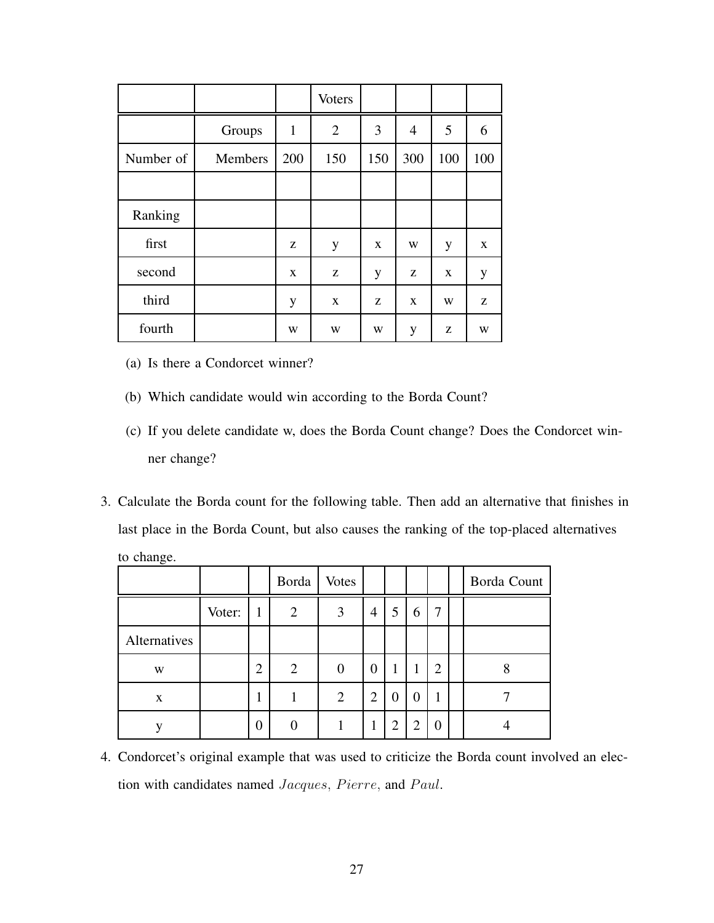|           |         |              | <b>Voters</b>  |     |     |     |     |
|-----------|---------|--------------|----------------|-----|-----|-----|-----|
|           | Groups  | $\mathbf{1}$ | $\overline{2}$ | 3   | 4   | 5   | 6   |
| Number of | Members | 200          | 150            | 150 | 300 | 100 | 100 |
|           |         |              |                |     |     |     |     |
| Ranking   |         |              |                |     |     |     |     |
| first     |         | Z            | y              | X   | W   | y   | X   |
| second    |         | X            | Z              | y   | Z   | X   | y   |
| third     |         | y            | X              | Z   | X   | W   | Z   |
| fourth    |         | W            | W              | W   | y   | Z   | W   |

- (a) Is there a Condorcet winner?
- (b) Which candidate would win according to the Borda Count?
- (c) If you delete candidate w, does the Borda Count change? Does the Condorcet winner change?
- 3. Calculate the Borda count for the following table. Then add an alternative that finishes in last place in the Borda Count, but also causes the ranking of the top-placed alternatives to change.

|              |        |                | Borda          | <b>Votes</b>   |                |          |          |                | Borda Count |
|--------------|--------|----------------|----------------|----------------|----------------|----------|----------|----------------|-------------|
|              | Voter: | 1              | $\overline{2}$ | 3              | 4              | 5        | 6        |                |             |
| Alternatives |        |                |                |                |                |          |          |                |             |
| W            |        | $\overline{2}$ | $\overline{2}$ | $\overline{0}$ | $\theta$       |          | I        | $\overline{2}$ | 8           |
| X            |        | 1              |                | 2              | $\overline{2}$ | $\theta$ | $\Omega$ | 1              |             |
|              |        | $\overline{0}$ |                |                | 1              | 2        | 2        | $\Omega$       |             |

4. Condorcet's original example that was used to criticize the Borda count involved an election with candidates named Jacques, Pierre, and Paul.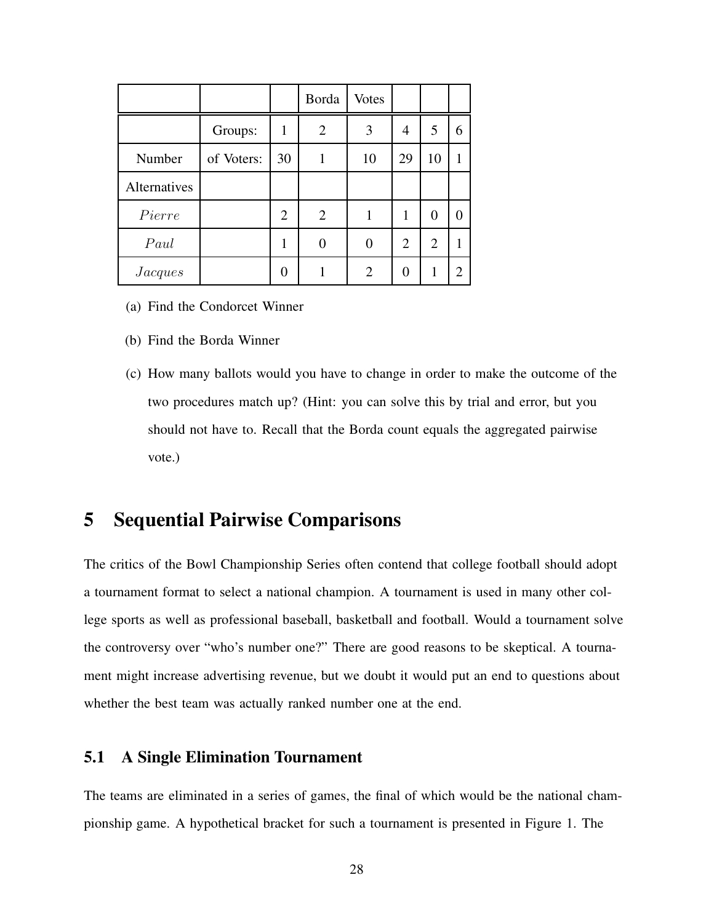|              |            |                | Borda          | <b>Votes</b> |                |                |                       |
|--------------|------------|----------------|----------------|--------------|----------------|----------------|-----------------------|
|              | Groups:    | 1              | $\overline{2}$ | 3            | 4              | 5              | 6                     |
| Number       | of Voters: | 30             |                | 10           | 29             | 10             |                       |
| Alternatives |            |                |                |              |                |                |                       |
| Pierre       |            | $\overline{2}$ | $\overline{2}$ | 1            | 1              | 0              |                       |
| Paul         |            |                |                |              | $\overline{2}$ | $\overline{2}$ |                       |
| Jacques      |            |                |                | 2            | 0              | 1              | $\mathcal{D}_{\cdot}$ |

- (a) Find the Condorcet Winner
- (b) Find the Borda Winner
- (c) How many ballots would you have to change in order to make the outcome of the two procedures match up? (Hint: you can solve this by trial and error, but you should not have to. Recall that the Borda count equals the aggregated pairwise vote.)

# **5 Sequential Pairwise Comparisons**

The critics of the Bowl Championship Series often contend that college football should adopt a tournament format to select a national champion. A tournament is used in many other college sports as well as professional baseball, basketball and football. Would a tournament solve the controversy over "who's number one?" There are good reasons to be skeptical. A tournament might increase advertising revenue, but we doubt it would put an end to questions about whether the best team was actually ranked number one at the end.

## **5.1 A Single Elimination Tournament**

The teams are eliminated in a series of games, the final of which would be the national championship game. A hypothetical bracket for such a tournament is presented in Figure 1. The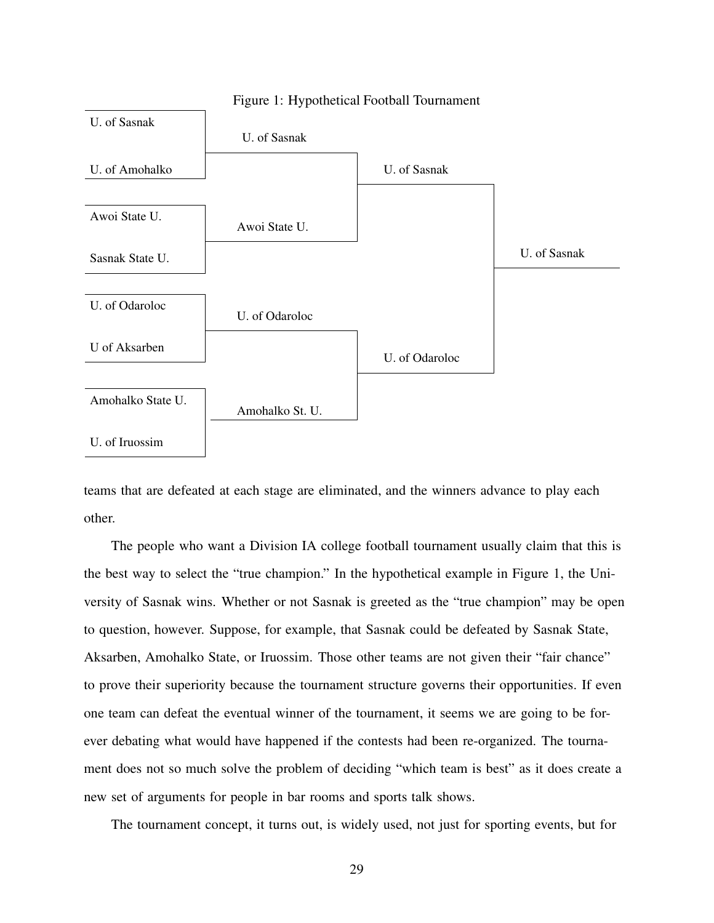

#### Figure 1: Hypothetical Football Tournament

teams that are defeated at each stage are eliminated, and the winners advance to play each other.

The people who want a Division IA college football tournament usually claim that this is the best way to select the "true champion." In the hypothetical example in Figure 1, the University of Sasnak wins. Whether or not Sasnak is greeted as the "true champion" may be open to question, however. Suppose, for example, that Sasnak could be defeated by Sasnak State, Aksarben, Amohalko State, or Iruossim. Those other teams are not given their "fair chance" to prove their superiority because the tournament structure governs their opportunities. If even one team can defeat the eventual winner of the tournament, it seems we are going to be forever debating what would have happened if the contests had been re-organized. The tournament does not so much solve the problem of deciding "which team is best" as it does create a new set of arguments for people in bar rooms and sports talk shows.

The tournament concept, it turns out, is widely used, not just for sporting events, but for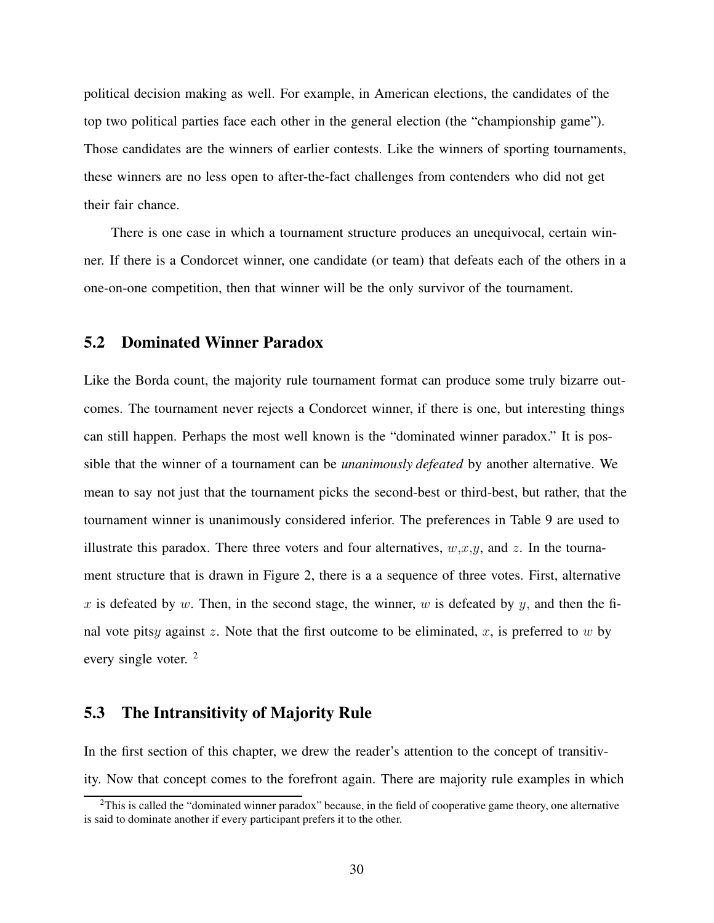political decision making as well. For example, in American elections, the candidates of the top two political parties face each other in the general election (the "championship game"). Those candidates are the winners of earlier contests. Like the winners of sporting tournaments, these winners are no less open to after-the-fact challenges from contenders who did not get their fair chance.

There is one case in which a tournament structure produces an unequivocal, certain winner. If there is a Condorcet winner, one candidate (or team) that defeats each of the others in a one-on-one competition, then that winner will be the only survivor of the tournament.

#### **5.2 Dominated Winner Paradox**

Like the Borda count, the majority rule tournament format can produce some truly bizarre outcomes. The tournament never rejects a Condorcet winner, if there is one, but interesting things can still happen. Perhaps the most well known is the "dominated winner paradox." It is possible that the winner of a tournament can be *unanimously defeated* by another alternative. We mean to say not just that the tournament picks the second-best or third-best, but rather, that the tournament winner is unanimously considered inferior. The preferences in Table 9 are used to illustrate this paradox. There three voters and four alternatives,  $w, x, y$ , and z. In the tournament structure that is drawn in Figure 2, there is a a sequence of three votes. First, alternative x is defeated by w. Then, in the second stage, the winner, w is defeated by y, and then the final vote pitsy against z. Note that the first outcome to be eliminated, x, is preferred to  $w$  by every single voter.<sup>2</sup>

## **5.3 The Intransitivity of Majority Rule**

In the first section of this chapter, we drew the reader's attention to the concept of transitivity. Now that concept comes to the forefront again. There are majority rule examples in which

 $2$ This is called the "dominated winner paradox" because, in the field of cooperative game theory, one alternative is said to dominate another if every participant prefers it to the other.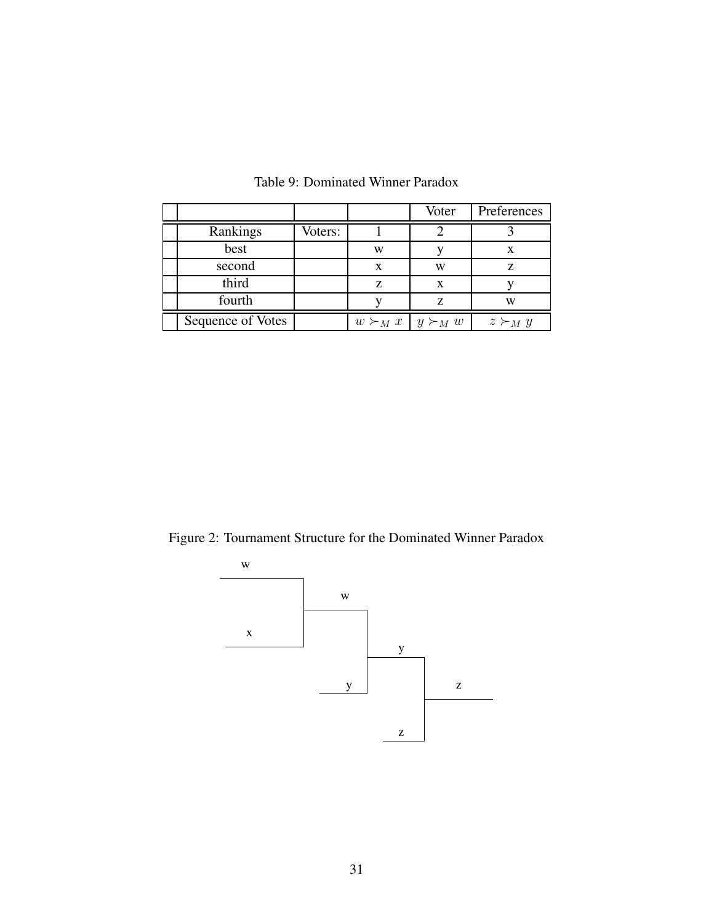|                   |         |                                | Voter | Preferences   |
|-------------------|---------|--------------------------------|-------|---------------|
| Rankings          | Voters: |                                |       |               |
| best              |         | w                              |       |               |
| second            |         | X                              | W     |               |
| third             |         |                                |       |               |
| fourth            |         |                                |       | W             |
| Sequence of Votes |         | $w \succ_M x \mid y \succ_M w$ |       | $z \succ_M y$ |

Table 9: Dominated Winner Paradox

Figure 2: Tournament Structure for the Dominated Winner Paradox

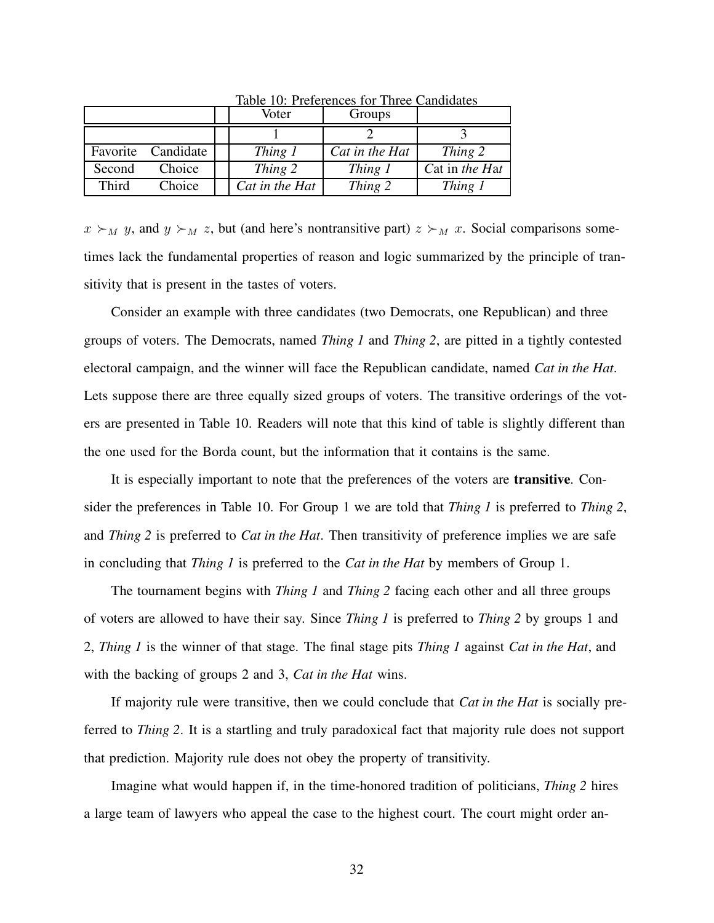|        |                    | Voter          | Groups         |                |
|--------|--------------------|----------------|----------------|----------------|
|        |                    |                |                |                |
|        | Favorite Candidate | Thing 1        | Cat in the Hat | Thing 2        |
| Second | Choice             | Thing 2        | Thing 1        | Cat in the Hat |
| Third  | Choice             | Cat in the Hat | Thing 2        | Thing 1        |

Table 10: Preferences for Three Candidates

 $x \succ_M y$ , and  $y \succ_M z$ , but (and here's nontransitive part)  $z \succ_M x$ . Social comparisons sometimes lack the fundamental properties of reason and logic summarized by the principle of transitivity that is present in the tastes of voters.

Consider an example with three candidates (two Democrats, one Republican) and three groups of voters. The Democrats, named *Thing 1* and *Thing 2*, are pitted in a tightly contested electoral campaign, and the winner will face the Republican candidate, named *Cat in the Hat*. Lets suppose there are three equally sized groups of voters. The transitive orderings of the voters are presented in Table 10. Readers will note that this kind of table is slightly different than the one used for the Borda count, but the information that it contains is the same.

It is especially important to note that the preferences of the voters are **transitive**. Consider the preferences in Table 10. For Group 1 we are told that *Thing 1* is preferred to *Thing 2*, and *Thing 2* is preferred to *Cat in the Hat*. Then transitivity of preference implies we are safe in concluding that *Thing 1* is preferred to the *Cat in the Hat* by members of Group 1.

The tournament begins with *Thing 1* and *Thing 2* facing each other and all three groups of voters are allowed to have their say. Since *Thing 1* is preferred to *Thing 2* by groups 1 and 2, *Thing 1* is the winner of that stage. The final stage pits *Thing 1* against *Cat in the Hat*, and with the backing of groups 2 and 3, *Cat in the Hat* wins.

If majority rule were transitive, then we could conclude that *Cat in the Hat* is socially preferred to *Thing 2*. It is a startling and truly paradoxical fact that majority rule does not support that prediction. Majority rule does not obey the property of transitivity.

Imagine what would happen if, in the time-honored tradition of politicians, *Thing 2* hires a large team of lawyers who appeal the case to the highest court. The court might order an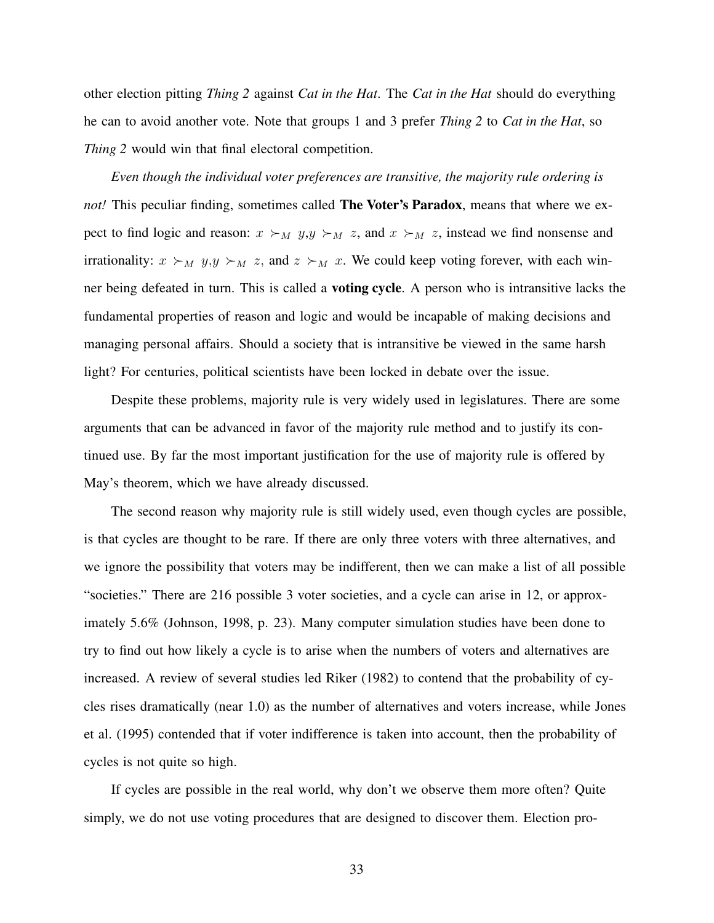other election pitting *Thing 2* against *Cat in the Hat*. The *Cat in the Hat* should do everything he can to avoid another vote. Note that groups 1 and 3 prefer *Thing 2* to *Cat in the Hat*, so *Thing* 2 would win that final electoral competition.

*Even though the individual voter preferences are transitive, the majority rule ordering is not!* This peculiar finding, sometimes called **The Voter's Paradox**, means that where we expect to find logic and reason:  $x \succ_M y, y \succ_M z$ , and  $x \succ_M z$ , instead we find nonsense and irrationality:  $x \succ_M y$ ,  $y \succ_M z$ , and  $z \succ_M x$ . We could keep voting forever, with each winner being defeated in turn. This is called a **voting cycle**. A person who is intransitive lacks the fundamental properties of reason and logic and would be incapable of making decisions and managing personal affairs. Should a society that is intransitive be viewed in the same harsh light? For centuries, political scientists have been locked in debate over the issue.

Despite these problems, majority rule is very widely used in legislatures. There are some arguments that can be advanced in favor of the majority rule method and to justify its continued use. By far the most important justification for the use of majority rule is offered by May's theorem, which we have already discussed.

The second reason why majority rule is still widely used, even though cycles are possible, is that cycles are thought to be rare. If there are only three voters with three alternatives, and we ignore the possibility that voters may be indifferent, then we can make a list of all possible "societies." There are 216 possible 3 voter societies, and a cycle can arise in 12, or approximately 5.6% (Johnson, 1998, p. 23). Many computer simulation studies have been done to try to find out how likely a cycle is to arise when the numbers of voters and alternatives are increased. A review of several studies led Riker (1982) to contend that the probability of cycles rises dramatically (near 1.0) as the number of alternatives and voters increase, while Jones et al. (1995) contended that if voter indifference is taken into account, then the probability of cycles is not quite so high.

If cycles are possible in the real world, why don't we observe them more often? Quite simply, we do not use voting procedures that are designed to discover them. Election pro-

33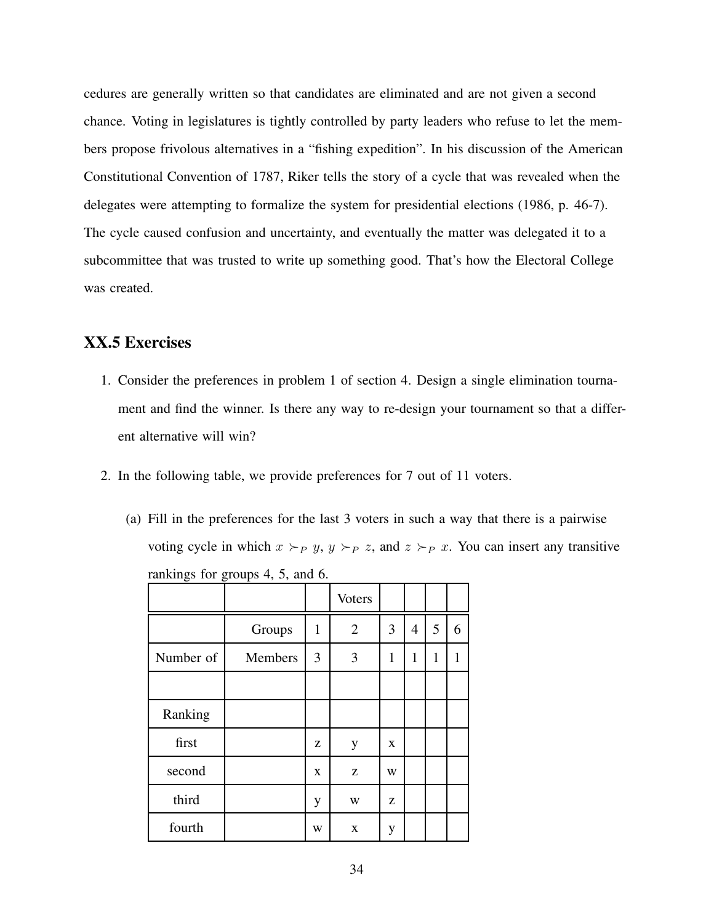cedures are generally written so that candidates are eliminated and are not given a second chance. Voting in legislatures is tightly controlled by party leaders who refuse to let the members propose frivolous alternatives in a "fishing expedition". In his discussion of the American Constitutional Convention of 1787, Riker tells the story of a cycle that was revealed when the delegates were attempting to formalize the system for presidential elections (1986, p. 46-7). The cycle caused confusion and uncertainty, and eventually the matter was delegated it to a subcommittee that was trusted to write up something good. That's how the Electoral College was created.

## **XX.5 Exercises**

- 1. Consider the preferences in problem 1 of section 4. Design a single elimination tournament and find the winner. Is there any way to re-design your tournament so that a different alternative will win?
- 2. In the following table, we provide preferences for 7 out of 11 voters.
	- (a) Fill in the preferences for the last 3 voters in such a way that there is a pairwise voting cycle in which  $x \succ_P y$ ,  $y \succ_P z$ , and  $z \succ_P x$ . You can insert any transitive rankings for groups 4, 5, and 6.

|           |         |              | <b>Voters</b>  |              |   |   |   |
|-----------|---------|--------------|----------------|--------------|---|---|---|
|           | Groups  | $\mathbf{1}$ | $\overline{2}$ | 3            | 4 | 5 | 6 |
| Number of | Members | 3            | 3              | $\mathbf{1}$ | 1 | 1 | 1 |
|           |         |              |                |              |   |   |   |
| Ranking   |         |              |                |              |   |   |   |
| first     |         | Z            | y              | X            |   |   |   |
| second    |         | X            | Z              | W            |   |   |   |
| third     |         | y            | W              | Z            |   |   |   |
| fourth    |         | W            | X              | y            |   |   |   |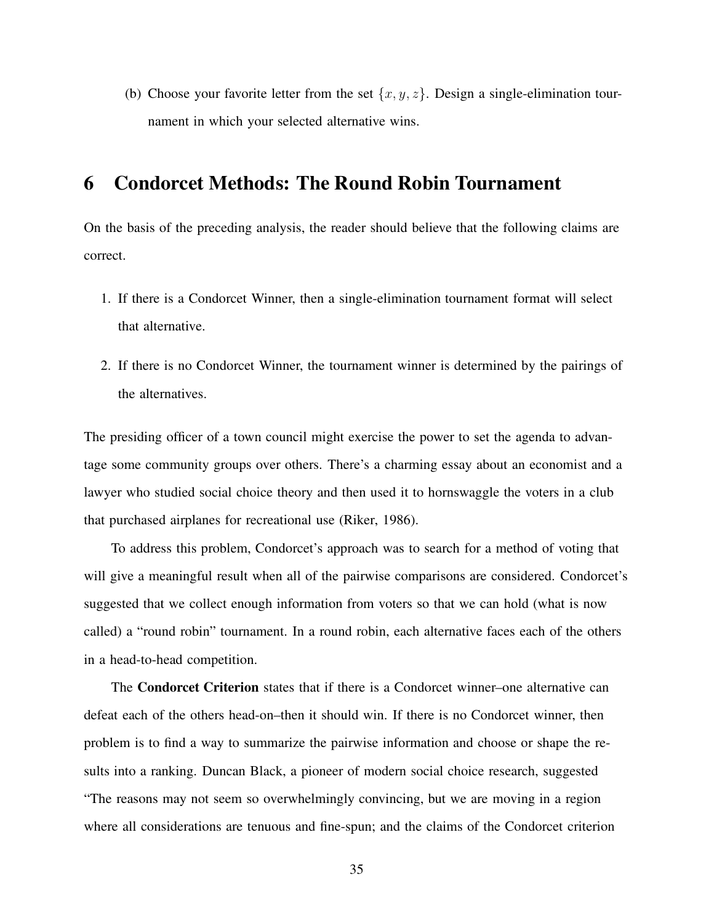(b) Choose your favorite letter from the set  $\{x, y, z\}$ . Design a single-elimination tournament in which your selected alternative wins.

## **6 Condorcet Methods: The Round Robin Tournament**

On the basis of the preceding analysis, the reader should believe that the following claims are correct.

- 1. If there is a Condorcet Winner, then a single-elimination tournament format will select that alternative.
- 2. If there is no Condorcet Winner, the tournament winner is determined by the pairings of the alternatives.

The presiding officer of a town council might exercise the power to set the agenda to advantage some community groups over others. There's a charming essay about an economist and a lawyer who studied social choice theory and then used it to hornswaggle the voters in a club that purchased airplanes for recreational use (Riker, 1986).

To address this problem, Condorcet's approach was to search for a method of voting that will give a meaningful result when all of the pairwise comparisons are considered. Condorcet's suggested that we collect enough information from voters so that we can hold (what is now called) a "round robin" tournament. In a round robin, each alternative faces each of the others in a head-to-head competition.

The **Condorcet Criterion** states that if there is a Condorcet winner–one alternative can defeat each of the others head-on–then it should win. If there is no Condorcet winner, then problem is to find a way to summarize the pairwise information and choose or shape the results into a ranking. Duncan Black, a pioneer of modern social choice research, suggested "The reasons may not seem so overwhelmingly convincing, but we are moving in a region where all considerations are tenuous and fine-spun; and the claims of the Condorcet criterion

35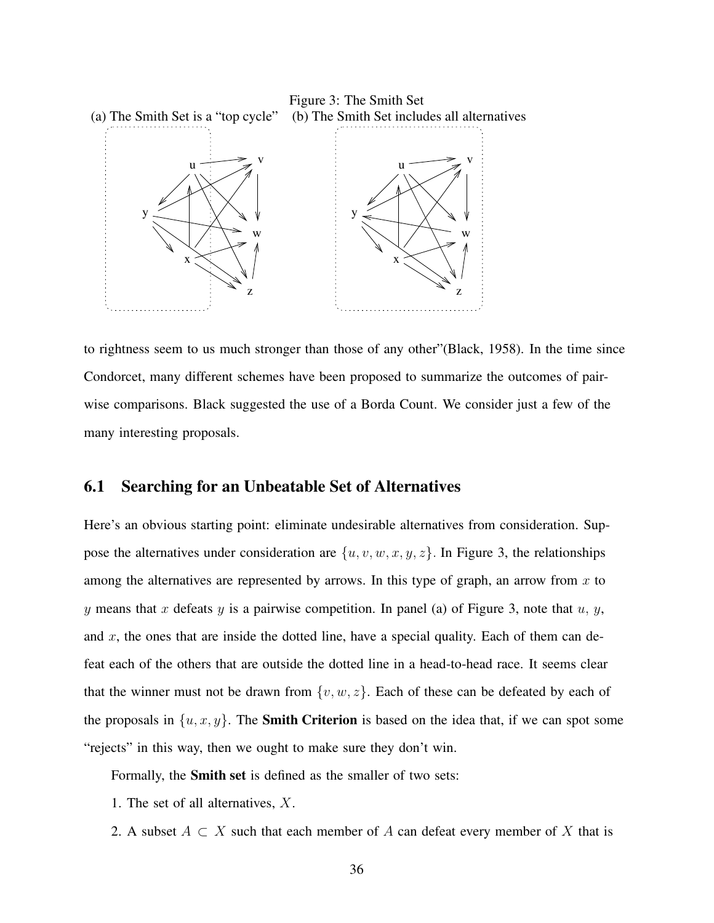

to rightness seem to us much stronger than those of any other"(Black, 1958). In the time since Condorcet, many different schemes have been proposed to summarize the outcomes of pairwise comparisons. Black suggested the use of a Borda Count. We consider just a few of the many interesting proposals.

#### **6.1 Searching for an Unbeatable Set of Alternatives**

Here's an obvious starting point: eliminate undesirable alternatives from consideration. Suppose the alternatives under consideration are  $\{u, v, w, x, y, z\}$ . In Figure 3, the relationships among the alternatives are represented by arrows. In this type of graph, an arrow from  $x$  to y means that x defeats y is a pairwise competition. In panel (a) of Figure 3, note that  $u, y$ , and  $x$ , the ones that are inside the dotted line, have a special quality. Each of them can defeat each of the others that are outside the dotted line in a head-to-head race. It seems clear that the winner must not be drawn from  $\{v, w, z\}$ . Each of these can be defeated by each of the proposals in  $\{u, x, y\}$ . The **Smith Criterion** is based on the idea that, if we can spot some "rejects" in this way, then we ought to make sure they don't win.

Formally, the **Smith set** is defined as the smaller of two sets:

- 1. The set of all alternatives, X.
- 2. A subset  $A \subset X$  such that each member of A can defeat every member of X that is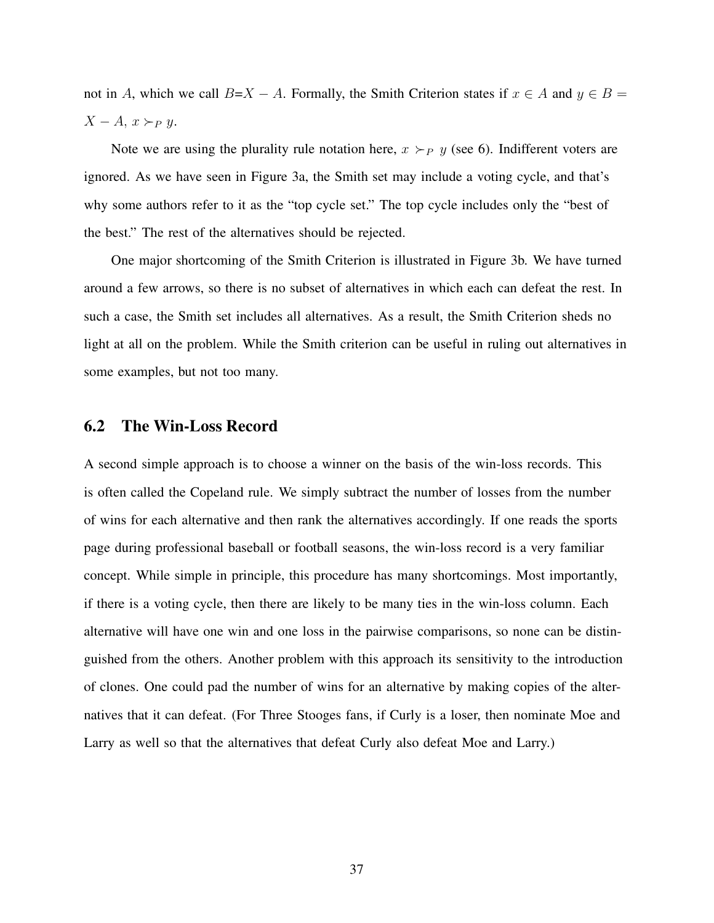not in A, which we call  $B=X - A$ . Formally, the Smith Criterion states if  $x \in A$  and  $y \in B =$  $X - A, x \succ_P y.$ 

Note we are using the plurality rule notation here,  $x \succ_P y$  (see 6). Indifferent voters are ignored. As we have seen in Figure 3a, the Smith set may include a voting cycle, and that's why some authors refer to it as the "top cycle set." The top cycle includes only the "best of the best." The rest of the alternatives should be rejected.

One major shortcoming of the Smith Criterion is illustrated in Figure 3b. We have turned around a few arrows, so there is no subset of alternatives in which each can defeat the rest. In such a case, the Smith set includes all alternatives. As a result, the Smith Criterion sheds no light at all on the problem. While the Smith criterion can be useful in ruling out alternatives in some examples, but not too many.

### **6.2 The Win-Loss Record**

A second simple approach is to choose a winner on the basis of the win-loss records. This is often called the Copeland rule. We simply subtract the number of losses from the number of wins for each alternative and then rank the alternatives accordingly. If one reads the sports page during professional baseball or football seasons, the win-loss record is a very familiar concept. While simple in principle, this procedure has many shortcomings. Most importantly, if there is a voting cycle, then there are likely to be many ties in the win-loss column. Each alternative will have one win and one loss in the pairwise comparisons, so none can be distinguished from the others. Another problem with this approach its sensitivity to the introduction of clones. One could pad the number of wins for an alternative by making copies of the alternatives that it can defeat. (For Three Stooges fans, if Curly is a loser, then nominate Moe and Larry as well so that the alternatives that defeat Curly also defeat Moe and Larry.)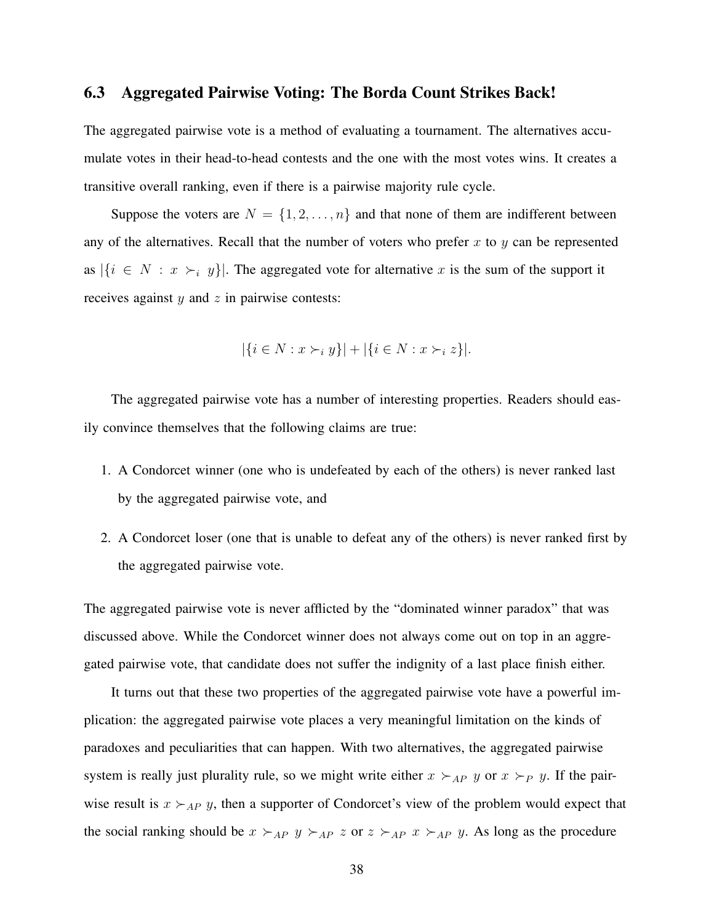#### **6.3 Aggregated Pairwise Voting: The Borda Count Strikes Back!**

The aggregated pairwise vote is a method of evaluating a tournament. The alternatives accumulate votes in their head-to-head contests and the one with the most votes wins. It creates a transitive overall ranking, even if there is a pairwise majority rule cycle.

Suppose the voters are  $N = \{1, 2, ..., n\}$  and that none of them are indifferent between any of the alternatives. Recall that the number of voters who prefer x to y can be represented as  $|\{i \in N : x \succ_i y\}|$ . The aggregated vote for alternative x is the sum of the support it receives against  $y$  and  $z$  in pairwise contests:

$$
|\{i \in N : x \succ_i y\}| + |\{i \in N : x \succ_i z\}|.
$$

The aggregated pairwise vote has a number of interesting properties. Readers should easily convince themselves that the following claims are true:

- 1. A Condorcet winner (one who is undefeated by each of the others) is never ranked last by the aggregated pairwise vote, and
- 2. A Condorcet loser (one that is unable to defeat any of the others) is never ranked first by the aggregated pairwise vote.

The aggregated pairwise vote is never afflicted by the "dominated winner paradox" that was discussed above. While the Condorcet winner does not always come out on top in an aggregated pairwise vote, that candidate does not suffer the indignity of a last place finish either.

It turns out that these two properties of the aggregated pairwise vote have a powerful implication: the aggregated pairwise vote places a very meaningful limitation on the kinds of paradoxes and peculiarities that can happen. With two alternatives, the aggregated pairwise system is really just plurality rule, so we might write either  $x \succ_{AP} y$  or  $x \succ_{P} y$ . If the pairwise result is  $x \succ_{AP} y$ , then a supporter of Condorcet's view of the problem would expect that the social ranking should be  $x \succ_{AP} y \succ_{AP} z$  or  $z \succ_{AP} x \succ_{AP} y$ . As long as the procedure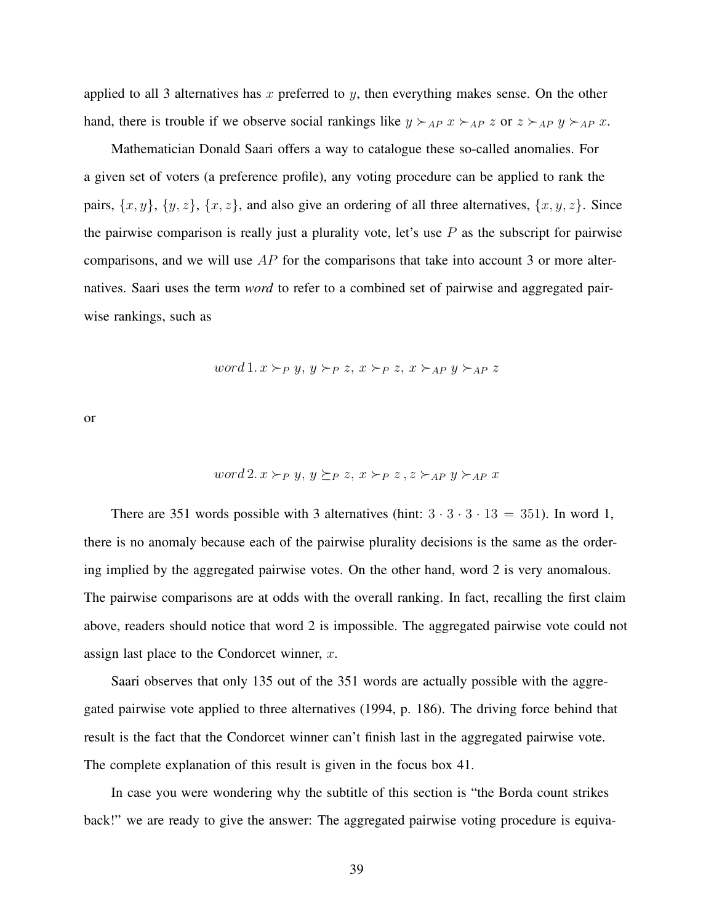applied to all 3 alternatives has  $x$  preferred to  $y$ , then everything makes sense. On the other hand, there is trouble if we observe social rankings like  $y \succ_{AP} x \succ_{AP} z$  or  $z \succ_{AP} y \succ_{AP} x$ .

Mathematician Donald Saari offers a way to catalogue these so-called anomalies. For a given set of voters (a preference profile), any voting procedure can be applied to rank the pairs,  $\{x, y\}$ ,  $\{y, z\}$ ,  $\{x, z\}$ , and also give an ordering of all three alternatives,  $\{x, y, z\}$ . Since the pairwise comparison is really just a plurality vote, let's use  $P$  as the subscript for pairwise comparisons, and we will use  $AP$  for the comparisons that take into account 3 or more alternatives. Saari uses the term *word* to refer to a combined set of pairwise and aggregated pairwise rankings, such as

$$
word 1. x \succ_P y, y \succ_P z, x \succ_P z, x \succ_{AP} y \succ_{AP} z
$$

or

$$
word\ 2. x \succ_{P} y, y \succeq_{P} z, x \succ_{P} z, z \succ_{AP} y \succ_{AP} x
$$

There are 351 words possible with 3 alternatives (hint:  $3 \cdot 3 \cdot 3 \cdot 13 = 351$ ). In word 1, there is no anomaly because each of the pairwise plurality decisions is the same as the ordering implied by the aggregated pairwise votes. On the other hand, word 2 is very anomalous. The pairwise comparisons are at odds with the overall ranking. In fact, recalling the first claim above, readers should notice that word 2 is impossible. The aggregated pairwise vote could not assign last place to the Condorcet winner,  $x$ .

Saari observes that only 135 out of the 351 words are actually possible with the aggregated pairwise vote applied to three alternatives (1994, p. 186). The driving force behind that result is the fact that the Condorcet winner can't finish last in the aggregated pairwise vote. The complete explanation of this result is given in the focus box 41.

In case you were wondering why the subtitle of this section is "the Borda count strikes back!" we are ready to give the answer: The aggregated pairwise voting procedure is equiva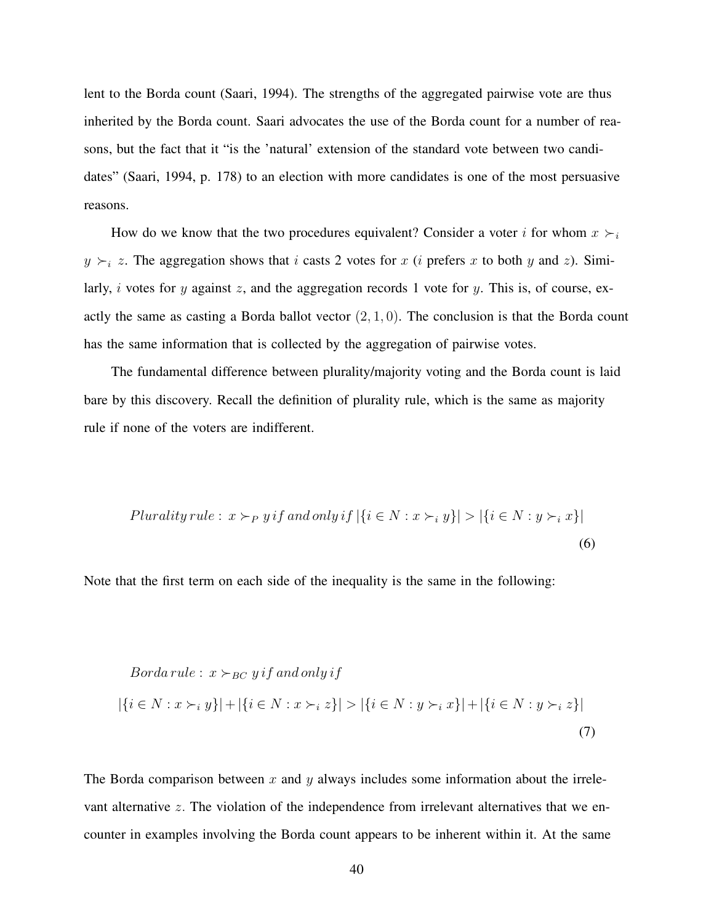lent to the Borda count (Saari, 1994). The strengths of the aggregated pairwise vote are thus inherited by the Borda count. Saari advocates the use of the Borda count for a number of reasons, but the fact that it "is the 'natural' extension of the standard vote between two candidates" (Saari, 1994, p. 178) to an election with more candidates is one of the most persuasive reasons.

How do we know that the two procedures equivalent? Consider a voter i for whom  $x \succ_i$  $y \succ_i z$ . The aggregation shows that i casts 2 votes for x (i prefers x to both y and z). Similarly, i votes for y against z, and the aggregation records 1 vote for y. This is, of course, exactly the same as casting a Borda ballot vector  $(2, 1, 0)$ . The conclusion is that the Borda count has the same information that is collected by the aggregation of pairwise votes.

The fundamental difference between plurality/majority voting and the Borda count is laid bare by this discovery. Recall the definition of plurality rule, which is the same as majority rule if none of the voters are indifferent.

$$
Plurality rule: x \succ_{P} y \text{ if and only if } |\{i \in N : x \succ_{i} y\}| > |\{i \in N : y \succ_{i} x\}|
$$
\n
$$
(6)
$$

Note that the first term on each side of the inequality is the same in the following:

$$
Bordanule: x \succ_{BC} y \text{ if and only if}
$$
  

$$
|\{i \in N : x \succ_{i} y\}| + |\{i \in N : x \succ_{i} z\}| > |\{i \in N : y \succ_{i} x\}| + |\{i \in N : y \succ_{i} z\}|
$$
  
(7)

The Borda comparison between x and y always includes some information about the irrelevant alternative z. The violation of the independence from irrelevant alternatives that we encounter in examples involving the Borda count appears to be inherent within it. At the same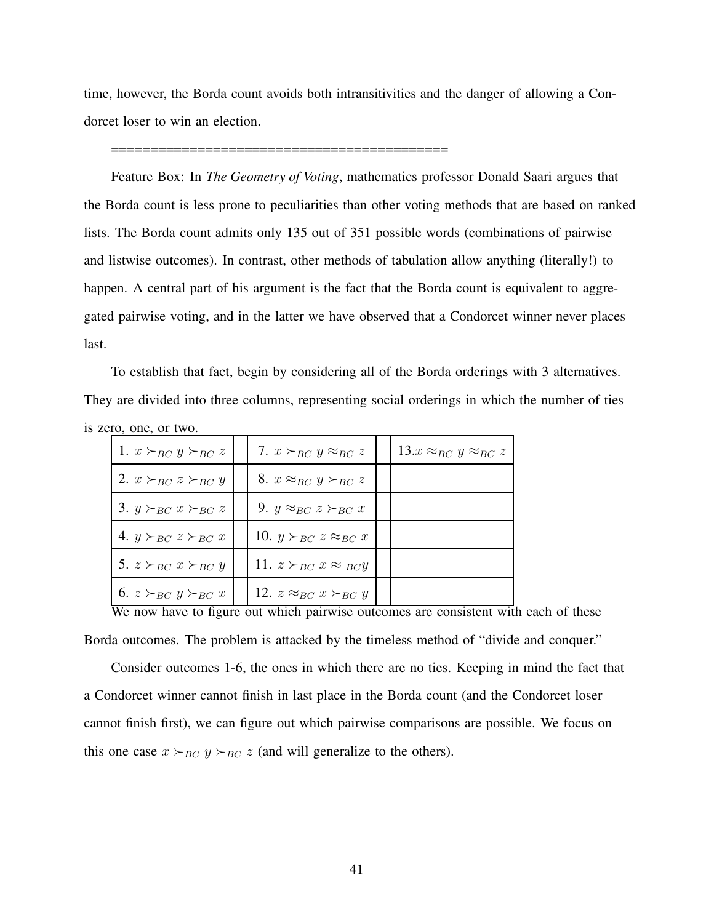time, however, the Borda count avoids both intransitivities and the danger of allowing a Condorcet loser to win an election.

#### ===========================================

Feature Box: In *The Geometry of Voting*, mathematics professor Donald Saari argues that the Borda count is less prone to peculiarities than other voting methods that are based on ranked lists. The Borda count admits only 135 out of 351 possible words (combinations of pairwise and listwise outcomes). In contrast, other methods of tabulation allow anything (literally!) to happen. A central part of his argument is the fact that the Borda count is equivalent to aggregated pairwise voting, and in the latter we have observed that a Condorcet winner never places last.

To establish that fact, begin by considering all of the Borda orderings with 3 alternatives. They are divided into three columns, representing social orderings in which the number of ties is zero, one, or two.

| 1. $x \succ_{BC} y \succ_{BC} z$ | 7. $x \succ_{BC} y \approx_{BC} z$  | 13. $x \approx_{BC} y \approx_{BC} z$ |
|----------------------------------|-------------------------------------|---------------------------------------|
| 2. $x \succ_{BC} z \succ_{BC} y$ | 8. $x \approx_{BC} y \succ_{BC} z$  |                                       |
| 3. $y \succ_{BC} x \succ_{BC} z$ | 9. $y \approx_{BC} z \succ_{BC} x$  |                                       |
| 4. $y \succ_{BC} z \succ_{BC} x$ | 10. $y \succ_{BC} z \approx_{BC} x$ |                                       |
| 5. $z \succ_{BC} x \succ_{BC} y$ | 11. $z \succ_{BC} x \approx_{BC} y$ |                                       |
| 6. $z \succ_{BC} y \succ_{BC} x$ | 12. $z \approx_{BC} x \succ_{BC} y$ |                                       |

We now have to figure out which pairwise outcomes are consistent with each of these

Borda outcomes. The problem is attacked by the timeless method of "divide and conquer."

Consider outcomes 1-6, the ones in which there are no ties. Keeping in mind the fact that a Condorcet winner cannot finish in last place in the Borda count (and the Condorcet loser cannot finish first), we can figure out which pairwise comparisons are possible. We focus on this one case  $x \succ_{BC} y \succ_{BC} z$  (and will generalize to the others).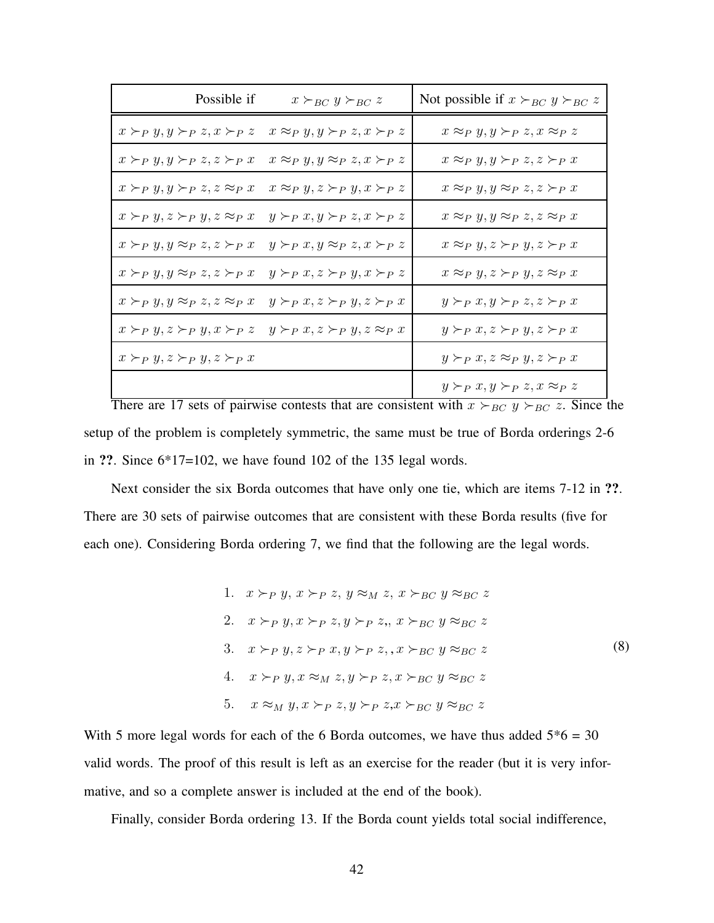| Possible if                                 | $x\succ_{BC} y\succ_{BC} z$                 | Not possible if $x \succ_{BC} y \succ_{BC} z$ |
|---------------------------------------------|---------------------------------------------|-----------------------------------------------|
| $x \succ_P y, y \succ_P z, x \succ_P z$     | $x \approx_P y, y \succ_P z, x \succ_P z$   | $x \approx_P y, y \succ_P z, x \approx_P z$   |
| $x \succ_P y, y \succ_P z, z \succ_P x$     | $x \approx_P y, y \approx_P z, x \succ_P z$ | $x \approx_P y, y \succ_P z, z \succ_P x$     |
| $x \succ_P y, y \succ_P z, z \approx_P x$   | $x \approx_P y, z \succ_P y, x \succ_P z$   | $x \approx_P y, y \approx_P z, z \succ_P x$   |
| $x \succ_P y, z \succ_P y, z \approx_P x$   | $y \succ_P x, y \succ_P z, x \succ_P z$     | $x \approx_P y, y \approx_P z, z \approx_P x$ |
| $x\succ_P y, y\approx_P z, z\succ_P x$      | $y\succ_P x, y\approx_P z, x\succ_P z$      | $x \approx_P y, z \succ_P y, z \succ_P x$     |
| $x \succ_P y, y \approx_P z, z \succ_P x$   | $y \succ_P x, z \succ_P y, x \succ_P z$     | $x \approx_P y, z \succ_P y, z \approx_P x$   |
| $x \succ_P y, y \approx_P z, z \approx_P x$ | $y\succ_P x,z\succ_P y,z\succ_P x$          | $y \succ_P x, y \succ_P z, z \succ_P x$       |
| $x \succ_P y, z \succ_P y, x \succ_P z$     | $y \succ_P x, z \succ_P y, z \approx_P x$   | $y \succ_P x, z \succ_P y, z \succ_P x$       |
| $x \succ_P y, z \succ_P y, z \succ_P x$     |                                             | $y\succ_P x, z\approx_P y, z\succ_P x$        |
| m1                                          |                                             | $y \succ_P x, y \succ_P z, x \approx_P z$     |

There are 17 sets of pairwise contests that are consistent with  $x \succ_{BC} y \succ_{BC} z$ . Since the setup of the problem is completely symmetric, the same must be true of Borda orderings 2-6 in **??**. Since 6\*17=102, we have found 102 of the 135 legal words.

Next consider the six Borda outcomes that have only one tie, which are items 7-12 in **??**. There are 30 sets of pairwise outcomes that are consistent with these Borda results (five for each one). Considering Borda ordering 7, we find that the following are the legal words.

1. 
$$
x \succ_P y, x \succ_P z, y \approx_M z, x \succ_{BC} y \approx_{BC} z
$$
  
\n2.  $x \succ_P y, x \succ_P z, y \succ_P z, x \succ_{BC} y \approx_{BC} z$   
\n3.  $x \succ_P y, z \succ_P x, y \succ_P z, x \succ_{BC} y \approx_{BC} z$   
\n4.  $x \succ_P y, x \approx_M z, y \succ_P z, x \succ_{BC} y \approx_{BC} z$   
\n5.  $x \approx_M y, x \succ_P z, y \succ_P z, x \succ_{BC} y \approx_{BC} z$ 

With 5 more legal words for each of the 6 Borda outcomes, we have thus added  $5*6 = 30$ valid words. The proof of this result is left as an exercise for the reader (but it is very informative, and so a complete answer is included at the end of the book).

Finally, consider Borda ordering 13. If the Borda count yields total social indifference,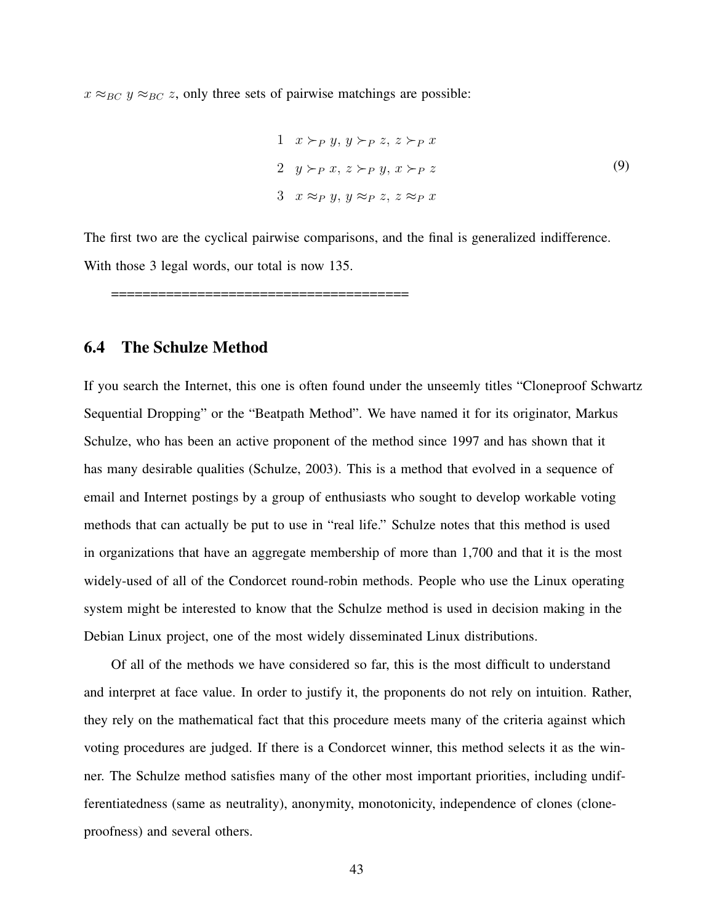$x \approx_{BC} y \approx_{BC} z$ , only three sets of pairwise matchings are possible:

1 
$$
x \succ_P y, y \succ_P z, z \succ_P x
$$
  
\n2  $y \succ_P x, z \succ_P y, x \succ_P z$   
\n3  $x \approx_P y, y \approx_P z, z \approx_P x$  (9)

The first two are the cyclical pairwise comparisons, and the final is generalized indifference. With those 3 legal words, our total is now 135.

======================================

## **6.4 The Schulze Method**

If you search the Internet, this one is often found under the unseemly titles "Cloneproof Schwartz Sequential Dropping" or the "Beatpath Method". We have named it for its originator, Markus Schulze, who has been an active proponent of the method since 1997 and has shown that it has many desirable qualities (Schulze, 2003). This is a method that evolved in a sequence of email and Internet postings by a group of enthusiasts who sought to develop workable voting methods that can actually be put to use in "real life." Schulze notes that this method is used in organizations that have an aggregate membership of more than 1,700 and that it is the most widely-used of all of the Condorcet round-robin methods. People who use the Linux operating system might be interested to know that the Schulze method is used in decision making in the Debian Linux project, one of the most widely disseminated Linux distributions.

Of all of the methods we have considered so far, this is the most difficult to understand and interpret at face value. In order to justify it, the proponents do not rely on intuition. Rather, they rely on the mathematical fact that this procedure meets many of the criteria against which voting procedures are judged. If there is a Condorcet winner, this method selects it as the winner. The Schulze method satisfies many of the other most important priorities, including undifferentiatedness (same as neutrality), anonymity, monotonicity, independence of clones (cloneproofness) and several others.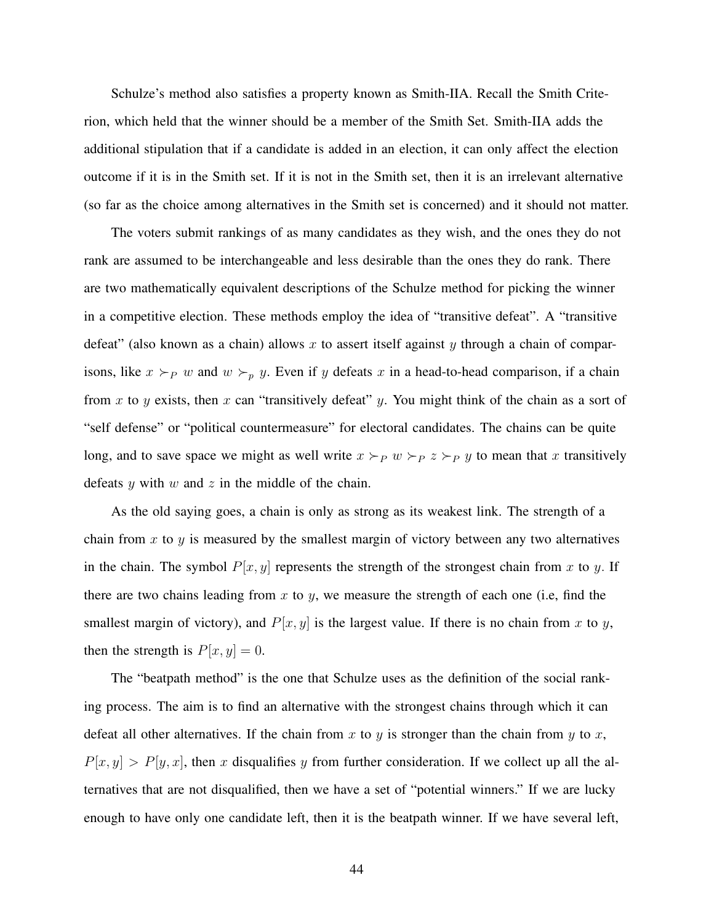Schulze's method also satisfies a property known as Smith-IIA. Recall the Smith Criterion, which held that the winner should be a member of the Smith Set. Smith-IIA adds the additional stipulation that if a candidate is added in an election, it can only affect the election outcome if it is in the Smith set. If it is not in the Smith set, then it is an irrelevant alternative (so far as the choice among alternatives in the Smith set is concerned) and it should not matter.

The voters submit rankings of as many candidates as they wish, and the ones they do not rank are assumed to be interchangeable and less desirable than the ones they do rank. There are two mathematically equivalent descriptions of the Schulze method for picking the winner in a competitive election. These methods employ the idea of "transitive defeat". A "transitive defeat" (also known as a chain) allows x to assert itself against y through a chain of comparisons, like  $x \succ_P w$  and  $w \succ_p y$ . Even if y defeats x in a head-to-head comparison, if a chain from x to y exists, then x can "transitively defeat" y. You might think of the chain as a sort of "self defense" or "political countermeasure" for electoral candidates. The chains can be quite long, and to save space we might as well write  $x \succ_P w \succ_P z \succ_P y$  to mean that x transitively defeats y with w and z in the middle of the chain.

As the old saying goes, a chain is only as strong as its weakest link. The strength of a chain from x to y is measured by the smallest margin of victory between any two alternatives in the chain. The symbol  $P[x, y]$  represents the strength of the strongest chain from x to y. If there are two chains leading from  $x$  to  $y$ , we measure the strength of each one (i.e, find the smallest margin of victory), and  $P[x, y]$  is the largest value. If there is no chain from x to y, then the strength is  $P[x, y] = 0$ .

The "beatpath method" is the one that Schulze uses as the definition of the social ranking process. The aim is to find an alternative with the strongest chains through which it can defeat all other alternatives. If the chain from x to y is stronger than the chain from y to x,  $P[x, y] > P[y, x]$ , then x disqualifies y from further consideration. If we collect up all the alternatives that are not disqualified, then we have a set of "potential winners." If we are lucky enough to have only one candidate left, then it is the beatpath winner. If we have several left,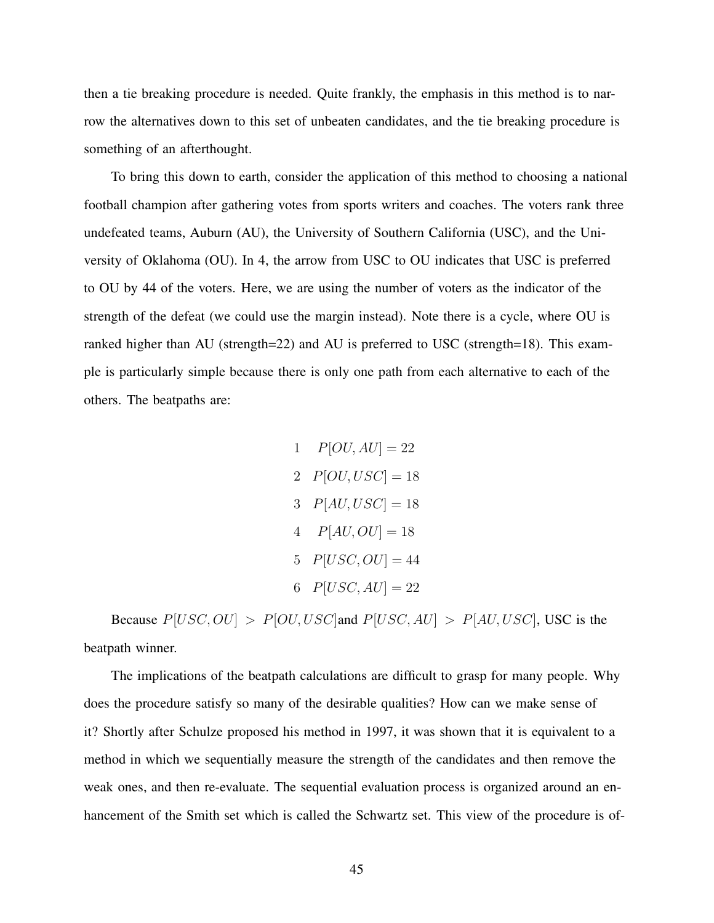then a tie breaking procedure is needed. Quite frankly, the emphasis in this method is to narrow the alternatives down to this set of unbeaten candidates, and the tie breaking procedure is something of an afterthought.

To bring this down to earth, consider the application of this method to choosing a national football champion after gathering votes from sports writers and coaches. The voters rank three undefeated teams, Auburn (AU), the University of Southern California (USC), and the University of Oklahoma (OU). In 4, the arrow from USC to OU indicates that USC is preferred to OU by 44 of the voters. Here, we are using the number of voters as the indicator of the strength of the defeat (we could use the margin instead). Note there is a cycle, where OU is ranked higher than AU (strength=22) and AU is preferred to USC (strength=18). This example is particularly simple because there is only one path from each alternative to each of the others. The beatpaths are:

> $P[OU, AU] = 22$  $P[OU, USC] = 18$  $P[AU, USC] = 18$  $P[AU, OU] = 18$  $P[USC, OU] = 44$  $P[USC, AU] = 22$

Because  $P[USC, OU] > P[OU, USC]$  and  $P[USC, AU] > P[AU, USC]$ , USC is the beatpath winner.

The implications of the beatpath calculations are difficult to grasp for many people. Why does the procedure satisfy so many of the desirable qualities? How can we make sense of it? Shortly after Schulze proposed his method in 1997, it was shown that it is equivalent to a method in which we sequentially measure the strength of the candidates and then remove the weak ones, and then re-evaluate. The sequential evaluation process is organized around an enhancement of the Smith set which is called the Schwartz set. This view of the procedure is of-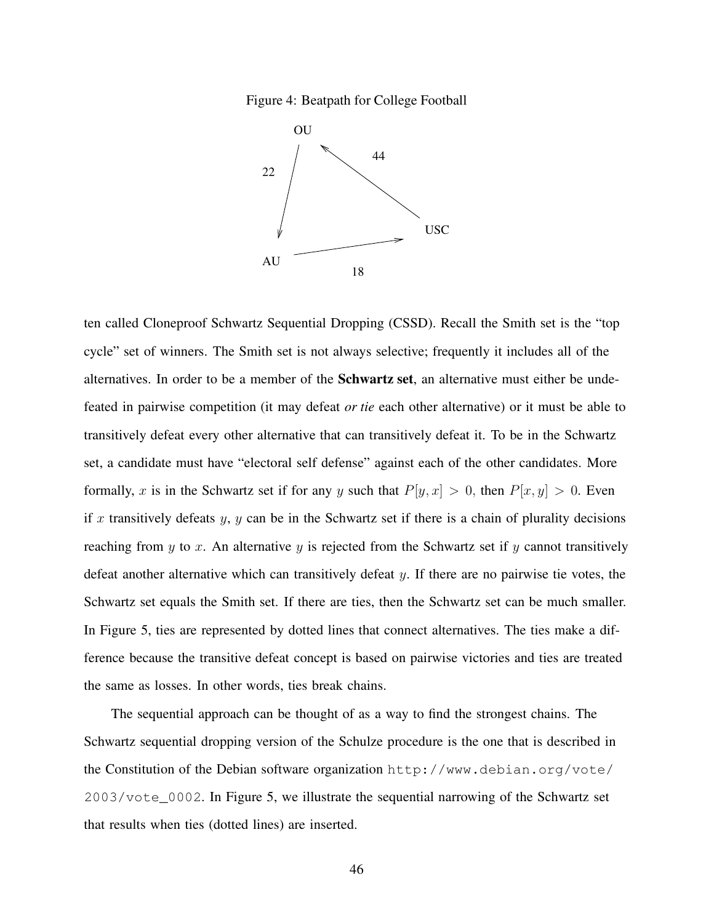



ten called Cloneproof Schwartz Sequential Dropping (CSSD). Recall the Smith set is the "top cycle" set of winners. The Smith set is not always selective; frequently it includes all of the alternatives. In order to be a member of the **Schwartz set**, an alternative must either be undefeated in pairwise competition (it may defeat *or tie* each other alternative) or it must be able to transitively defeat every other alternative that can transitively defeat it. To be in the Schwartz set, a candidate must have "electoral self defense" against each of the other candidates. More formally, x is in the Schwartz set if for any y such that  $P[y, x] > 0$ , then  $P[x, y] > 0$ . Even if x transitively defeats  $y$ ,  $y$  can be in the Schwartz set if there is a chain of plurality decisions reaching from y to x. An alternative y is rejected from the Schwartz set if y cannot transitively defeat another alternative which can transitively defeat  $y$ . If there are no pairwise tie votes, the Schwartz set equals the Smith set. If there are ties, then the Schwartz set can be much smaller. In Figure 5, ties are represented by dotted lines that connect alternatives. The ties make a difference because the transitive defeat concept is based on pairwise victories and ties are treated the same as losses. In other words, ties break chains.

The sequential approach can be thought of as a way to find the strongest chains. The Schwartz sequential dropping version of the Schulze procedure is the one that is described in the Constitution of the Debian software organization http://www.debian.org/vote/ 2003/vote\_0002. In Figure 5, we illustrate the sequential narrowing of the Schwartz set that results when ties (dotted lines) are inserted.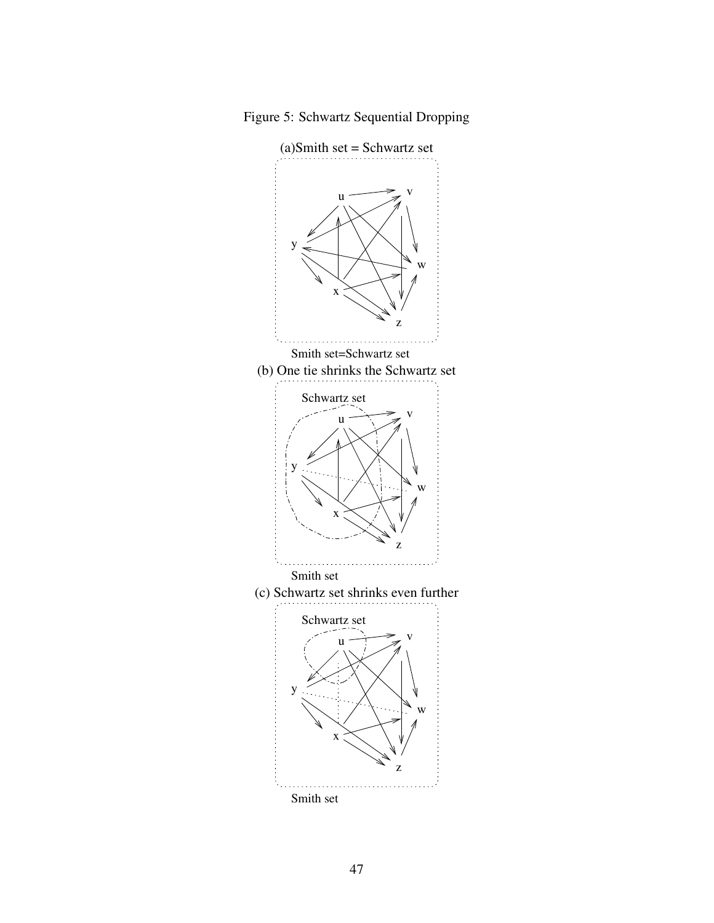

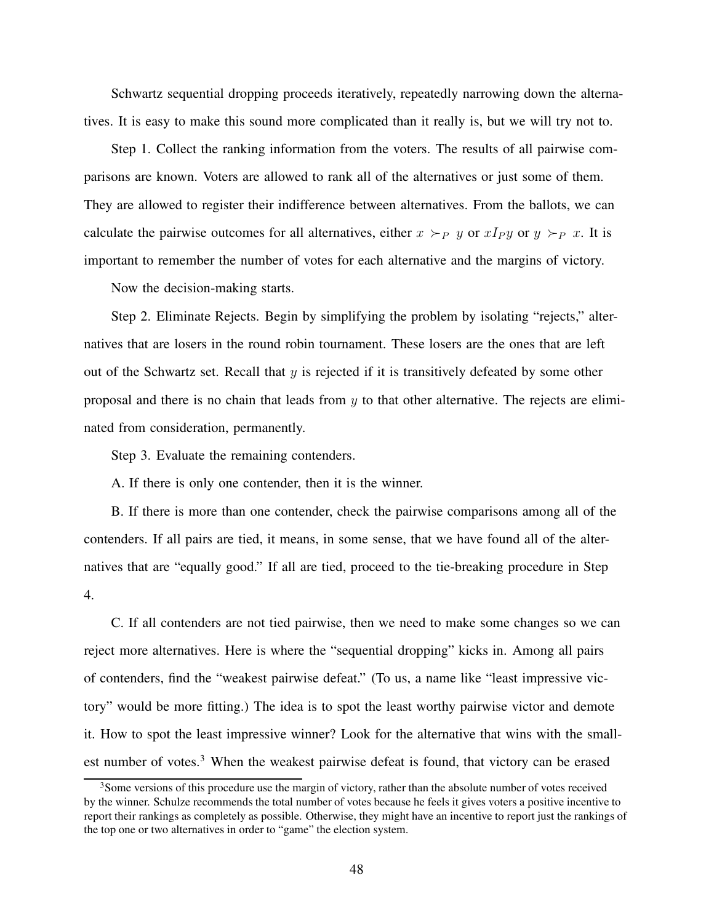Schwartz sequential dropping proceeds iteratively, repeatedly narrowing down the alternatives. It is easy to make this sound more complicated than it really is, but we will try not to.

Step 1. Collect the ranking information from the voters. The results of all pairwise comparisons are known. Voters are allowed to rank all of the alternatives or just some of them. They are allowed to register their indifference between alternatives. From the ballots, we can calculate the pairwise outcomes for all alternatives, either  $x \succ_P y$  or  $xI_P y$  or  $y \succ_P x$ . It is important to remember the number of votes for each alternative and the margins of victory.

Now the decision-making starts.

Step 2. Eliminate Rejects. Begin by simplifying the problem by isolating "rejects," alternatives that are losers in the round robin tournament. These losers are the ones that are left out of the Schwartz set. Recall that  $y$  is rejected if it is transitively defeated by some other proposal and there is no chain that leads from  $y$  to that other alternative. The rejects are eliminated from consideration, permanently.

Step 3. Evaluate the remaining contenders.

A. If there is only one contender, then it is the winner.

B. If there is more than one contender, check the pairwise comparisons among all of the contenders. If all pairs are tied, it means, in some sense, that we have found all of the alternatives that are "equally good." If all are tied, proceed to the tie-breaking procedure in Step 4.

C. If all contenders are not tied pairwise, then we need to make some changes so we can reject more alternatives. Here is where the "sequential dropping" kicks in. Among all pairs of contenders, find the "weakest pairwise defeat." (To us, a name like "least impressive victory" would be more fitting.) The idea is to spot the least worthy pairwise victor and demote it. How to spot the least impressive winner? Look for the alternative that wins with the smallest number of votes.<sup>3</sup> When the weakest pairwise defeat is found, that victory can be erased

<sup>&</sup>lt;sup>3</sup>Some versions of this procedure use the margin of victory, rather than the absolute number of votes received by the winner. Schulze recommends the total number of votes because he feels it gives voters a positive incentive to report their rankings as completely as possible. Otherwise, they might have an incentive to report just the rankings of the top one or two alternatives in order to "game" the election system.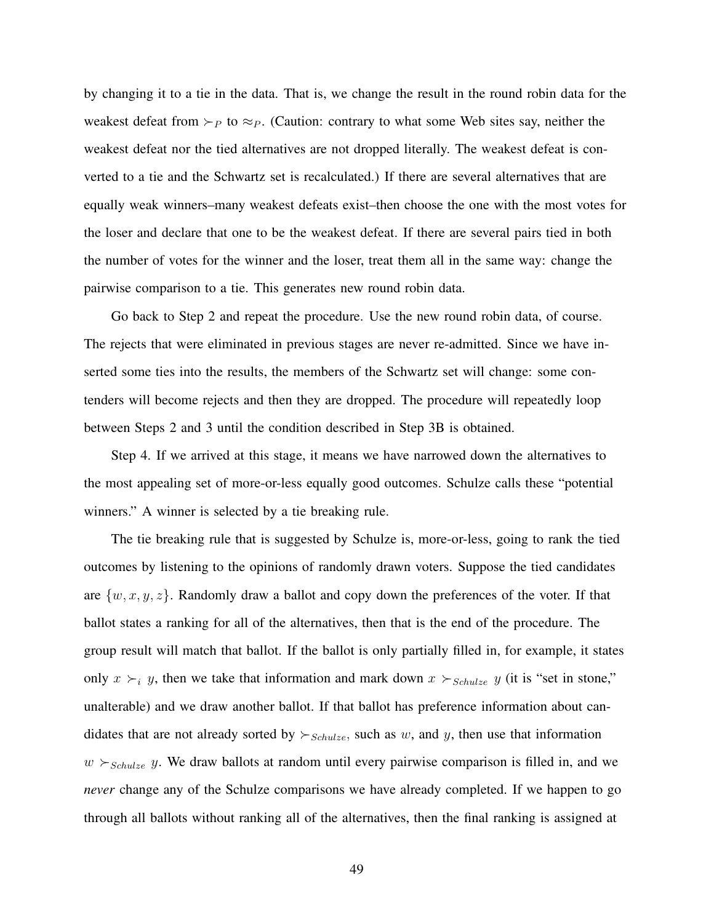by changing it to a tie in the data. That is, we change the result in the round robin data for the weakest defeat from  $\succ_P$  to  $\approx_P$ . (Caution: contrary to what some Web sites say, neither the weakest defeat nor the tied alternatives are not dropped literally. The weakest defeat is converted to a tie and the Schwartz set is recalculated.) If there are several alternatives that are equally weak winners–many weakest defeats exist–then choose the one with the most votes for the loser and declare that one to be the weakest defeat. If there are several pairs tied in both the number of votes for the winner and the loser, treat them all in the same way: change the pairwise comparison to a tie. This generates new round robin data.

Go back to Step 2 and repeat the procedure. Use the new round robin data, of course. The rejects that were eliminated in previous stages are never re-admitted. Since we have inserted some ties into the results, the members of the Schwartz set will change: some contenders will become rejects and then they are dropped. The procedure will repeatedly loop between Steps 2 and 3 until the condition described in Step 3B is obtained.

Step 4. If we arrived at this stage, it means we have narrowed down the alternatives to the most appealing set of more-or-less equally good outcomes. Schulze calls these "potential winners." A winner is selected by a tie breaking rule.

The tie breaking rule that is suggested by Schulze is, more-or-less, going to rank the tied outcomes by listening to the opinions of randomly drawn voters. Suppose the tied candidates are  $\{w, x, y, z\}$ . Randomly draw a ballot and copy down the preferences of the voter. If that ballot states a ranking for all of the alternatives, then that is the end of the procedure. The group result will match that ballot. If the ballot is only partially filled in, for example, it states only  $x \succ_i y$ , then we take that information and mark down  $x \succ_{Schulze} y$  (it is "set in stone," unalterable) and we draw another ballot. If that ballot has preference information about candidates that are not already sorted by  $\succ_{Schulze}$ , such as w, and y, then use that information  $w \succ_{Schulze} y$ . We draw ballots at random until every pairwise comparison is filled in, and we *never* change any of the Schulze comparisons we have already completed. If we happen to go through all ballots without ranking all of the alternatives, then the final ranking is assigned at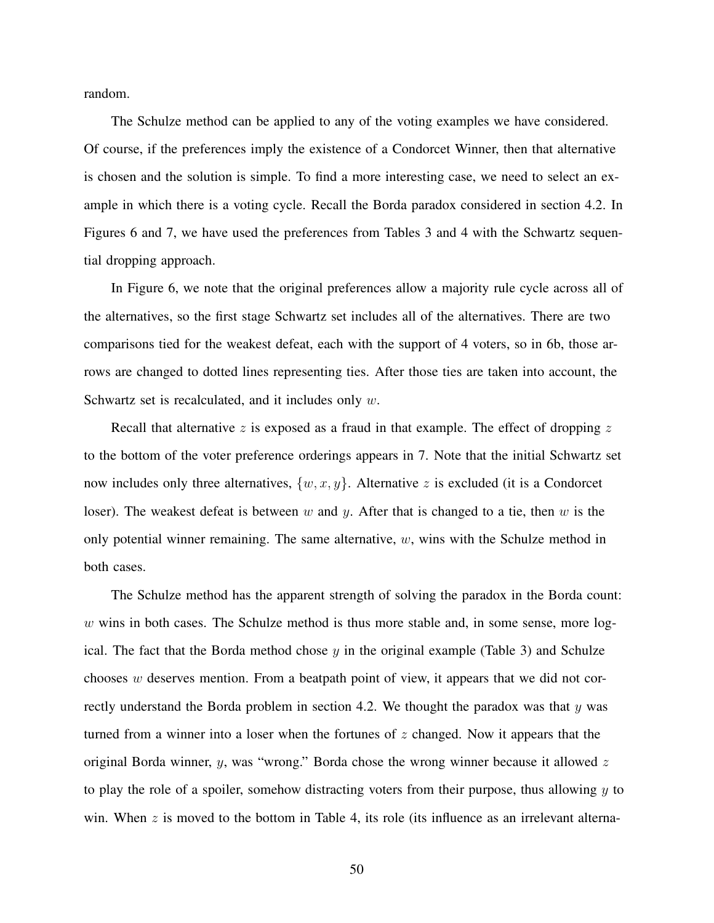random.

The Schulze method can be applied to any of the voting examples we have considered. Of course, if the preferences imply the existence of a Condorcet Winner, then that alternative is chosen and the solution is simple. To find a more interesting case, we need to select an example in which there is a voting cycle. Recall the Borda paradox considered in section 4.2. In Figures 6 and 7, we have used the preferences from Tables 3 and 4 with the Schwartz sequential dropping approach.

In Figure 6, we note that the original preferences allow a majority rule cycle across all of the alternatives, so the first stage Schwartz set includes all of the alternatives. There are two comparisons tied for the weakest defeat, each with the support of 4 voters, so in 6b, those arrows are changed to dotted lines representing ties. After those ties are taken into account, the Schwartz set is recalculated, and it includes only w.

Recall that alternative z is exposed as a fraud in that example. The effect of dropping z to the bottom of the voter preference orderings appears in 7. Note that the initial Schwartz set now includes only three alternatives,  $\{w, x, y\}$ . Alternative z is excluded (it is a Condorcet loser). The weakest defeat is between w and y. After that is changed to a tie, then w is the only potential winner remaining. The same alternative,  $w$ , wins with the Schulze method in both cases.

The Schulze method has the apparent strength of solving the paradox in the Borda count: w wins in both cases. The Schulze method is thus more stable and, in some sense, more logical. The fact that the Borda method chose  $y$  in the original example (Table 3) and Schulze chooses  $w$  deserves mention. From a beatpath point of view, it appears that we did not correctly understand the Borda problem in section 4.2. We thought the paradox was that  $y$  was turned from a winner into a loser when the fortunes of  $z$  changed. Now it appears that the original Borda winner,  $y$ , was "wrong." Borda chose the wrong winner because it allowed  $z$ to play the role of a spoiler, somehow distracting voters from their purpose, thus allowing  $\eta$  to win. When  $z$  is moved to the bottom in Table 4, its role (its influence as an irrelevant alterna-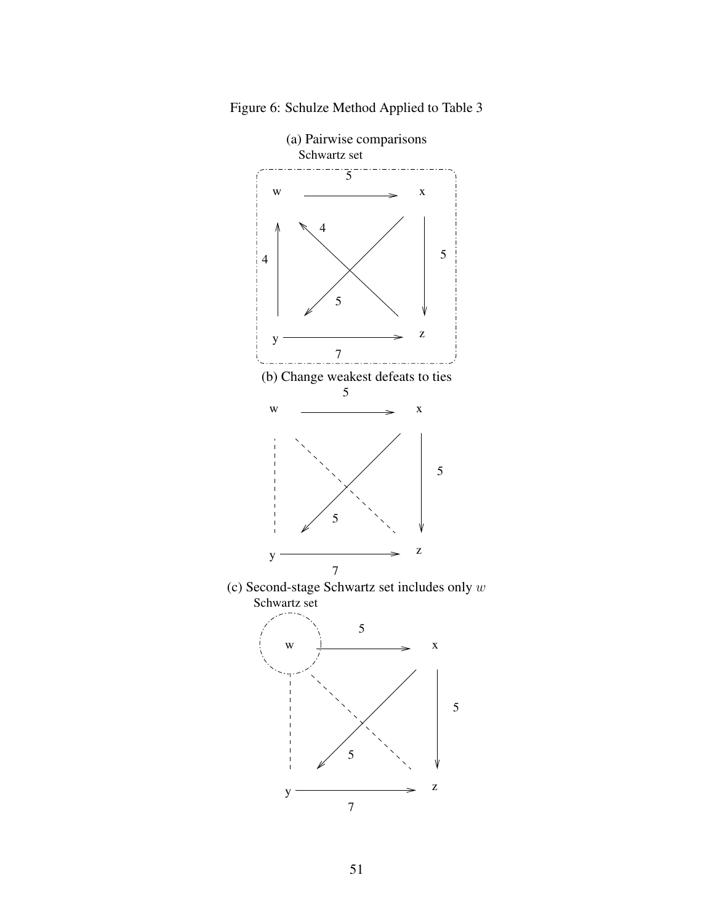

Figure 6: Schulze Method Applied to Table 3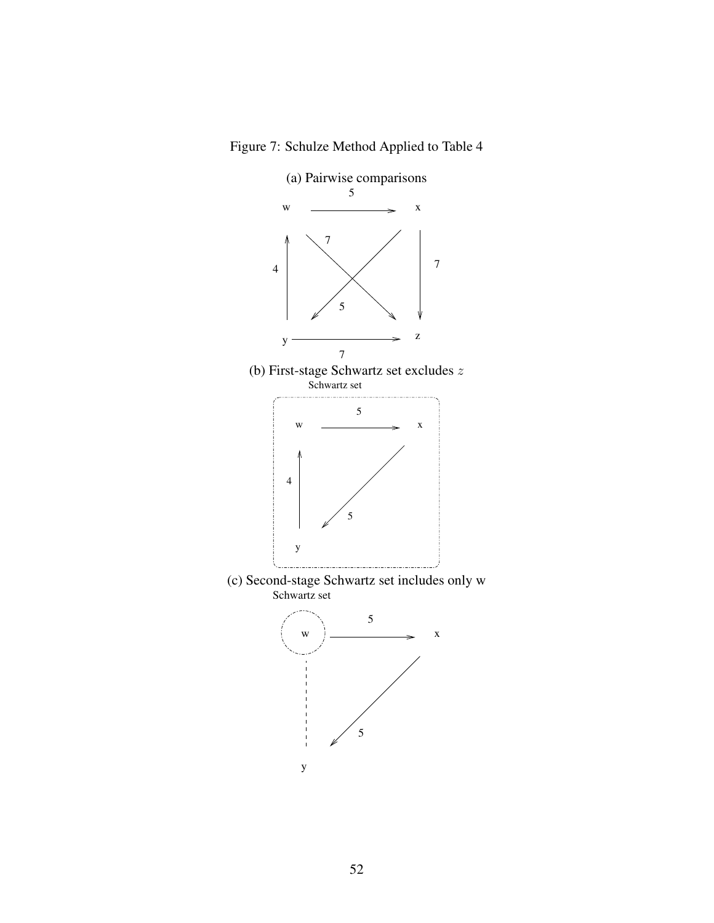Figure 7: Schulze Method Applied to Table 4



52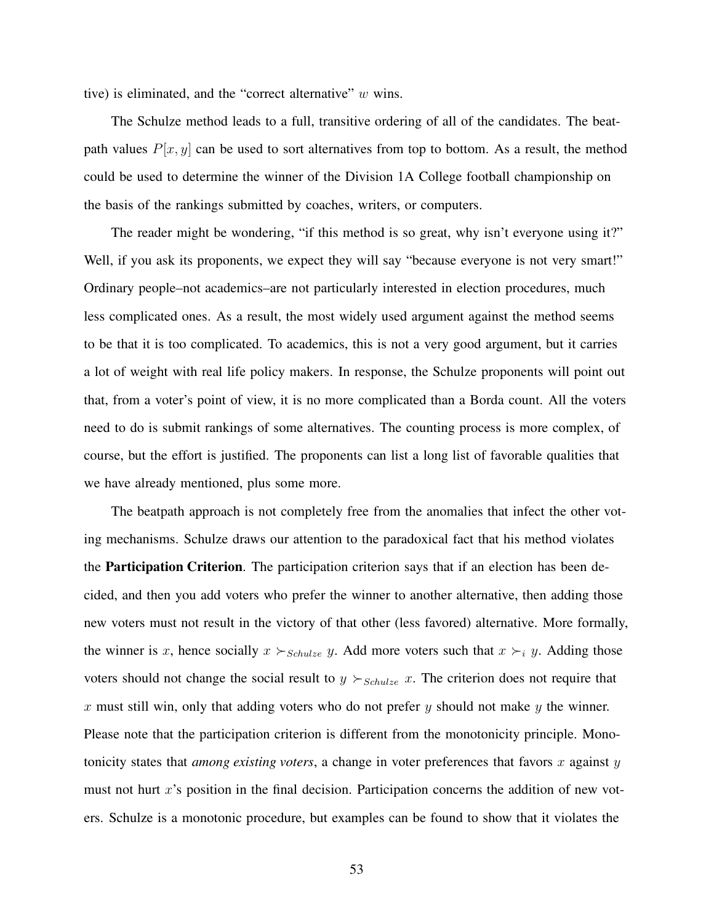tive) is eliminated, and the "correct alternative"  $w$  wins.

The Schulze method leads to a full, transitive ordering of all of the candidates. The beatpath values  $P[x, y]$  can be used to sort alternatives from top to bottom. As a result, the method could be used to determine the winner of the Division 1A College football championship on the basis of the rankings submitted by coaches, writers, or computers.

The reader might be wondering, "if this method is so great, why isn't everyone using it?" Well, if you ask its proponents, we expect they will say "because everyone is not very smart!" Ordinary people–not academics–are not particularly interested in election procedures, much less complicated ones. As a result, the most widely used argument against the method seems to be that it is too complicated. To academics, this is not a very good argument, but it carries a lot of weight with real life policy makers. In response, the Schulze proponents will point out that, from a voter's point of view, it is no more complicated than a Borda count. All the voters need to do is submit rankings of some alternatives. The counting process is more complex, of course, but the effort is justified. The proponents can list a long list of favorable qualities that we have already mentioned, plus some more.

The beatpath approach is not completely free from the anomalies that infect the other voting mechanisms. Schulze draws our attention to the paradoxical fact that his method violates the **Participation Criterion**. The participation criterion says that if an election has been decided, and then you add voters who prefer the winner to another alternative, then adding those new voters must not result in the victory of that other (less favored) alternative. More formally, the winner is x, hence socially  $x \succ_{Schulze} y$ . Add more voters such that  $x \succ_i y$ . Adding those voters should not change the social result to  $y \succ_{Schulze} x$ . The criterion does not require that x must still win, only that adding voters who do not prefer  $y$  should not make  $y$  the winner. Please note that the participation criterion is different from the monotonicity principle. Monotonicity states that *among existing voters*, a change in voter preferences that favors x against y must not hurt  $x$ 's position in the final decision. Participation concerns the addition of new voters. Schulze is a monotonic procedure, but examples can be found to show that it violates the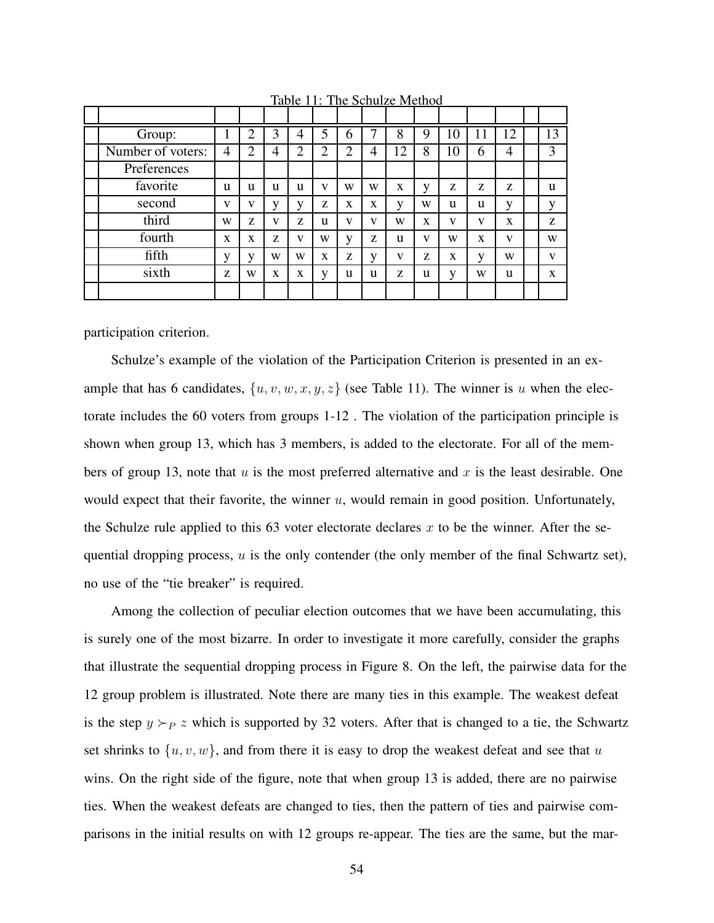| Group:            |              | ◠              | 3 | 4              | 5 | 6              |              | 8  | 9            | 10 | 11 | 12 | 13 |
|-------------------|--------------|----------------|---|----------------|---|----------------|--------------|----|--------------|----|----|----|----|
| Number of voters: | 4            | $\overline{2}$ | 4 | $\overline{2}$ | າ | $\overline{2}$ |              | 12 | 8            | 10 | 6  | 4  | 3  |
| Preferences       |              |                |   |                |   |                |              |    |              |    |    |    |    |
| favorite          | u            | u              | u | u              | V | W              | W            | X  | v            | Z  | Z  | Z  | u  |
| second            | V            | V              | y | v              | Z | X              | X            | v  | W            | u  | u  | y  | у  |
| third             | W            | Z              | V | Z              | u | V              | $\mathbf{V}$ | W  | X            | V  | V  | X  | Z  |
| fourth            | $\mathbf{x}$ | $\mathbf{x}$   | Z | V              | W | v              | Z            | u  | $\mathbf{V}$ | W  | X  | V  | W  |
| fifth             | y            | $\mathbf{V}$   | W | W              | X | Z              | v            | V  | Z.           | X  | V  | W  | V  |
| sixth             | Z            | W              | X | X              | v | u              | u            | Z  | u            | v  | W  | u  | X  |
|                   |              |                |   |                |   |                |              |    |              |    |    |    |    |

Table 11: The Schulze Method

participation criterion.

Schulze's example of the violation of the Participation Criterion is presented in an example that has 6 candidates,  $\{u, v, w, x, y, z\}$  (see Table 11). The winner is u when the electorate includes the 60 voters from groups 1-12 . The violation of the participation principle is shown when group 13, which has 3 members, is added to the electorate. For all of the members of group 13, note that u is the most preferred alternative and x is the least desirable. One would expect that their favorite, the winner  $u$ , would remain in good position. Unfortunately, the Schulze rule applied to this 63 voter electorate declares  $x$  to be the winner. After the sequential dropping process,  $u$  is the only contender (the only member of the final Schwartz set), no use of the "tie breaker" is required.

Among the collection of peculiar election outcomes that we have been accumulating, this is surely one of the most bizarre. In order to investigate it more carefully, consider the graphs that illustrate the sequential dropping process in Figure 8. On the left, the pairwise data for the 12 group problem is illustrated. Note there are many ties in this example. The weakest defeat is the step  $y \succ_P z$  which is supported by 32 voters. After that is changed to a tie, the Schwartz set shrinks to  $\{u, v, w\}$ , and from there it is easy to drop the weakest defeat and see that u wins. On the right side of the figure, note that when group 13 is added, there are no pairwise ties. When the weakest defeats are changed to ties, then the pattern of ties and pairwise comparisons in the initial results on with 12 groups re-appear. The ties are the same, but the mar-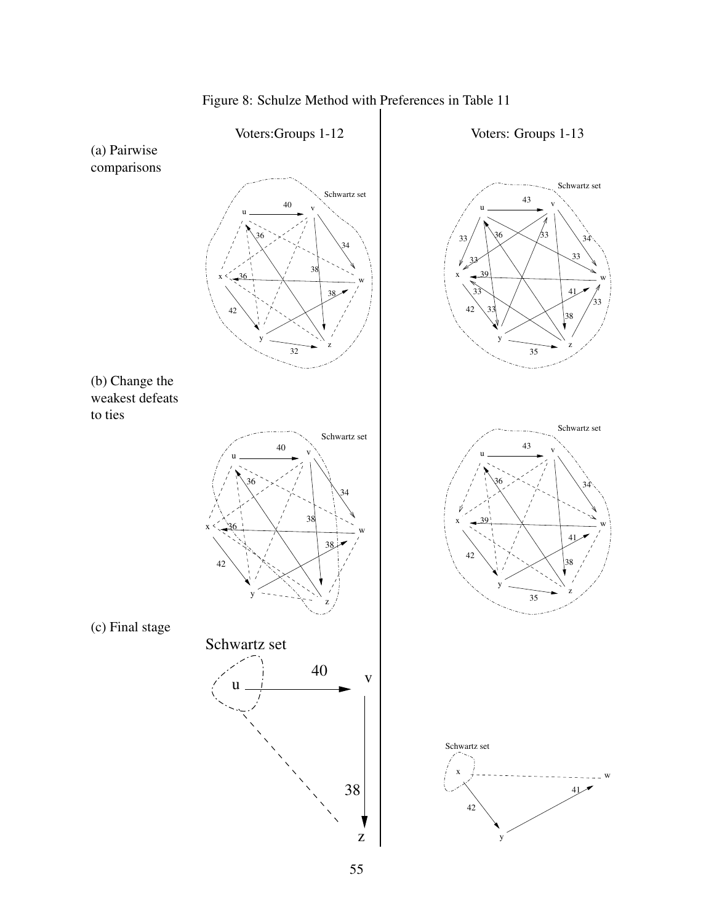

## Figure 8: Schulze Method with Preferences in Table 11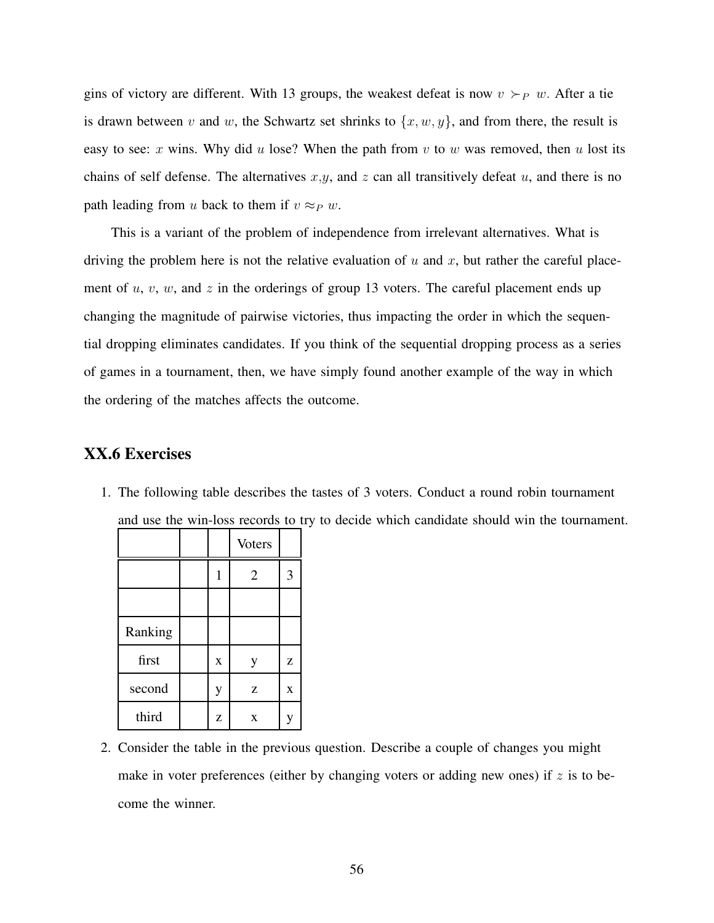gins of victory are different. With 13 groups, the weakest defeat is now  $v \succ_P w$ . After a tie is drawn between v and w, the Schwartz set shrinks to  $\{x, w, y\}$ , and from there, the result is easy to see: x wins. Why did u lose? When the path from  $v$  to  $w$  was removed, then u lost its chains of self defense. The alternatives  $x,y$ , and z can all transitively defeat u, and there is no path leading from u back to them if  $v \approx_P w$ .

This is a variant of the problem of independence from irrelevant alternatives. What is driving the problem here is not the relative evaluation of  $u$  and  $x$ , but rather the careful placement of  $u, v, w$ , and  $z$  in the orderings of group 13 voters. The careful placement ends up changing the magnitude of pairwise victories, thus impacting the order in which the sequential dropping eliminates candidates. If you think of the sequential dropping process as a series of games in a tournament, then, we have simply found another example of the way in which the ordering of the matches affects the outcome.

### **XX.6 Exercises**

1. The following table describes the tastes of 3 voters. Conduct a round robin tournament and use the win-loss records to try to decide which candidate should win the tournament.

|         |                         | Voters         |             |
|---------|-------------------------|----------------|-------------|
|         |                         | $\overline{2}$ | 3           |
|         |                         |                |             |
| Ranking |                         |                |             |
| first   | $\overline{\mathbf{X}}$ | y              | Z           |
| second  | y                       | Z              | $\mathbf X$ |
| third   | Z                       | $\mathbf x$    |             |

2. Consider the table in the previous question. Describe a couple of changes you might make in voter preferences (either by changing voters or adding new ones) if  $z$  is to become the winner.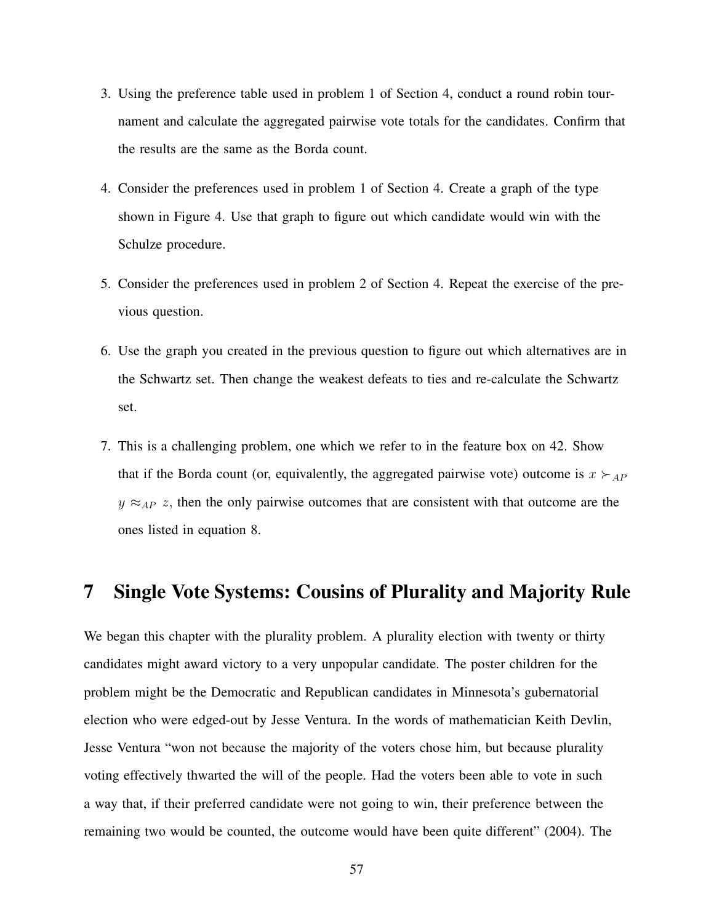- 3. Using the preference table used in problem 1 of Section 4, conduct a round robin tournament and calculate the aggregated pairwise vote totals for the candidates. Confirm that the results are the same as the Borda count.
- 4. Consider the preferences used in problem 1 of Section 4. Create a graph of the type shown in Figure 4. Use that graph to figure out which candidate would win with the Schulze procedure.
- 5. Consider the preferences used in problem 2 of Section 4. Repeat the exercise of the previous question.
- 6. Use the graph you created in the previous question to figure out which alternatives are in the Schwartz set. Then change the weakest defeats to ties and re-calculate the Schwartz set.
- 7. This is a challenging problem, one which we refer to in the feature box on 42. Show that if the Borda count (or, equivalently, the aggregated pairwise vote) outcome is  $x \succ_{AP}$  $y \approx_{AP} z$ , then the only pairwise outcomes that are consistent with that outcome are the ones listed in equation 8.

# **7 Single Vote Systems: Cousins of Plurality and Majority Rule**

We began this chapter with the plurality problem. A plurality election with twenty or thirty candidates might award victory to a very unpopular candidate. The poster children for the problem might be the Democratic and Republican candidates in Minnesota's gubernatorial election who were edged-out by Jesse Ventura. In the words of mathematician Keith Devlin, Jesse Ventura "won not because the majority of the voters chose him, but because plurality voting effectively thwarted the will of the people. Had the voters been able to vote in such a way that, if their preferred candidate were not going to win, their preference between the remaining two would be counted, the outcome would have been quite different" (2004). The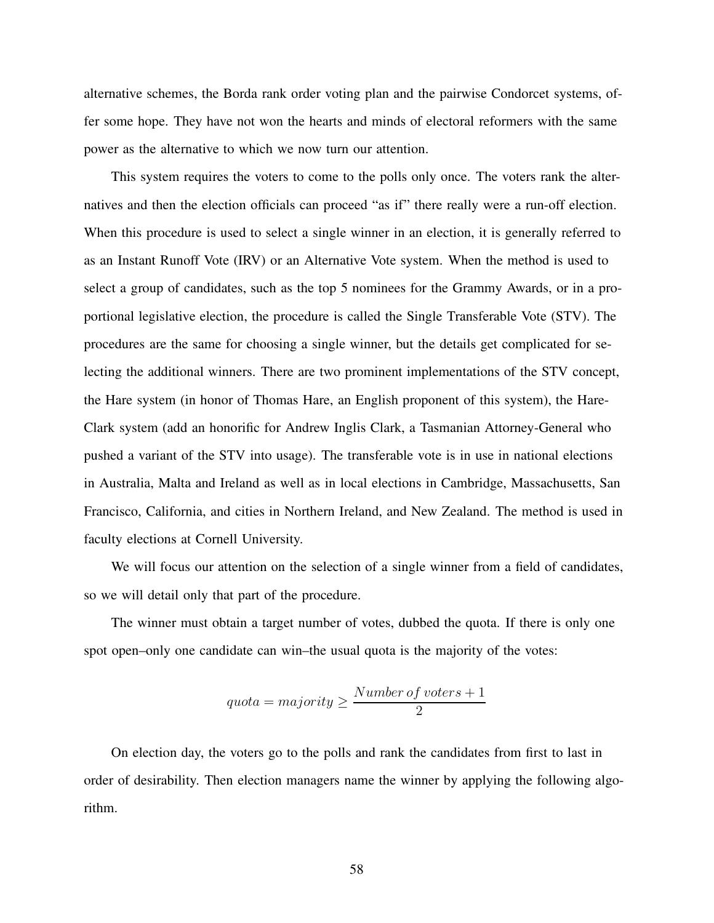alternative schemes, the Borda rank order voting plan and the pairwise Condorcet systems, offer some hope. They have not won the hearts and minds of electoral reformers with the same power as the alternative to which we now turn our attention.

This system requires the voters to come to the polls only once. The voters rank the alternatives and then the election officials can proceed "as if" there really were a run-off election. When this procedure is used to select a single winner in an election, it is generally referred to as an Instant Runoff Vote (IRV) or an Alternative Vote system. When the method is used to select a group of candidates, such as the top 5 nominees for the Grammy Awards, or in a proportional legislative election, the procedure is called the Single Transferable Vote (STV). The procedures are the same for choosing a single winner, but the details get complicated for selecting the additional winners. There are two prominent implementations of the STV concept, the Hare system (in honor of Thomas Hare, an English proponent of this system), the Hare-Clark system (add an honorific for Andrew Inglis Clark, a Tasmanian Attorney-General who pushed a variant of the STV into usage). The transferable vote is in use in national elections in Australia, Malta and Ireland as well as in local elections in Cambridge, Massachusetts, San Francisco, California, and cities in Northern Ireland, and New Zealand. The method is used in faculty elections at Cornell University.

We will focus our attention on the selection of a single winner from a field of candidates, so we will detail only that part of the procedure.

The winner must obtain a target number of votes, dubbed the quota. If there is only one spot open–only one candidate can win–the usual quota is the majority of the votes:

$$
quota = majority \geq \frac{Number\ of\ voters + 1}{2}
$$

On election day, the voters go to the polls and rank the candidates from first to last in order of desirability. Then election managers name the winner by applying the following algorithm.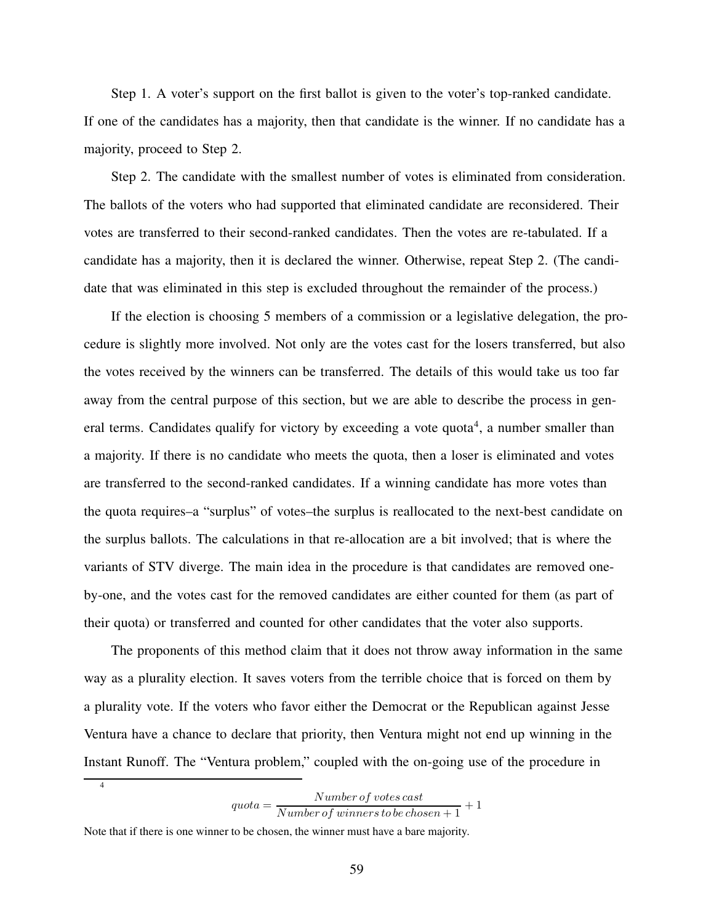Step 1. A voter's support on the first ballot is given to the voter's top-ranked candidate. If one of the candidates has a majority, then that candidate is the winner. If no candidate has a majority, proceed to Step 2.

Step 2. The candidate with the smallest number of votes is eliminated from consideration. The ballots of the voters who had supported that eliminated candidate are reconsidered. Their votes are transferred to their second-ranked candidates. Then the votes are re-tabulated. If a candidate has a majority, then it is declared the winner. Otherwise, repeat Step 2. (The candidate that was eliminated in this step is excluded throughout the remainder of the process.)

If the election is choosing 5 members of a commission or a legislative delegation, the procedure is slightly more involved. Not only are the votes cast for the losers transferred, but also the votes received by the winners can be transferred. The details of this would take us too far away from the central purpose of this section, but we are able to describe the process in general terms. Candidates qualify for victory by exceeding a vote quota<sup>4</sup>, a number smaller than a majority. If there is no candidate who meets the quota, then a loser is eliminated and votes are transferred to the second-ranked candidates. If a winning candidate has more votes than the quota requires–a "surplus" of votes–the surplus is reallocated to the next-best candidate on the surplus ballots. The calculations in that re-allocation are a bit involved; that is where the variants of STV diverge. The main idea in the procedure is that candidates are removed oneby-one, and the votes cast for the removed candidates are either counted for them (as part of their quota) or transferred and counted for other candidates that the voter also supports.

The proponents of this method claim that it does not throw away information in the same way as a plurality election. It saves voters from the terrible choice that is forced on them by a plurality vote. If the voters who favor either the Democrat or the Republican against Jesse Ventura have a chance to declare that priority, then Ventura might not end up winning in the Instant Runoff. The "Ventura problem," coupled with the on-going use of the procedure in

> $\mathit{quad} = \frac{Number\,of\,votes\,cast}{N-1-r}$  $\frac{Number\;of\;notes\;exists\;exists\;1}{Number\;of\;winners\;to\;be\;chosen\;+\;1} + 1$

4

Note that if there is one winner to be chosen, the winner must have a bare majority.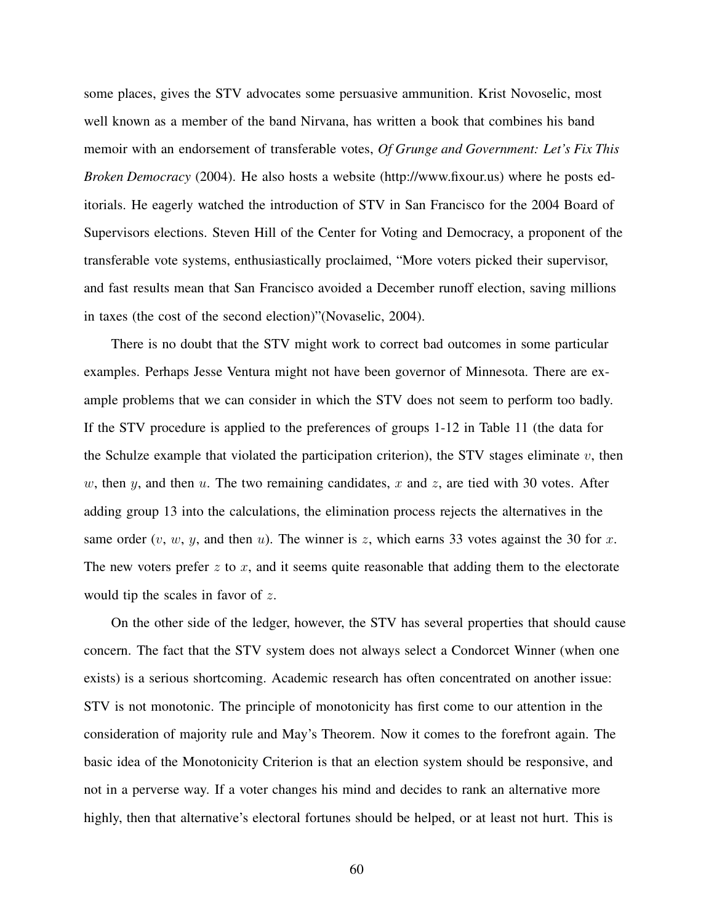some places, gives the STV advocates some persuasive ammunition. Krist Novoselic, most well known as a member of the band Nirvana, has written a book that combines his band memoir with an endorsement of transferable votes, *Of Grunge and Government: Let's Fix This Broken Democracy* (2004). He also hosts a website (http://www.fixour.us) where he posts editorials. He eagerly watched the introduction of STV in San Francisco for the 2004 Board of Supervisors elections. Steven Hill of the Center for Voting and Democracy, a proponent of the transferable vote systems, enthusiastically proclaimed, "More voters picked their supervisor, and fast results mean that San Francisco avoided a December runoff election, saving millions in taxes (the cost of the second election)"(Novaselic, 2004).

There is no doubt that the STV might work to correct bad outcomes in some particular examples. Perhaps Jesse Ventura might not have been governor of Minnesota. There are example problems that we can consider in which the STV does not seem to perform too badly. If the STV procedure is applied to the preferences of groups 1-12 in Table 11 (the data for the Schulze example that violated the participation criterion), the STV stages eliminate  $v$ , then w, then y, and then u. The two remaining candidates, x and z, are tied with 30 votes. After adding group 13 into the calculations, the elimination process rejects the alternatives in the same order  $(v, w, y,$  and then u). The winner is z, which earns 33 votes against the 30 for x. The new voters prefer  $z$  to  $x$ , and it seems quite reasonable that adding them to the electorate would tip the scales in favor of z.

On the other side of the ledger, however, the STV has several properties that should cause concern. The fact that the STV system does not always select a Condorcet Winner (when one exists) is a serious shortcoming. Academic research has often concentrated on another issue: STV is not monotonic. The principle of monotonicity has first come to our attention in the consideration of majority rule and May's Theorem. Now it comes to the forefront again. The basic idea of the Monotonicity Criterion is that an election system should be responsive, and not in a perverse way. If a voter changes his mind and decides to rank an alternative more highly, then that alternative's electoral fortunes should be helped, or at least not hurt. This is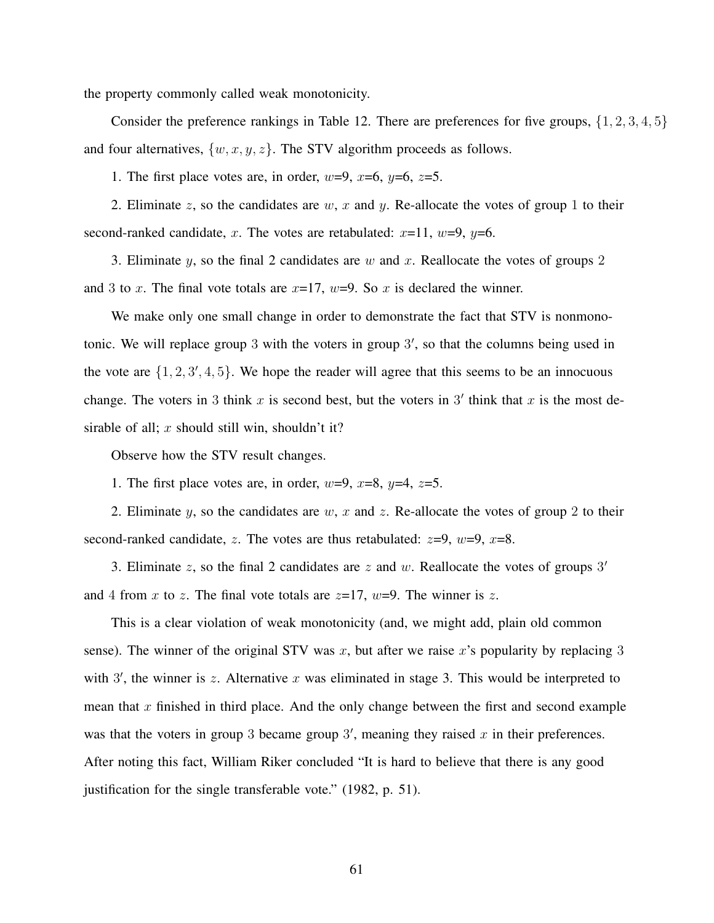the property commonly called weak monotonicity.

Consider the preference rankings in Table 12. There are preferences for five groups,  $\{1, 2, 3, 4, 5\}$ and four alternatives,  $\{w, x, y, z\}$ . The STV algorithm proceeds as follows.

1. The first place votes are, in order,  $w=9$ ,  $x=6$ ,  $y=6$ ,  $z=5$ .

2. Eliminate z, so the candidates are  $w$ ,  $x$  and  $y$ . Re-allocate the votes of group 1 to their second-ranked candidate, x. The votes are retabulated:  $x=11$ ,  $w=9$ ,  $y=6$ .

3. Eliminate y, so the final 2 candidates are w and x. Reallocate the votes of groups 2 and 3 to x. The final vote totals are  $x=17$ ,  $w=9$ . So x is declared the winner.

We make only one small change in order to demonstrate the fact that STV is nonmonotonic. We will replace group 3 with the voters in group 3', so that the columns being used in the vote are  $\{1, 2, 3', 4, 5\}$ . We hope the reader will agree that this seems to be an innocuous change. The voters in 3 think x is second best, but the voters in 3' think that x is the most desirable of all;  $x$  should still win, shouldn't it?

Observe how the STV result changes.

1. The first place votes are, in order,  $w=9$ ,  $x=8$ ,  $y=4$ ,  $z=5$ .

2. Eliminate y, so the candidates are  $w$ , x and z. Re-allocate the votes of group 2 to their second-ranked candidate, z. The votes are thus retabulated:  $z=9$ ,  $w=9$ ,  $x=8$ .

3. Eliminate z, so the final 2 candidates are z and w. Reallocate the votes of groups  $3'$ and 4 from x to z. The final vote totals are  $z=17$ ,  $w=9$ . The winner is z.

This is a clear violation of weak monotonicity (and, we might add, plain old common sense). The winner of the original STV was x, but after we raise x's popularity by replacing 3 with 3', the winner is z. Alternative x was eliminated in stage 3. This would be interpreted to mean that  $x$  finished in third place. And the only change between the first and second example was that the voters in group 3 became group  $3'$ , meaning they raised x in their preferences. After noting this fact, William Riker concluded "It is hard to believe that there is any good justification for the single transferable vote." (1982, p. 51).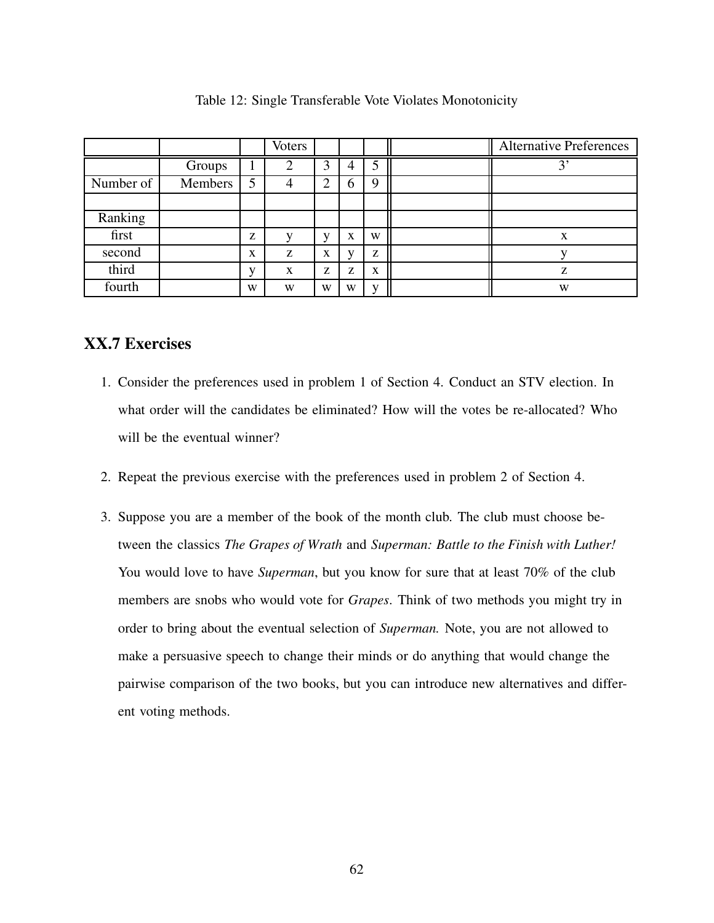|           |         |              | <b>Voters</b> |              |              |   | <b>Alternative Preferences</b> |
|-----------|---------|--------------|---------------|--------------|--------------|---|--------------------------------|
|           | Groups  |              | ↑<br>∠        | 2            | 4            | 5 | $\mathbf{r}$                   |
| Number of | Members | 5            |               | ⌒            | 6            | 9 |                                |
|           |         |              |               |              |              |   |                                |
| Ranking   |         |              |               |              |              |   |                                |
| first     |         | Z            | v             | $\mathbf{V}$ | X            | W | X                              |
| second    |         | X            | z             | X            | $\mathbf{V}$ | Z |                                |
| third     |         | $\mathbf{V}$ | X             | Z            | Z            | X | Z                              |
| fourth    |         | W            | W             | W            | W            | V | W                              |

Table 12: Single Transferable Vote Violates Monotonicity

## **XX.7 Exercises**

- 1. Consider the preferences used in problem 1 of Section 4. Conduct an STV election. In what order will the candidates be eliminated? How will the votes be re-allocated? Who will be the eventual winner?
- 2. Repeat the previous exercise with the preferences used in problem 2 of Section 4.
- 3. Suppose you are a member of the book of the month club. The club must choose between the classics *The Grapes of Wrath* and *Superman: Battle to the Finish with Luther!* You would love to have *Superman*, but you know for sure that at least 70% of the club members are snobs who would vote for *Grapes*. Think of two methods you might try in order to bring about the eventual selection of *Superman.* Note, you are not allowed to make a persuasive speech to change their minds or do anything that would change the pairwise comparison of the two books, but you can introduce new alternatives and different voting methods.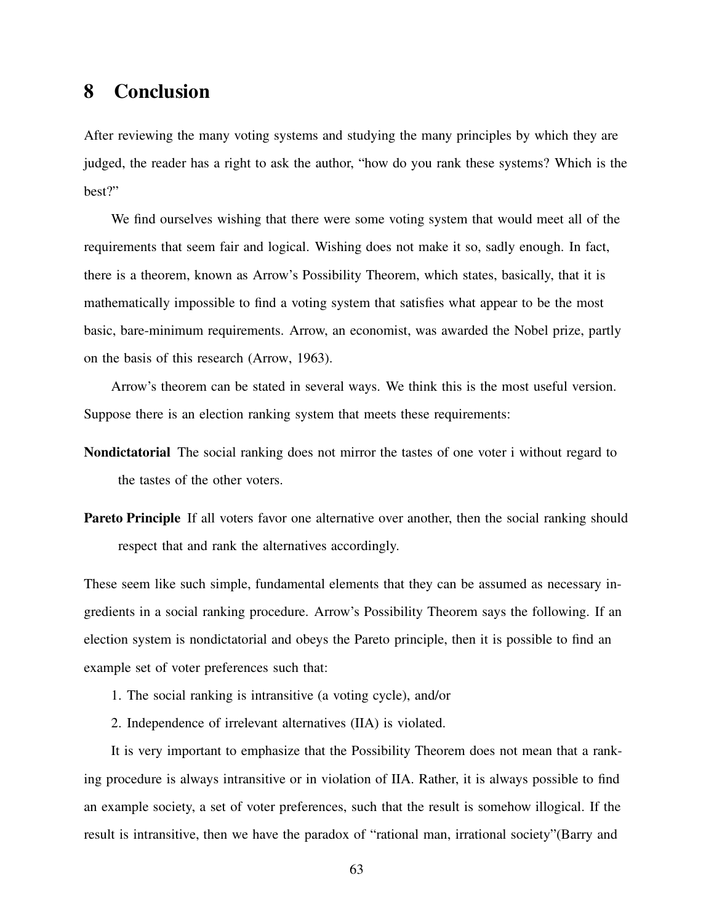# **8 Conclusion**

After reviewing the many voting systems and studying the many principles by which they are judged, the reader has a right to ask the author, "how do you rank these systems? Which is the best?"

We find ourselves wishing that there were some voting system that would meet all of the requirements that seem fair and logical. Wishing does not make it so, sadly enough. In fact, there is a theorem, known as Arrow's Possibility Theorem, which states, basically, that it is mathematically impossible to find a voting system that satisfies what appear to be the most basic, bare-minimum requirements. Arrow, an economist, was awarded the Nobel prize, partly on the basis of this research (Arrow, 1963).

Arrow's theorem can be stated in several ways. We think this is the most useful version. Suppose there is an election ranking system that meets these requirements:

- **Nondictatorial** The social ranking does not mirror the tastes of one voter i without regard to the tastes of the other voters.
- **Pareto Principle** If all voters favor one alternative over another, then the social ranking should respect that and rank the alternatives accordingly.

These seem like such simple, fundamental elements that they can be assumed as necessary ingredients in a social ranking procedure. Arrow's Possibility Theorem says the following. If an election system is nondictatorial and obeys the Pareto principle, then it is possible to find an example set of voter preferences such that:

- 1. The social ranking is intransitive (a voting cycle), and/or
- 2. Independence of irrelevant alternatives (IIA) is violated.

It is very important to emphasize that the Possibility Theorem does not mean that a ranking procedure is always intransitive or in violation of IIA. Rather, it is always possible to find an example society, a set of voter preferences, such that the result is somehow illogical. If the result is intransitive, then we have the paradox of "rational man, irrational society"(Barry and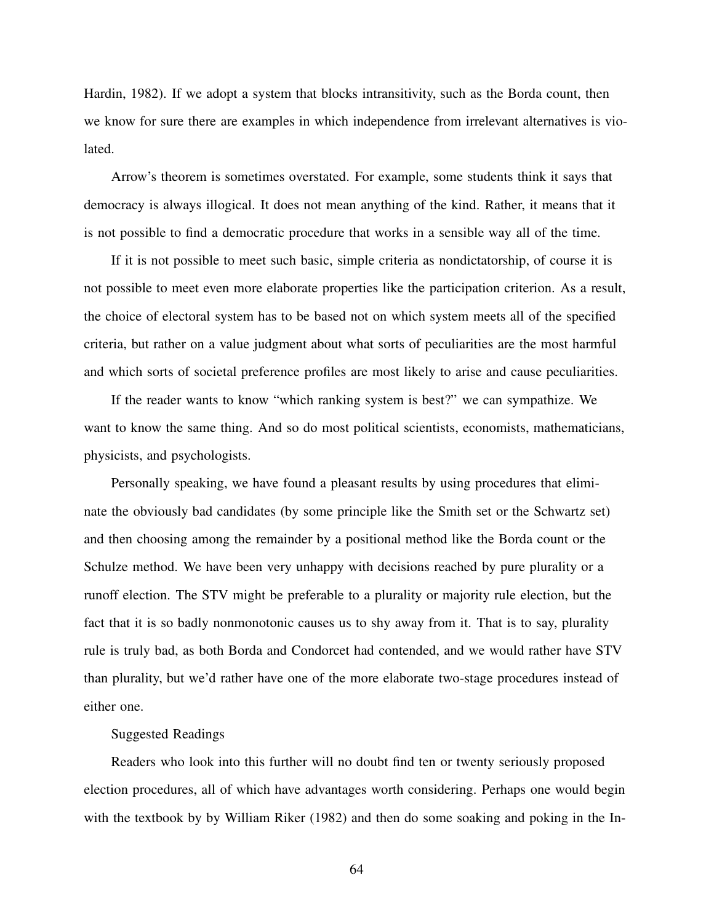Hardin, 1982). If we adopt a system that blocks intransitivity, such as the Borda count, then we know for sure there are examples in which independence from irrelevant alternatives is violated.

Arrow's theorem is sometimes overstated. For example, some students think it says that democracy is always illogical. It does not mean anything of the kind. Rather, it means that it is not possible to find a democratic procedure that works in a sensible way all of the time.

If it is not possible to meet such basic, simple criteria as nondictatorship, of course it is not possible to meet even more elaborate properties like the participation criterion. As a result, the choice of electoral system has to be based not on which system meets all of the specified criteria, but rather on a value judgment about what sorts of peculiarities are the most harmful and which sorts of societal preference profiles are most likely to arise and cause peculiarities.

If the reader wants to know "which ranking system is best?" we can sympathize. We want to know the same thing. And so do most political scientists, economists, mathematicians, physicists, and psychologists.

Personally speaking, we have found a pleasant results by using procedures that eliminate the obviously bad candidates (by some principle like the Smith set or the Schwartz set) and then choosing among the remainder by a positional method like the Borda count or the Schulze method. We have been very unhappy with decisions reached by pure plurality or a runoff election. The STV might be preferable to a plurality or majority rule election, but the fact that it is so badly nonmonotonic causes us to shy away from it. That is to say, plurality rule is truly bad, as both Borda and Condorcet had contended, and we would rather have STV than plurality, but we'd rather have one of the more elaborate two-stage procedures instead of either one.

#### Suggested Readings

Readers who look into this further will no doubt find ten or twenty seriously proposed election procedures, all of which have advantages worth considering. Perhaps one would begin with the textbook by by William Riker (1982) and then do some soaking and poking in the In-

64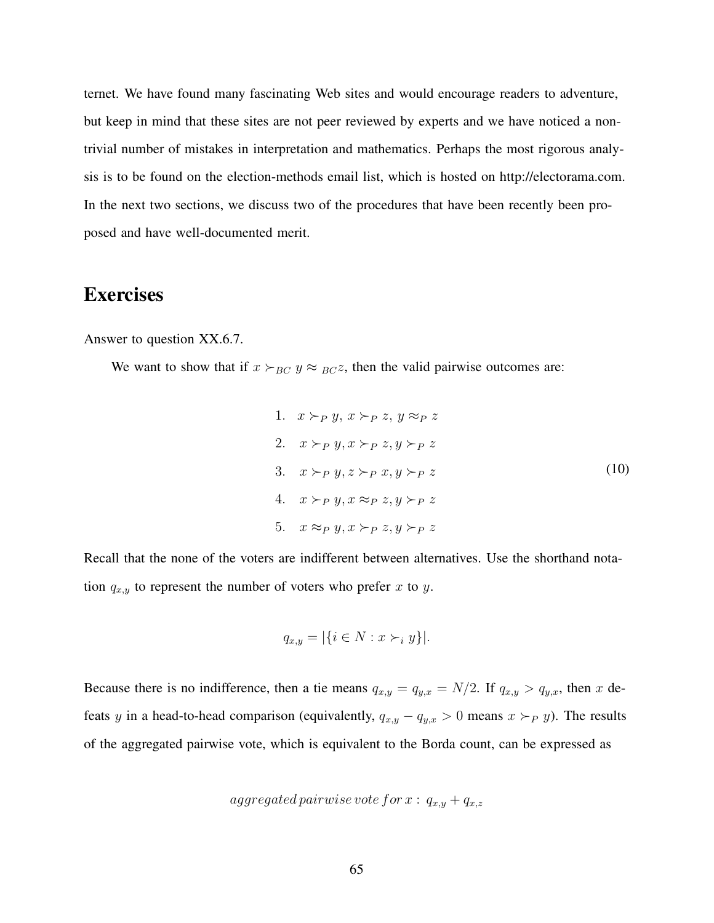ternet. We have found many fascinating Web sites and would encourage readers to adventure, but keep in mind that these sites are not peer reviewed by experts and we have noticed a nontrivial number of mistakes in interpretation and mathematics. Perhaps the most rigorous analysis is to be found on the election-methods email list, which is hosted on http://electorama.com. In the next two sections, we discuss two of the procedures that have been recently been proposed and have well-documented merit.

# **Exercises**

Answer to question XX.6.7.

We want to show that if  $x \succ_{BC} y \approx_{BC} z$ , then the valid pairwise outcomes are:

1. 
$$
x \succ_P y, x \succ_P z, y \approx_P z
$$
  
\n2.  $x \succ_P y, x \succ_P z, y \succ_P z$   
\n3.  $x \succ_P y, z \succ_P x, y \succ_P z$   
\n4.  $x \succ_P y, x \approx_P z, y \succ_P z$   
\n5.  $x \approx_P y, x \succ_P z, y \succ_P z$ 

Recall that the none of the voters are indifferent between alternatives. Use the shorthand notation  $q_{x,y}$  to represent the number of voters who prefer x to y.

$$
q_{x,y} = |\{i \in N : x \succ_i y\}|.
$$

Because there is no indifference, then a tie means  $q_{x,y} = q_{y,x} = N/2$ . If  $q_{x,y} > q_{y,x}$ , then x defeats y in a head-to-head comparison (equivalently,  $q_{x,y} - q_{y,x} > 0$  means  $x \succ_P y$ ). The results of the aggregated pairwise vote, which is equivalent to the Borda count, can be expressed as

aggregated pairwise vote for  $x : q_{x,y} + q_{x,z}$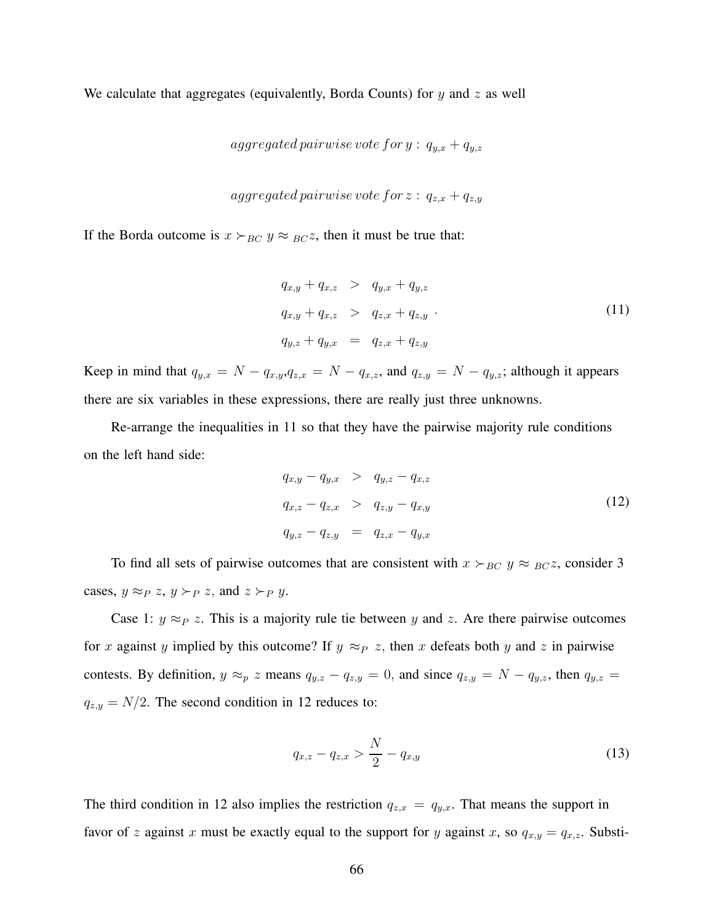We calculate that aggregates (equivalently, Borda Counts) for  $y$  and  $z$  as well

$$
aggregate d\, pairwise\, vote \, for\, y:\, q_{y,x} + q_{y,z}
$$

$$
aggregate d\,pairwise\,vote\,for\,z:\,q_{z,x}+q_{z,y}
$$

If the Borda outcome is  $x \succ_{BC} y \approx_{BC} z$ , then it must be true that:

$$
q_{x,y} + q_{x,z} > q_{y,x} + q_{y,z}
$$
  
\n
$$
q_{x,y} + q_{x,z} > q_{z,x} + q_{z,y}
$$
  
\n
$$
q_{y,z} + q_{y,x} = q_{z,x} + q_{z,y}
$$
\n(11)

Keep in mind that  $q_{y,x} = N - q_{x,y}, q_{z,x} = N - q_{x,z}$ , and  $q_{z,y} = N - q_{y,z}$ ; although it appears there are six variables in these expressions, there are really just three unknowns.

Re-arrange the inequalities in 11 so that they have the pairwise majority rule conditions on the left hand side:

$$
q_{x,y} - q_{y,x} > q_{y,z} - q_{x,z}
$$
  
\n
$$
q_{x,z} - q_{z,x} > q_{z,y} - q_{x,y}
$$
  
\n
$$
q_{y,z} - q_{z,y} = q_{z,x} - q_{y,x}
$$
\n(12)

To find all sets of pairwise outcomes that are consistent with  $x \succ_{BC} y \approx_{BC} z$ , consider 3 cases,  $y \approx_P z$ ,  $y \succ_P z$ , and  $z \succ_P y$ .

Case 1:  $y \approx_{P} z$ . This is a majority rule tie between y and z. Are there pairwise outcomes for x against y implied by this outcome? If  $y \approx_P z$ , then x defeats both y and z in pairwise contests. By definition,  $y \approx_p z$  means  $q_{y,z} - q_{z,y} = 0$ , and since  $q_{z,y} = N - q_{y,z}$ , then  $q_{y,z} =$  $q_{z,y} = N/2$ . The second condition in 12 reduces to:

$$
q_{x,z} - q_{z,x} > \frac{N}{2} - q_{x,y} \tag{13}
$$

The third condition in 12 also implies the restriction  $q_{z,x} = q_{y,x}$ . That means the support in favor of z against x must be exactly equal to the support for y against x, so  $q_{x,y} = q_{x,z}$ . Substi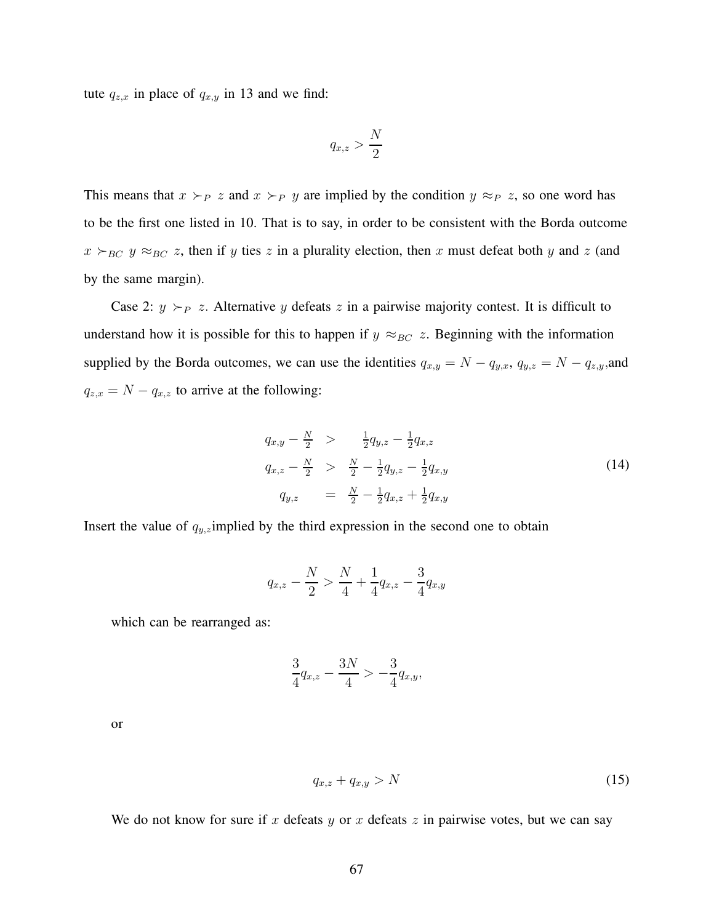tute  $q_{z,x}$  in place of  $q_{x,y}$  in 13 and we find:

$$
q_{x,z}>\frac{N}{2}
$$

This means that  $x \succ_P z$  and  $x \succ_P y$  are implied by the condition  $y \approx_P z$ , so one word has to be the first one listed in 10. That is to say, in order to be consistent with the Borda outcome  $x \succ_{BC} y \approx_{BC} z$ , then if y ties z in a plurality election, then x must defeat both y and z (and by the same margin).

Case 2:  $y \succ_P z$ . Alternative y defeats z in a pairwise majority contest. It is difficult to understand how it is possible for this to happen if  $y \approx_{BC} z$ . Beginning with the information supplied by the Borda outcomes, we can use the identities  $q_{x,y} = N - q_{y,x}, q_{y,z} = N - q_{z,y}$ , and  $q_{z,x} = N - q_{x,z}$  to arrive at the following:

$$
q_{x,y} - \frac{N}{2} > \frac{1}{2} q_{y,z} - \frac{1}{2} q_{x,z}
$$
  
\n
$$
q_{x,z} - \frac{N}{2} > \frac{N}{2} - \frac{1}{2} q_{y,z} - \frac{1}{2} q_{x,y}
$$
  
\n
$$
q_{y,z} = \frac{N}{2} - \frac{1}{2} q_{x,z} + \frac{1}{2} q_{x,y}
$$
\n(14)

Insert the value of  $q_{y,z}$  implied by the third expression in the second one to obtain

$$
q_{x,z} - \frac{N}{2} > \frac{N}{4} + \frac{1}{4}q_{x,z} - \frac{3}{4}q_{x,y}
$$

which can be rearranged as:

$$
\frac{3}{4}q_{x,z} - \frac{3N}{4} > -\frac{3}{4}q_{x,y},
$$

or

$$
q_{x,z} + q_{x,y} > N \tag{15}
$$

We do not know for sure if x defeats y or x defeats z in pairwise votes, but we can say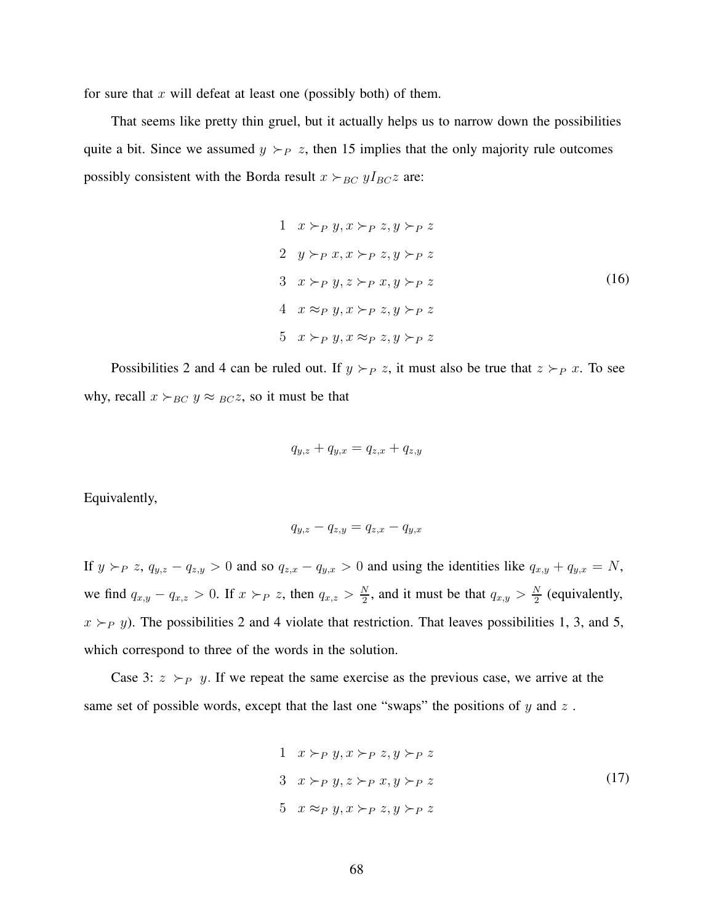for sure that  $x$  will defeat at least one (possibly both) of them.

That seems like pretty thin gruel, but it actually helps us to narrow down the possibilities quite a bit. Since we assumed  $y \succ_P z$ , then 15 implies that the only majority rule outcomes possibly consistent with the Borda result  $x \succ_{BC} yI_{BC}z$  are:

1 
$$
x \succ_P y, x \succ_P z, y \succ_P z
$$
  
\n2  $y \succ_P x, x \succ_P z, y \succ_P z$   
\n3  $x \succ_P y, z \succ_P x, y \succ_P z$   
\n4  $x \approx_P y, x \succ_P z, y \succ_P z$   
\n5  $x \succ_P y, x \approx_P z, y \succ_P z$ 

Possibilities 2 and 4 can be ruled out. If  $y \succ_P z$ , it must also be true that  $z \succ_P x$ . To see why, recall  $x \succ_{BC} y \approx_{BC} z$ , so it must be that

$$
q_{y,z} + q_{y,x} = q_{z,x} + q_{z,y}
$$

Equivalently,

$$
q_{y,z} - q_{z,y} = q_{z,x} - q_{y,x}
$$

If  $y \succ_P z$ ,  $q_{y,z} - q_{z,y} > 0$  and so  $q_{z,x} - q_{y,x} > 0$  and using the identities like  $q_{x,y} + q_{y,x} = N$ , we find  $q_{x,y} - q_{x,z} > 0$ . If  $x \succ_P z$ , then  $q_{x,z} > \frac{N}{2}$ , and it must be that  $q_{x,y} > \frac{N}{2}$  (equivalently,  $x \succ_P y$ ). The possibilities 2 and 4 violate that restriction. That leaves possibilities 1, 3, and 5, which correspond to three of the words in the solution.

Case 3:  $z \succ_{P} y$ . If we repeat the same exercise as the previous case, we arrive at the same set of possible words, except that the last one "swaps" the positions of  $y$  and  $z$ .

1 
$$
x \succ_P y, x \succ_P z, y \succ_P z
$$
  
\n3  $x \succ_P y, z \succ_P x, y \succ_P z$   
\n5  $x \approx_P y, x \succ_P z, y \succ_P z$  (17)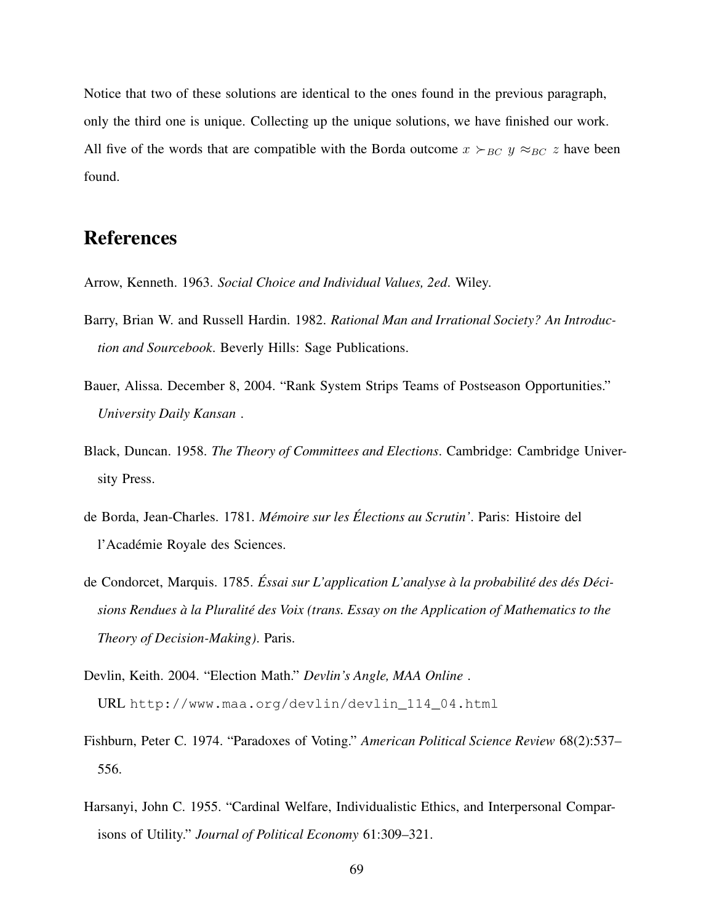Notice that two of these solutions are identical to the ones found in the previous paragraph, only the third one is unique. Collecting up the unique solutions, we have finished our work. All five of the words that are compatible with the Borda outcome  $x \succ_{BC} y \approx_{BC} z$  have been found.

# **References**

Arrow, Kenneth. 1963. *Social Choice and Individual Values, 2ed*. Wiley.

- Barry, Brian W. and Russell Hardin. 1982. *Rational Man and Irrational Society? An Introduction and Sourcebook*. Beverly Hills: Sage Publications.
- Bauer, Alissa. December 8, 2004. "Rank System Strips Teams of Postseason Opportunities." *University Daily Kansan* .
- Black, Duncan. 1958. *The Theory of Committees and Elections*. Cambridge: Cambridge University Press.
- de Borda, Jean-Charles. 1781. *Mémoire sur les Élections au Scrutin'*. Paris: Histoire del l'Académie Royale des Sciences.
- de Condorcet, Marquis. 1785. *Éssai sur L'application L'analyse à la probabilité des dés Décisions Rendues à la Pluralité des Voix (trans. Essay on the Application of Mathematics to the Theory of Decision-Making)*. Paris.
- Devlin, Keith. 2004. "Election Math." *Devlin's Angle, MAA Online* . URL http://www.maa.org/devlin/devlin\_114\_04.html
- Fishburn, Peter C. 1974. "Paradoxes of Voting." *American Political Science Review* 68(2):537– 556.
- Harsanyi, John C. 1955. "Cardinal Welfare, Individualistic Ethics, and Interpersonal Comparisons of Utility." *Journal of Political Economy* 61:309–321.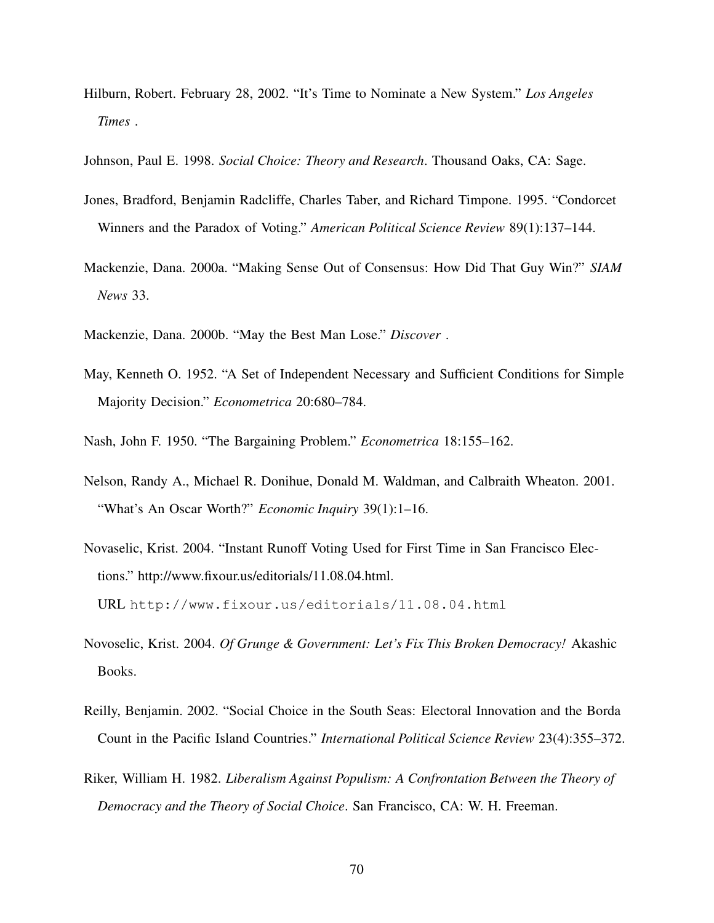Hilburn, Robert. February 28, 2002. "It's Time to Nominate a New System." *Los Angeles Times* .

Johnson, Paul E. 1998. *Social Choice: Theory and Research*. Thousand Oaks, CA: Sage.

- Jones, Bradford, Benjamin Radcliffe, Charles Taber, and Richard Timpone. 1995. "Condorcet Winners and the Paradox of Voting." *American Political Science Review* 89(1):137–144.
- Mackenzie, Dana. 2000a. "Making Sense Out of Consensus: How Did That Guy Win?" *SIAM News* 33.
- Mackenzie, Dana. 2000b. "May the Best Man Lose." *Discover* .

Books.

- May, Kenneth O. 1952. "A Set of Independent Necessary and Sufficient Conditions for Simple Majority Decision." *Econometrica* 20:680–784.
- Nash, John F. 1950. "The Bargaining Problem." *Econometrica* 18:155–162.
- Nelson, Randy A., Michael R. Donihue, Donald M. Waldman, and Calbraith Wheaton. 2001. "What's An Oscar Worth?" *Economic Inquiry* 39(1):1–16.
- Novaselic, Krist. 2004. "Instant Runoff Voting Used for First Time in San Francisco Elections." http://www.fixour.us/editorials/11.08.04.html. URL http://www.fixour.us/editorials/11.08.04.html

Novoselic, Krist. 2004. *Of Grunge & Government: Let's Fix This Broken Democracy!* Akashic

- Reilly, Benjamin. 2002. "Social Choice in the South Seas: Electoral Innovation and the Borda Count in the Pacific Island Countries." *International Political Science Review* 23(4):355–372.
- Riker, William H. 1982. *Liberalism Against Populism: A Confrontation Between the Theory of Democracy and the Theory of Social Choice*. San Francisco, CA: W. H. Freeman.